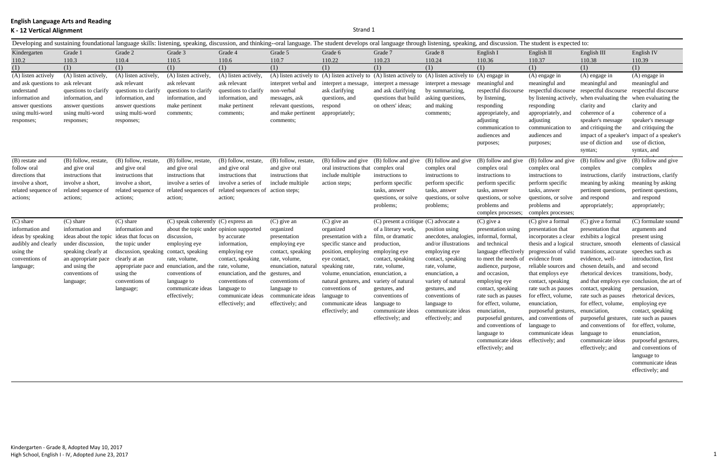|                                                                                                                                    |                                                                                                                                                                                              | Developing and sustaining foundational language skills: listening, speaking, discussion, and thinking--oral language. The student develops oral language through listening, speaking, and discussion. The student is expected |                                                                                                                                                                                                                                                                      |                                                                                                                                                                     |                                                                                                                                                                                                                      |                                                                                                                                                                                                                                                                             |                                                                                                                                                                                                                                                                              |                                                                                                                                                                                                                                                                             |                                                                                                                                                                                                                                                                                                                                                    |                                                                                                                                                                                                                                                                                                                                                                                   |                                                                                                                                                                                                                                                                                                                                                                         |                                                                                                                                                                                                                                                                                                                                                                                                                                       |
|------------------------------------------------------------------------------------------------------------------------------------|----------------------------------------------------------------------------------------------------------------------------------------------------------------------------------------------|-------------------------------------------------------------------------------------------------------------------------------------------------------------------------------------------------------------------------------|----------------------------------------------------------------------------------------------------------------------------------------------------------------------------------------------------------------------------------------------------------------------|---------------------------------------------------------------------------------------------------------------------------------------------------------------------|----------------------------------------------------------------------------------------------------------------------------------------------------------------------------------------------------------------------|-----------------------------------------------------------------------------------------------------------------------------------------------------------------------------------------------------------------------------------------------------------------------------|------------------------------------------------------------------------------------------------------------------------------------------------------------------------------------------------------------------------------------------------------------------------------|-----------------------------------------------------------------------------------------------------------------------------------------------------------------------------------------------------------------------------------------------------------------------------|----------------------------------------------------------------------------------------------------------------------------------------------------------------------------------------------------------------------------------------------------------------------------------------------------------------------------------------------------|-----------------------------------------------------------------------------------------------------------------------------------------------------------------------------------------------------------------------------------------------------------------------------------------------------------------------------------------------------------------------------------|-------------------------------------------------------------------------------------------------------------------------------------------------------------------------------------------------------------------------------------------------------------------------------------------------------------------------------------------------------------------------|---------------------------------------------------------------------------------------------------------------------------------------------------------------------------------------------------------------------------------------------------------------------------------------------------------------------------------------------------------------------------------------------------------------------------------------|
| Kindergarten<br>110.2                                                                                                              | Grade 1<br>110.3                                                                                                                                                                             | Grade 2<br>110.4                                                                                                                                                                                                              | Grade 3<br>110.5                                                                                                                                                                                                                                                     | Grade 4<br>110.6                                                                                                                                                    | Grade 5<br>110.7                                                                                                                                                                                                     | Grade 6<br>110.22                                                                                                                                                                                                                                                           | Grade 7<br>110.23                                                                                                                                                                                                                                                            | Grade 8<br>110.24                                                                                                                                                                                                                                                           | English I<br>110.36                                                                                                                                                                                                                                                                                                                                | English II<br>110.37                                                                                                                                                                                                                                                                                                                                                              | English III<br>110.38                                                                                                                                                                                                                                                                                                                                                   | English IV<br>110.39                                                                                                                                                                                                                                                                                                                                                                                                                  |
| (1)                                                                                                                                | (1)                                                                                                                                                                                          | (1)                                                                                                                                                                                                                           | (1)                                                                                                                                                                                                                                                                  | (1)                                                                                                                                                                 | (1)                                                                                                                                                                                                                  | (1)                                                                                                                                                                                                                                                                         | (1)                                                                                                                                                                                                                                                                          | (1)                                                                                                                                                                                                                                                                         | (1)                                                                                                                                                                                                                                                                                                                                                | (1)                                                                                                                                                                                                                                                                                                                                                                               | (1)                                                                                                                                                                                                                                                                                                                                                                     | (1)                                                                                                                                                                                                                                                                                                                                                                                                                                   |
| (A) listen actively<br>and ask questions to<br>understand<br>information and<br>answer questions<br>using multi-word<br>responses; | (A) listen actively,<br>ask relevant<br>questions to clarify<br>information, and<br>answer questions<br>using multi-word<br>responses;                                                       | (A) listen actively,<br>ask relevant<br>questions to clarify<br>information, and<br>answer questions<br>using multi-word<br>responses;                                                                                        | (A) listen actively,<br>ask relevant<br>questions to clarify<br>information, and<br>make pertinent<br>comments;                                                                                                                                                      | (A) listen actively,<br>ask relevant<br>questions to clarify<br>information, and<br>make pertinent<br>comments;                                                     | interpret verbal and<br>non-verbal<br>messages, ask<br>relevant questions,<br>and make pertinent<br>comments;                                                                                                        | interpret a message,<br>ask clarifying<br>questions, and<br>respond<br>appropriately;                                                                                                                                                                                       | interpret a message<br>and ask clarifying<br>questions that build<br>on others' ideas;                                                                                                                                                                                       | (A) listen actively to (A) listen actively to (A) listen actively to (A) listen actively to (A) engage in<br>interpret a message<br>by summarizing,<br>asking questions,<br>and making<br>comments;                                                                         | meaningful and<br>respectful discourse<br>by listening,<br>responding<br>appropriately, and<br>adjusting<br>communication to<br>audiences and<br>purposes;                                                                                                                                                                                         | $(A)$ engage in<br>meaningful and<br>respectful discourse<br>responding<br>appropriately, and<br>adjusting<br>communication to<br>audiences and<br>purposes;                                                                                                                                                                                                                      | $(A)$ engage in<br>meaningful and<br>respectful discourse<br>by listening actively, when evaluating the<br>clarity and<br>coherence of a<br>speaker's message<br>and critiquing the<br>impact of a speaker's impact of a speaker's<br>use of diction and<br>syntax;                                                                                                     | $(A)$ engage in<br>meaningful and<br>respectful discourse<br>when evaluating the<br>clarity and<br>coherence of a<br>speaker's message<br>and critiquing the<br>use of diction,<br>syntax, and                                                                                                                                                                                                                                        |
| (B) restate and<br>follow oral<br>directions that<br>involve a short,<br>related sequence of<br>actions;                           | (B) follow, restate,<br>and give oral<br>instructions that<br>involve a short,<br>related sequence of<br>actions;                                                                            | (B) follow, restate,<br>and give oral<br>instructions that<br>involve a short,<br>related sequence of<br>actions;                                                                                                             | (B) follow, restate,<br>and give oral<br>instructions that<br>involve a series of<br>related sequences of<br>action;                                                                                                                                                 | (B) follow, restate,<br>and give oral<br>instructions that<br>involve a series of<br>related sequences of action steps;<br>action;                                  | (B) follow, restate,<br>and give oral<br>instructions that<br>include multiple                                                                                                                                       | (B) follow and give (B) follow and give<br>oral instructions that complex oral<br>include multiple<br>action steps;                                                                                                                                                         | instructions to<br>perform specific<br>tasks, answer<br>questions, or solve<br>problems;                                                                                                                                                                                     | (B) follow and give<br>complex oral<br>instructions to<br>perform specific<br>tasks, answer<br>questions, or solve<br>problems;                                                                                                                                             | (B) follow and give<br>complex oral<br>instructions to<br>perform specific<br>tasks, answer<br>questions, or solve<br>problems and<br>complex processes;                                                                                                                                                                                           | (B) follow and give<br>complex oral<br>instructions to<br>perform specific<br>tasks, answer<br>questions, or solve<br>problems and<br>complex processes;                                                                                                                                                                                                                          | (B) follow and give<br>complex<br>instructions, clarify<br>meaning by asking<br>pertinent questions,<br>and respond<br>appropriately;                                                                                                                                                                                                                                   | (B) follow and give<br>complex<br>instructions, clarify<br>meaning by asking<br>pertinent questions,<br>and respond<br>appropriately;                                                                                                                                                                                                                                                                                                 |
| $(C)$ share<br>information and<br>ideas by speaking<br>audibly and clearly<br>using the<br>conventions of<br>language;             | (C) share<br>information and<br>ideas about the topic ideas that focus on<br>under discussion,<br>speaking clearly at<br>an appropriate pace<br>and using the<br>conventions of<br>language; | $(C)$ share<br>information and<br>the topic under<br>discussion, speaking contact, speaking<br>clearly at an<br>using the<br>conventions of<br>language;                                                                      | $(C)$ speak coherently $(C)$ express an<br>about the topic under opinion supported<br>discussion,<br>employing eye<br>rate, volume,<br>appropriate pace and enunciation, and the rate, volume,<br>conventions of<br>language to<br>communicate ideas<br>effectively; | by accurate<br>information,<br>employing eye<br>contact, speaking<br>enunciation, and the<br>conventions of<br>language to<br>communicate ideas<br>effectively; and | $(C)$ give an<br>organized<br>presentation<br>employing eye<br>contact, speaking<br>rate, volume,<br>enunciation, natural<br>gestures, and<br>conventions of<br>language to<br>communicate ideas<br>effectively; and | $(C)$ give an<br>organized<br>presentation with a<br>specific stance and<br>position, employing<br>eye contact,<br>speaking rate,<br>volume, enunciation, enunciation, a<br>natural gestures, and<br>conventions of<br>language to<br>communicate ideas<br>effectively; and | $(C)$ present a critique $(C)$ advocate a<br>of a literary work,<br>film, or dramatic<br>production,<br>employing eye<br>contact, speaking<br>rate, volume,<br>variety of natural<br>gestures, and<br>conventions of<br>language to<br>communicate ideas<br>effectively; and | position using<br>anecdotes, analogies, informal, formal,<br>and/or illustrations<br>employing eye<br>contact, speaking<br>rate, volume,<br>enunciation, a<br>variety of natural<br>gestures, and<br>conventions of<br>language to<br>communicate ideas<br>effectively; and | (C) give a<br>presentation using<br>and technical<br>language effectively<br>to meet the needs of<br>audience, purpose,<br>and occasion,<br>employing eye<br>contact, speaking<br>rate such as pauses<br>for effect, volume,<br>enunciation,<br>purposeful gestures,<br>and conventions of<br>language to<br>communicate ideas<br>effectively; and | (C) give a formal<br>presentation that<br>incorporates a clear<br>thesis and a logical<br>progression of valid<br>evidence from<br>reliable sources and<br>that employs eye<br>contact, speaking<br>rate such as pauses<br>for effect, volume,<br>enunciation,<br>purposeful gestures, enunciation,<br>and conventions of<br>language to<br>communicate ideas<br>effectively; and | (C) give a formal<br>presentation that<br>exhibits a logical<br>structure, smooth<br>transitions, accurate<br>evidence, well-<br>chosen details, and<br>rhetorical devices<br>contact, speaking<br>rate such as pauses<br>for effect, volume,<br>purposeful gestures, rate such as pauses<br>and conventions of<br>language to<br>communicate ideas<br>effectively; and | (C) formulate sound<br>arguments and<br>present using<br>elements of classical<br>speeches such as<br>introduction, first<br>and second<br>transitions, body,<br>and that employs eye conclusion, the art of<br>persuasion,<br>rhetorical devices,<br>employing eye<br>contact, speaking<br>for effect, volume,<br>enunciation,<br>purposeful gestures,<br>and conventions of<br>language to<br>communicate ideas<br>effectively; and |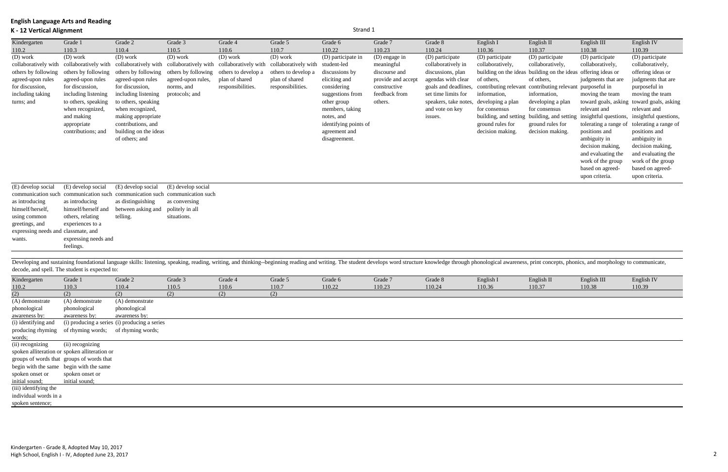| 0.37<br>110.38<br>110.39 | glish II | English III | English IV |
|--------------------------|----------|-------------|------------|
|                          |          |             |            |

| Grade 6<br>English I<br>English II<br>English III<br>English IV<br>Kindergarten<br>Grade 1<br>Grade 2<br>Grade 3<br>Grade 4<br>Grade 5<br>Grade 7<br>Grade 8<br>110.22<br>110.3<br>110.4<br>110.7<br>110.23<br>110.24<br>110.36<br>110.37<br>110.38<br>110.39<br>110.2<br>110.5<br>110.6<br>(D) work<br>(D) work<br>(D) work<br>(D) work<br>(D) work<br>$(D)$ work<br>(D) participate<br>(D) participate in<br>(D) engage in<br>(D) participate<br>(D) participate<br>(D) participate<br>(D) participate<br>collaboratively,<br>collaboratively,<br>collaboratively with collaboratively with<br>collaboratively with<br>collaboratively with<br>collaboratively with<br>collaboratively with<br>student-led<br>meaningful<br>collaboratively in<br>collaboratively,<br>collaboratively,<br>building on the ideas building on the ideas offering ideas or<br>others by following<br>others by following<br>others by following<br>others to develop a<br>discussions by<br>discussions, plan<br>offering ideas or<br>others by following<br>others to develop a<br>discourse and<br>of others,<br>of others,<br>agreed-upon rules<br>agreed-upon rules<br>agreed-upon rules,<br>plan of shared<br>plan of shared<br>eliciting and<br>provide and accept<br>agendas with clear<br>agreed-upon rules<br>judgments that are<br>judgments that are<br>for discussion,<br>for discussion,<br>for discussion,<br>responsibilities.<br>responsibilities.<br>considering<br>contributing relevant<br>contributing relevant purposeful in<br>purposeful in<br>norms, and<br>constructive<br>goals and deadlines,<br>including taking<br>moving the team<br>moving the team<br>including listening<br>including listening<br>protocols; and<br>suggestions from<br>feedback from<br>set time limits for<br>information,<br>information,<br>toward goals, asking toward goals, asking<br>to others, speaking<br>developing a plan<br>developing a plan<br>turns; and<br>to others, speaking<br>other group<br>others.<br>speakers, take notes<br>when recognized,<br>when recognized,<br>members, taking<br>and vote on key<br>relevant and<br>relevant and<br>for consensus<br>for consensus<br>and making<br>building, and setting insightful questions, insightful questions,<br>making appropriate<br>notes, and<br>building, and setting<br>issues.<br>contributions, and<br>identifying points of<br>tolerating a range of tolerating a range of<br>appropriate<br>ground rules for<br>ground rules for<br>decision making.<br>decision making.<br>contributions; and<br>building on the ideas<br>positions and<br>agreement and<br>positions and<br>ambiguity in<br>of others; and<br>ambiguity in<br>disagreement.<br>decision making,<br>decision making,<br>and evaluating the<br>and evaluating the<br>work of the group<br>work of the group<br>based on agreed-<br>based on agreed-<br>upon criteria.<br>upon criteria.<br>(E) develop social<br>(E) develop social<br>(E) develop social<br>(E) develop social<br>communication such communication such communication such communication such<br>as introducing<br>as introducing<br>as distinguishing<br>as conversing<br>himself/herself,<br>himself/herself and<br>between asking and<br>politely in all<br>others, relating<br>telling.<br>situations.<br>using common<br>experiences to a<br>greetings, and<br>expressing needs and classmate, and<br>expressing needs and<br>wants.<br>feelings.<br>Developing and sustaining foundational language skills: listening, speaking, reading, writing, and thinking--beginning reading and writing. The student develops word structure knowledge through phonological awareness, prin<br>decode, and spell. The student is expected to:<br>Grade 5<br>Grade 6<br>Kindergarten<br>Grade 1<br>Grade 2<br>Grade 3<br>Grade 4<br>Grade 7<br>Grade 8<br>English I<br>English II<br>English III<br>English IV<br>110.22<br>110.23<br>110.24<br>110.39<br>110.2<br>110.3<br>110.4<br>110.5<br>110.6<br>110.7<br>110.36<br>110.37<br>110.38<br>(2)<br>(2)<br>(2)<br>(2)<br>(2)<br>(2)<br>(A) demonstrate<br>$(A)$ demonstrate<br>$\overline{(A)}$ demonstrate<br>phonological<br>phonological<br>phonological<br>awareness by:<br>awareness by:<br>awareness by:<br>(i) producing a series (i) producing a series<br>(i) identifying and<br>producing rhyming<br>of rhyming words;<br>of rhyming words;<br>words:<br>(ii) recognizing<br>(ii) recognizing<br>spoken alliteration or spoken alliteration or<br>groups of words that groups of words that<br>begin with the same begin with the same<br>spoken onset or<br>spoken onset or<br>initial sound;<br>initial sound;<br>(iii) identifying the<br>individual words in a<br>spoken sentence; |  |  |  |  |  |  |  |
|--------------------------------------------------------------------------------------------------------------------------------------------------------------------------------------------------------------------------------------------------------------------------------------------------------------------------------------------------------------------------------------------------------------------------------------------------------------------------------------------------------------------------------------------------------------------------------------------------------------------------------------------------------------------------------------------------------------------------------------------------------------------------------------------------------------------------------------------------------------------------------------------------------------------------------------------------------------------------------------------------------------------------------------------------------------------------------------------------------------------------------------------------------------------------------------------------------------------------------------------------------------------------------------------------------------------------------------------------------------------------------------------------------------------------------------------------------------------------------------------------------------------------------------------------------------------------------------------------------------------------------------------------------------------------------------------------------------------------------------------------------------------------------------------------------------------------------------------------------------------------------------------------------------------------------------------------------------------------------------------------------------------------------------------------------------------------------------------------------------------------------------------------------------------------------------------------------------------------------------------------------------------------------------------------------------------------------------------------------------------------------------------------------------------------------------------------------------------------------------------------------------------------------------------------------------------------------------------------------------------------------------------------------------------------------------------------------------------------------------------------------------------------------------------------------------------------------------------------------------------------------------------------------------------------------------------------------------------------------------------------------------------------------------------------------------------------------------------------------------------------------------------------------------------------------------------------------------------------------------------------------------------------------------------------------------------------------------------------------------------------------------------------------------------------------------------------------------------------------------------------------------------------------------------------------------------------------------------------------------------------------------------------------------------------------------------------------------------------------------------------------------------------------------------------------------------------------------------------------------------------------------------------------------------------------------------------------------------------------------------------------------------------------------------------------------------------------------------------------------------------------------------------------------------------------------------------------------------------------------------------------------------------------------------------------------------------------------------------------------------------------------------------------------------------------------------------------------------------------------------------------------------------------------------------------------------------------------------------------------------------------------------------------------------------------------------------------------------------------------------------|--|--|--|--|--|--|--|
|                                                                                                                                                                                                                                                                                                                                                                                                                                                                                                                                                                                                                                                                                                                                                                                                                                                                                                                                                                                                                                                                                                                                                                                                                                                                                                                                                                                                                                                                                                                                                                                                                                                                                                                                                                                                                                                                                                                                                                                                                                                                                                                                                                                                                                                                                                                                                                                                                                                                                                                                                                                                                                                                                                                                                                                                                                                                                                                                                                                                                                                                                                                                                                                                                                                                                                                                                                                                                                                                                                                                                                                                                                                                                                                                                                                                                                                                                                                                                                                                                                                                                                                                                                                                                                                                                                                                                                                                                                                                                                                                                                                                                                                                                                                                                  |  |  |  |  |  |  |  |
|                                                                                                                                                                                                                                                                                                                                                                                                                                                                                                                                                                                                                                                                                                                                                                                                                                                                                                                                                                                                                                                                                                                                                                                                                                                                                                                                                                                                                                                                                                                                                                                                                                                                                                                                                                                                                                                                                                                                                                                                                                                                                                                                                                                                                                                                                                                                                                                                                                                                                                                                                                                                                                                                                                                                                                                                                                                                                                                                                                                                                                                                                                                                                                                                                                                                                                                                                                                                                                                                                                                                                                                                                                                                                                                                                                                                                                                                                                                                                                                                                                                                                                                                                                                                                                                                                                                                                                                                                                                                                                                                                                                                                                                                                                                                                  |  |  |  |  |  |  |  |
|                                                                                                                                                                                                                                                                                                                                                                                                                                                                                                                                                                                                                                                                                                                                                                                                                                                                                                                                                                                                                                                                                                                                                                                                                                                                                                                                                                                                                                                                                                                                                                                                                                                                                                                                                                                                                                                                                                                                                                                                                                                                                                                                                                                                                                                                                                                                                                                                                                                                                                                                                                                                                                                                                                                                                                                                                                                                                                                                                                                                                                                                                                                                                                                                                                                                                                                                                                                                                                                                                                                                                                                                                                                                                                                                                                                                                                                                                                                                                                                                                                                                                                                                                                                                                                                                                                                                                                                                                                                                                                                                                                                                                                                                                                                                                  |  |  |  |  |  |  |  |
|                                                                                                                                                                                                                                                                                                                                                                                                                                                                                                                                                                                                                                                                                                                                                                                                                                                                                                                                                                                                                                                                                                                                                                                                                                                                                                                                                                                                                                                                                                                                                                                                                                                                                                                                                                                                                                                                                                                                                                                                                                                                                                                                                                                                                                                                                                                                                                                                                                                                                                                                                                                                                                                                                                                                                                                                                                                                                                                                                                                                                                                                                                                                                                                                                                                                                                                                                                                                                                                                                                                                                                                                                                                                                                                                                                                                                                                                                                                                                                                                                                                                                                                                                                                                                                                                                                                                                                                                                                                                                                                                                                                                                                                                                                                                                  |  |  |  |  |  |  |  |
|                                                                                                                                                                                                                                                                                                                                                                                                                                                                                                                                                                                                                                                                                                                                                                                                                                                                                                                                                                                                                                                                                                                                                                                                                                                                                                                                                                                                                                                                                                                                                                                                                                                                                                                                                                                                                                                                                                                                                                                                                                                                                                                                                                                                                                                                                                                                                                                                                                                                                                                                                                                                                                                                                                                                                                                                                                                                                                                                                                                                                                                                                                                                                                                                                                                                                                                                                                                                                                                                                                                                                                                                                                                                                                                                                                                                                                                                                                                                                                                                                                                                                                                                                                                                                                                                                                                                                                                                                                                                                                                                                                                                                                                                                                                                                  |  |  |  |  |  |  |  |
|                                                                                                                                                                                                                                                                                                                                                                                                                                                                                                                                                                                                                                                                                                                                                                                                                                                                                                                                                                                                                                                                                                                                                                                                                                                                                                                                                                                                                                                                                                                                                                                                                                                                                                                                                                                                                                                                                                                                                                                                                                                                                                                                                                                                                                                                                                                                                                                                                                                                                                                                                                                                                                                                                                                                                                                                                                                                                                                                                                                                                                                                                                                                                                                                                                                                                                                                                                                                                                                                                                                                                                                                                                                                                                                                                                                                                                                                                                                                                                                                                                                                                                                                                                                                                                                                                                                                                                                                                                                                                                                                                                                                                                                                                                                                                  |  |  |  |  |  |  |  |
|                                                                                                                                                                                                                                                                                                                                                                                                                                                                                                                                                                                                                                                                                                                                                                                                                                                                                                                                                                                                                                                                                                                                                                                                                                                                                                                                                                                                                                                                                                                                                                                                                                                                                                                                                                                                                                                                                                                                                                                                                                                                                                                                                                                                                                                                                                                                                                                                                                                                                                                                                                                                                                                                                                                                                                                                                                                                                                                                                                                                                                                                                                                                                                                                                                                                                                                                                                                                                                                                                                                                                                                                                                                                                                                                                                                                                                                                                                                                                                                                                                                                                                                                                                                                                                                                                                                                                                                                                                                                                                                                                                                                                                                                                                                                                  |  |  |  |  |  |  |  |
|                                                                                                                                                                                                                                                                                                                                                                                                                                                                                                                                                                                                                                                                                                                                                                                                                                                                                                                                                                                                                                                                                                                                                                                                                                                                                                                                                                                                                                                                                                                                                                                                                                                                                                                                                                                                                                                                                                                                                                                                                                                                                                                                                                                                                                                                                                                                                                                                                                                                                                                                                                                                                                                                                                                                                                                                                                                                                                                                                                                                                                                                                                                                                                                                                                                                                                                                                                                                                                                                                                                                                                                                                                                                                                                                                                                                                                                                                                                                                                                                                                                                                                                                                                                                                                                                                                                                                                                                                                                                                                                                                                                                                                                                                                                                                  |  |  |  |  |  |  |  |
|                                                                                                                                                                                                                                                                                                                                                                                                                                                                                                                                                                                                                                                                                                                                                                                                                                                                                                                                                                                                                                                                                                                                                                                                                                                                                                                                                                                                                                                                                                                                                                                                                                                                                                                                                                                                                                                                                                                                                                                                                                                                                                                                                                                                                                                                                                                                                                                                                                                                                                                                                                                                                                                                                                                                                                                                                                                                                                                                                                                                                                                                                                                                                                                                                                                                                                                                                                                                                                                                                                                                                                                                                                                                                                                                                                                                                                                                                                                                                                                                                                                                                                                                                                                                                                                                                                                                                                                                                                                                                                                                                                                                                                                                                                                                                  |  |  |  |  |  |  |  |
|                                                                                                                                                                                                                                                                                                                                                                                                                                                                                                                                                                                                                                                                                                                                                                                                                                                                                                                                                                                                                                                                                                                                                                                                                                                                                                                                                                                                                                                                                                                                                                                                                                                                                                                                                                                                                                                                                                                                                                                                                                                                                                                                                                                                                                                                                                                                                                                                                                                                                                                                                                                                                                                                                                                                                                                                                                                                                                                                                                                                                                                                                                                                                                                                                                                                                                                                                                                                                                                                                                                                                                                                                                                                                                                                                                                                                                                                                                                                                                                                                                                                                                                                                                                                                                                                                                                                                                                                                                                                                                                                                                                                                                                                                                                                                  |  |  |  |  |  |  |  |
|                                                                                                                                                                                                                                                                                                                                                                                                                                                                                                                                                                                                                                                                                                                                                                                                                                                                                                                                                                                                                                                                                                                                                                                                                                                                                                                                                                                                                                                                                                                                                                                                                                                                                                                                                                                                                                                                                                                                                                                                                                                                                                                                                                                                                                                                                                                                                                                                                                                                                                                                                                                                                                                                                                                                                                                                                                                                                                                                                                                                                                                                                                                                                                                                                                                                                                                                                                                                                                                                                                                                                                                                                                                                                                                                                                                                                                                                                                                                                                                                                                                                                                                                                                                                                                                                                                                                                                                                                                                                                                                                                                                                                                                                                                                                                  |  |  |  |  |  |  |  |
|                                                                                                                                                                                                                                                                                                                                                                                                                                                                                                                                                                                                                                                                                                                                                                                                                                                                                                                                                                                                                                                                                                                                                                                                                                                                                                                                                                                                                                                                                                                                                                                                                                                                                                                                                                                                                                                                                                                                                                                                                                                                                                                                                                                                                                                                                                                                                                                                                                                                                                                                                                                                                                                                                                                                                                                                                                                                                                                                                                                                                                                                                                                                                                                                                                                                                                                                                                                                                                                                                                                                                                                                                                                                                                                                                                                                                                                                                                                                                                                                                                                                                                                                                                                                                                                                                                                                                                                                                                                                                                                                                                                                                                                                                                                                                  |  |  |  |  |  |  |  |
|                                                                                                                                                                                                                                                                                                                                                                                                                                                                                                                                                                                                                                                                                                                                                                                                                                                                                                                                                                                                                                                                                                                                                                                                                                                                                                                                                                                                                                                                                                                                                                                                                                                                                                                                                                                                                                                                                                                                                                                                                                                                                                                                                                                                                                                                                                                                                                                                                                                                                                                                                                                                                                                                                                                                                                                                                                                                                                                                                                                                                                                                                                                                                                                                                                                                                                                                                                                                                                                                                                                                                                                                                                                                                                                                                                                                                                                                                                                                                                                                                                                                                                                                                                                                                                                                                                                                                                                                                                                                                                                                                                                                                                                                                                                                                  |  |  |  |  |  |  |  |
|                                                                                                                                                                                                                                                                                                                                                                                                                                                                                                                                                                                                                                                                                                                                                                                                                                                                                                                                                                                                                                                                                                                                                                                                                                                                                                                                                                                                                                                                                                                                                                                                                                                                                                                                                                                                                                                                                                                                                                                                                                                                                                                                                                                                                                                                                                                                                                                                                                                                                                                                                                                                                                                                                                                                                                                                                                                                                                                                                                                                                                                                                                                                                                                                                                                                                                                                                                                                                                                                                                                                                                                                                                                                                                                                                                                                                                                                                                                                                                                                                                                                                                                                                                                                                                                                                                                                                                                                                                                                                                                                                                                                                                                                                                                                                  |  |  |  |  |  |  |  |
|                                                                                                                                                                                                                                                                                                                                                                                                                                                                                                                                                                                                                                                                                                                                                                                                                                                                                                                                                                                                                                                                                                                                                                                                                                                                                                                                                                                                                                                                                                                                                                                                                                                                                                                                                                                                                                                                                                                                                                                                                                                                                                                                                                                                                                                                                                                                                                                                                                                                                                                                                                                                                                                                                                                                                                                                                                                                                                                                                                                                                                                                                                                                                                                                                                                                                                                                                                                                                                                                                                                                                                                                                                                                                                                                                                                                                                                                                                                                                                                                                                                                                                                                                                                                                                                                                                                                                                                                                                                                                                                                                                                                                                                                                                                                                  |  |  |  |  |  |  |  |
|                                                                                                                                                                                                                                                                                                                                                                                                                                                                                                                                                                                                                                                                                                                                                                                                                                                                                                                                                                                                                                                                                                                                                                                                                                                                                                                                                                                                                                                                                                                                                                                                                                                                                                                                                                                                                                                                                                                                                                                                                                                                                                                                                                                                                                                                                                                                                                                                                                                                                                                                                                                                                                                                                                                                                                                                                                                                                                                                                                                                                                                                                                                                                                                                                                                                                                                                                                                                                                                                                                                                                                                                                                                                                                                                                                                                                                                                                                                                                                                                                                                                                                                                                                                                                                                                                                                                                                                                                                                                                                                                                                                                                                                                                                                                                  |  |  |  |  |  |  |  |
|                                                                                                                                                                                                                                                                                                                                                                                                                                                                                                                                                                                                                                                                                                                                                                                                                                                                                                                                                                                                                                                                                                                                                                                                                                                                                                                                                                                                                                                                                                                                                                                                                                                                                                                                                                                                                                                                                                                                                                                                                                                                                                                                                                                                                                                                                                                                                                                                                                                                                                                                                                                                                                                                                                                                                                                                                                                                                                                                                                                                                                                                                                                                                                                                                                                                                                                                                                                                                                                                                                                                                                                                                                                                                                                                                                                                                                                                                                                                                                                                                                                                                                                                                                                                                                                                                                                                                                                                                                                                                                                                                                                                                                                                                                                                                  |  |  |  |  |  |  |  |
|                                                                                                                                                                                                                                                                                                                                                                                                                                                                                                                                                                                                                                                                                                                                                                                                                                                                                                                                                                                                                                                                                                                                                                                                                                                                                                                                                                                                                                                                                                                                                                                                                                                                                                                                                                                                                                                                                                                                                                                                                                                                                                                                                                                                                                                                                                                                                                                                                                                                                                                                                                                                                                                                                                                                                                                                                                                                                                                                                                                                                                                                                                                                                                                                                                                                                                                                                                                                                                                                                                                                                                                                                                                                                                                                                                                                                                                                                                                                                                                                                                                                                                                                                                                                                                                                                                                                                                                                                                                                                                                                                                                                                                                                                                                                                  |  |  |  |  |  |  |  |
|                                                                                                                                                                                                                                                                                                                                                                                                                                                                                                                                                                                                                                                                                                                                                                                                                                                                                                                                                                                                                                                                                                                                                                                                                                                                                                                                                                                                                                                                                                                                                                                                                                                                                                                                                                                                                                                                                                                                                                                                                                                                                                                                                                                                                                                                                                                                                                                                                                                                                                                                                                                                                                                                                                                                                                                                                                                                                                                                                                                                                                                                                                                                                                                                                                                                                                                                                                                                                                                                                                                                                                                                                                                                                                                                                                                                                                                                                                                                                                                                                                                                                                                                                                                                                                                                                                                                                                                                                                                                                                                                                                                                                                                                                                                                                  |  |  |  |  |  |  |  |
|                                                                                                                                                                                                                                                                                                                                                                                                                                                                                                                                                                                                                                                                                                                                                                                                                                                                                                                                                                                                                                                                                                                                                                                                                                                                                                                                                                                                                                                                                                                                                                                                                                                                                                                                                                                                                                                                                                                                                                                                                                                                                                                                                                                                                                                                                                                                                                                                                                                                                                                                                                                                                                                                                                                                                                                                                                                                                                                                                                                                                                                                                                                                                                                                                                                                                                                                                                                                                                                                                                                                                                                                                                                                                                                                                                                                                                                                                                                                                                                                                                                                                                                                                                                                                                                                                                                                                                                                                                                                                                                                                                                                                                                                                                                                                  |  |  |  |  |  |  |  |
|                                                                                                                                                                                                                                                                                                                                                                                                                                                                                                                                                                                                                                                                                                                                                                                                                                                                                                                                                                                                                                                                                                                                                                                                                                                                                                                                                                                                                                                                                                                                                                                                                                                                                                                                                                                                                                                                                                                                                                                                                                                                                                                                                                                                                                                                                                                                                                                                                                                                                                                                                                                                                                                                                                                                                                                                                                                                                                                                                                                                                                                                                                                                                                                                                                                                                                                                                                                                                                                                                                                                                                                                                                                                                                                                                                                                                                                                                                                                                                                                                                                                                                                                                                                                                                                                                                                                                                                                                                                                                                                                                                                                                                                                                                                                                  |  |  |  |  |  |  |  |
|                                                                                                                                                                                                                                                                                                                                                                                                                                                                                                                                                                                                                                                                                                                                                                                                                                                                                                                                                                                                                                                                                                                                                                                                                                                                                                                                                                                                                                                                                                                                                                                                                                                                                                                                                                                                                                                                                                                                                                                                                                                                                                                                                                                                                                                                                                                                                                                                                                                                                                                                                                                                                                                                                                                                                                                                                                                                                                                                                                                                                                                                                                                                                                                                                                                                                                                                                                                                                                                                                                                                                                                                                                                                                                                                                                                                                                                                                                                                                                                                                                                                                                                                                                                                                                                                                                                                                                                                                                                                                                                                                                                                                                                                                                                                                  |  |  |  |  |  |  |  |
|                                                                                                                                                                                                                                                                                                                                                                                                                                                                                                                                                                                                                                                                                                                                                                                                                                                                                                                                                                                                                                                                                                                                                                                                                                                                                                                                                                                                                                                                                                                                                                                                                                                                                                                                                                                                                                                                                                                                                                                                                                                                                                                                                                                                                                                                                                                                                                                                                                                                                                                                                                                                                                                                                                                                                                                                                                                                                                                                                                                                                                                                                                                                                                                                                                                                                                                                                                                                                                                                                                                                                                                                                                                                                                                                                                                                                                                                                                                                                                                                                                                                                                                                                                                                                                                                                                                                                                                                                                                                                                                                                                                                                                                                                                                                                  |  |  |  |  |  |  |  |
|                                                                                                                                                                                                                                                                                                                                                                                                                                                                                                                                                                                                                                                                                                                                                                                                                                                                                                                                                                                                                                                                                                                                                                                                                                                                                                                                                                                                                                                                                                                                                                                                                                                                                                                                                                                                                                                                                                                                                                                                                                                                                                                                                                                                                                                                                                                                                                                                                                                                                                                                                                                                                                                                                                                                                                                                                                                                                                                                                                                                                                                                                                                                                                                                                                                                                                                                                                                                                                                                                                                                                                                                                                                                                                                                                                                                                                                                                                                                                                                                                                                                                                                                                                                                                                                                                                                                                                                                                                                                                                                                                                                                                                                                                                                                                  |  |  |  |  |  |  |  |
|                                                                                                                                                                                                                                                                                                                                                                                                                                                                                                                                                                                                                                                                                                                                                                                                                                                                                                                                                                                                                                                                                                                                                                                                                                                                                                                                                                                                                                                                                                                                                                                                                                                                                                                                                                                                                                                                                                                                                                                                                                                                                                                                                                                                                                                                                                                                                                                                                                                                                                                                                                                                                                                                                                                                                                                                                                                                                                                                                                                                                                                                                                                                                                                                                                                                                                                                                                                                                                                                                                                                                                                                                                                                                                                                                                                                                                                                                                                                                                                                                                                                                                                                                                                                                                                                                                                                                                                                                                                                                                                                                                                                                                                                                                                                                  |  |  |  |  |  |  |  |
|                                                                                                                                                                                                                                                                                                                                                                                                                                                                                                                                                                                                                                                                                                                                                                                                                                                                                                                                                                                                                                                                                                                                                                                                                                                                                                                                                                                                                                                                                                                                                                                                                                                                                                                                                                                                                                                                                                                                                                                                                                                                                                                                                                                                                                                                                                                                                                                                                                                                                                                                                                                                                                                                                                                                                                                                                                                                                                                                                                                                                                                                                                                                                                                                                                                                                                                                                                                                                                                                                                                                                                                                                                                                                                                                                                                                                                                                                                                                                                                                                                                                                                                                                                                                                                                                                                                                                                                                                                                                                                                                                                                                                                                                                                                                                  |  |  |  |  |  |  |  |
|                                                                                                                                                                                                                                                                                                                                                                                                                                                                                                                                                                                                                                                                                                                                                                                                                                                                                                                                                                                                                                                                                                                                                                                                                                                                                                                                                                                                                                                                                                                                                                                                                                                                                                                                                                                                                                                                                                                                                                                                                                                                                                                                                                                                                                                                                                                                                                                                                                                                                                                                                                                                                                                                                                                                                                                                                                                                                                                                                                                                                                                                                                                                                                                                                                                                                                                                                                                                                                                                                                                                                                                                                                                                                                                                                                                                                                                                                                                                                                                                                                                                                                                                                                                                                                                                                                                                                                                                                                                                                                                                                                                                                                                                                                                                                  |  |  |  |  |  |  |  |
|                                                                                                                                                                                                                                                                                                                                                                                                                                                                                                                                                                                                                                                                                                                                                                                                                                                                                                                                                                                                                                                                                                                                                                                                                                                                                                                                                                                                                                                                                                                                                                                                                                                                                                                                                                                                                                                                                                                                                                                                                                                                                                                                                                                                                                                                                                                                                                                                                                                                                                                                                                                                                                                                                                                                                                                                                                                                                                                                                                                                                                                                                                                                                                                                                                                                                                                                                                                                                                                                                                                                                                                                                                                                                                                                                                                                                                                                                                                                                                                                                                                                                                                                                                                                                                                                                                                                                                                                                                                                                                                                                                                                                                                                                                                                                  |  |  |  |  |  |  |  |
|                                                                                                                                                                                                                                                                                                                                                                                                                                                                                                                                                                                                                                                                                                                                                                                                                                                                                                                                                                                                                                                                                                                                                                                                                                                                                                                                                                                                                                                                                                                                                                                                                                                                                                                                                                                                                                                                                                                                                                                                                                                                                                                                                                                                                                                                                                                                                                                                                                                                                                                                                                                                                                                                                                                                                                                                                                                                                                                                                                                                                                                                                                                                                                                                                                                                                                                                                                                                                                                                                                                                                                                                                                                                                                                                                                                                                                                                                                                                                                                                                                                                                                                                                                                                                                                                                                                                                                                                                                                                                                                                                                                                                                                                                                                                                  |  |  |  |  |  |  |  |
|                                                                                                                                                                                                                                                                                                                                                                                                                                                                                                                                                                                                                                                                                                                                                                                                                                                                                                                                                                                                                                                                                                                                                                                                                                                                                                                                                                                                                                                                                                                                                                                                                                                                                                                                                                                                                                                                                                                                                                                                                                                                                                                                                                                                                                                                                                                                                                                                                                                                                                                                                                                                                                                                                                                                                                                                                                                                                                                                                                                                                                                                                                                                                                                                                                                                                                                                                                                                                                                                                                                                                                                                                                                                                                                                                                                                                                                                                                                                                                                                                                                                                                                                                                                                                                                                                                                                                                                                                                                                                                                                                                                                                                                                                                                                                  |  |  |  |  |  |  |  |
|                                                                                                                                                                                                                                                                                                                                                                                                                                                                                                                                                                                                                                                                                                                                                                                                                                                                                                                                                                                                                                                                                                                                                                                                                                                                                                                                                                                                                                                                                                                                                                                                                                                                                                                                                                                                                                                                                                                                                                                                                                                                                                                                                                                                                                                                                                                                                                                                                                                                                                                                                                                                                                                                                                                                                                                                                                                                                                                                                                                                                                                                                                                                                                                                                                                                                                                                                                                                                                                                                                                                                                                                                                                                                                                                                                                                                                                                                                                                                                                                                                                                                                                                                                                                                                                                                                                                                                                                                                                                                                                                                                                                                                                                                                                                                  |  |  |  |  |  |  |  |
|                                                                                                                                                                                                                                                                                                                                                                                                                                                                                                                                                                                                                                                                                                                                                                                                                                                                                                                                                                                                                                                                                                                                                                                                                                                                                                                                                                                                                                                                                                                                                                                                                                                                                                                                                                                                                                                                                                                                                                                                                                                                                                                                                                                                                                                                                                                                                                                                                                                                                                                                                                                                                                                                                                                                                                                                                                                                                                                                                                                                                                                                                                                                                                                                                                                                                                                                                                                                                                                                                                                                                                                                                                                                                                                                                                                                                                                                                                                                                                                                                                                                                                                                                                                                                                                                                                                                                                                                                                                                                                                                                                                                                                                                                                                                                  |  |  |  |  |  |  |  |
|                                                                                                                                                                                                                                                                                                                                                                                                                                                                                                                                                                                                                                                                                                                                                                                                                                                                                                                                                                                                                                                                                                                                                                                                                                                                                                                                                                                                                                                                                                                                                                                                                                                                                                                                                                                                                                                                                                                                                                                                                                                                                                                                                                                                                                                                                                                                                                                                                                                                                                                                                                                                                                                                                                                                                                                                                                                                                                                                                                                                                                                                                                                                                                                                                                                                                                                                                                                                                                                                                                                                                                                                                                                                                                                                                                                                                                                                                                                                                                                                                                                                                                                                                                                                                                                                                                                                                                                                                                                                                                                                                                                                                                                                                                                                                  |  |  |  |  |  |  |  |
|                                                                                                                                                                                                                                                                                                                                                                                                                                                                                                                                                                                                                                                                                                                                                                                                                                                                                                                                                                                                                                                                                                                                                                                                                                                                                                                                                                                                                                                                                                                                                                                                                                                                                                                                                                                                                                                                                                                                                                                                                                                                                                                                                                                                                                                                                                                                                                                                                                                                                                                                                                                                                                                                                                                                                                                                                                                                                                                                                                                                                                                                                                                                                                                                                                                                                                                                                                                                                                                                                                                                                                                                                                                                                                                                                                                                                                                                                                                                                                                                                                                                                                                                                                                                                                                                                                                                                                                                                                                                                                                                                                                                                                                                                                                                                  |  |  |  |  |  |  |  |
|                                                                                                                                                                                                                                                                                                                                                                                                                                                                                                                                                                                                                                                                                                                                                                                                                                                                                                                                                                                                                                                                                                                                                                                                                                                                                                                                                                                                                                                                                                                                                                                                                                                                                                                                                                                                                                                                                                                                                                                                                                                                                                                                                                                                                                                                                                                                                                                                                                                                                                                                                                                                                                                                                                                                                                                                                                                                                                                                                                                                                                                                                                                                                                                                                                                                                                                                                                                                                                                                                                                                                                                                                                                                                                                                                                                                                                                                                                                                                                                                                                                                                                                                                                                                                                                                                                                                                                                                                                                                                                                                                                                                                                                                                                                                                  |  |  |  |  |  |  |  |
|                                                                                                                                                                                                                                                                                                                                                                                                                                                                                                                                                                                                                                                                                                                                                                                                                                                                                                                                                                                                                                                                                                                                                                                                                                                                                                                                                                                                                                                                                                                                                                                                                                                                                                                                                                                                                                                                                                                                                                                                                                                                                                                                                                                                                                                                                                                                                                                                                                                                                                                                                                                                                                                                                                                                                                                                                                                                                                                                                                                                                                                                                                                                                                                                                                                                                                                                                                                                                                                                                                                                                                                                                                                                                                                                                                                                                                                                                                                                                                                                                                                                                                                                                                                                                                                                                                                                                                                                                                                                                                                                                                                                                                                                                                                                                  |  |  |  |  |  |  |  |
|                                                                                                                                                                                                                                                                                                                                                                                                                                                                                                                                                                                                                                                                                                                                                                                                                                                                                                                                                                                                                                                                                                                                                                                                                                                                                                                                                                                                                                                                                                                                                                                                                                                                                                                                                                                                                                                                                                                                                                                                                                                                                                                                                                                                                                                                                                                                                                                                                                                                                                                                                                                                                                                                                                                                                                                                                                                                                                                                                                                                                                                                                                                                                                                                                                                                                                                                                                                                                                                                                                                                                                                                                                                                                                                                                                                                                                                                                                                                                                                                                                                                                                                                                                                                                                                                                                                                                                                                                                                                                                                                                                                                                                                                                                                                                  |  |  |  |  |  |  |  |
|                                                                                                                                                                                                                                                                                                                                                                                                                                                                                                                                                                                                                                                                                                                                                                                                                                                                                                                                                                                                                                                                                                                                                                                                                                                                                                                                                                                                                                                                                                                                                                                                                                                                                                                                                                                                                                                                                                                                                                                                                                                                                                                                                                                                                                                                                                                                                                                                                                                                                                                                                                                                                                                                                                                                                                                                                                                                                                                                                                                                                                                                                                                                                                                                                                                                                                                                                                                                                                                                                                                                                                                                                                                                                                                                                                                                                                                                                                                                                                                                                                                                                                                                                                                                                                                                                                                                                                                                                                                                                                                                                                                                                                                                                                                                                  |  |  |  |  |  |  |  |
|                                                                                                                                                                                                                                                                                                                                                                                                                                                                                                                                                                                                                                                                                                                                                                                                                                                                                                                                                                                                                                                                                                                                                                                                                                                                                                                                                                                                                                                                                                                                                                                                                                                                                                                                                                                                                                                                                                                                                                                                                                                                                                                                                                                                                                                                                                                                                                                                                                                                                                                                                                                                                                                                                                                                                                                                                                                                                                                                                                                                                                                                                                                                                                                                                                                                                                                                                                                                                                                                                                                                                                                                                                                                                                                                                                                                                                                                                                                                                                                                                                                                                                                                                                                                                                                                                                                                                                                                                                                                                                                                                                                                                                                                                                                                                  |  |  |  |  |  |  |  |
|                                                                                                                                                                                                                                                                                                                                                                                                                                                                                                                                                                                                                                                                                                                                                                                                                                                                                                                                                                                                                                                                                                                                                                                                                                                                                                                                                                                                                                                                                                                                                                                                                                                                                                                                                                                                                                                                                                                                                                                                                                                                                                                                                                                                                                                                                                                                                                                                                                                                                                                                                                                                                                                                                                                                                                                                                                                                                                                                                                                                                                                                                                                                                                                                                                                                                                                                                                                                                                                                                                                                                                                                                                                                                                                                                                                                                                                                                                                                                                                                                                                                                                                                                                                                                                                                                                                                                                                                                                                                                                                                                                                                                                                                                                                                                  |  |  |  |  |  |  |  |
|                                                                                                                                                                                                                                                                                                                                                                                                                                                                                                                                                                                                                                                                                                                                                                                                                                                                                                                                                                                                                                                                                                                                                                                                                                                                                                                                                                                                                                                                                                                                                                                                                                                                                                                                                                                                                                                                                                                                                                                                                                                                                                                                                                                                                                                                                                                                                                                                                                                                                                                                                                                                                                                                                                                                                                                                                                                                                                                                                                                                                                                                                                                                                                                                                                                                                                                                                                                                                                                                                                                                                                                                                                                                                                                                                                                                                                                                                                                                                                                                                                                                                                                                                                                                                                                                                                                                                                                                                                                                                                                                                                                                                                                                                                                                                  |  |  |  |  |  |  |  |
|                                                                                                                                                                                                                                                                                                                                                                                                                                                                                                                                                                                                                                                                                                                                                                                                                                                                                                                                                                                                                                                                                                                                                                                                                                                                                                                                                                                                                                                                                                                                                                                                                                                                                                                                                                                                                                                                                                                                                                                                                                                                                                                                                                                                                                                                                                                                                                                                                                                                                                                                                                                                                                                                                                                                                                                                                                                                                                                                                                                                                                                                                                                                                                                                                                                                                                                                                                                                                                                                                                                                                                                                                                                                                                                                                                                                                                                                                                                                                                                                                                                                                                                                                                                                                                                                                                                                                                                                                                                                                                                                                                                                                                                                                                                                                  |  |  |  |  |  |  |  |
|                                                                                                                                                                                                                                                                                                                                                                                                                                                                                                                                                                                                                                                                                                                                                                                                                                                                                                                                                                                                                                                                                                                                                                                                                                                                                                                                                                                                                                                                                                                                                                                                                                                                                                                                                                                                                                                                                                                                                                                                                                                                                                                                                                                                                                                                                                                                                                                                                                                                                                                                                                                                                                                                                                                                                                                                                                                                                                                                                                                                                                                                                                                                                                                                                                                                                                                                                                                                                                                                                                                                                                                                                                                                                                                                                                                                                                                                                                                                                                                                                                                                                                                                                                                                                                                                                                                                                                                                                                                                                                                                                                                                                                                                                                                                                  |  |  |  |  |  |  |  |
|                                                                                                                                                                                                                                                                                                                                                                                                                                                                                                                                                                                                                                                                                                                                                                                                                                                                                                                                                                                                                                                                                                                                                                                                                                                                                                                                                                                                                                                                                                                                                                                                                                                                                                                                                                                                                                                                                                                                                                                                                                                                                                                                                                                                                                                                                                                                                                                                                                                                                                                                                                                                                                                                                                                                                                                                                                                                                                                                                                                                                                                                                                                                                                                                                                                                                                                                                                                                                                                                                                                                                                                                                                                                                                                                                                                                                                                                                                                                                                                                                                                                                                                                                                                                                                                                                                                                                                                                                                                                                                                                                                                                                                                                                                                                                  |  |  |  |  |  |  |  |
|                                                                                                                                                                                                                                                                                                                                                                                                                                                                                                                                                                                                                                                                                                                                                                                                                                                                                                                                                                                                                                                                                                                                                                                                                                                                                                                                                                                                                                                                                                                                                                                                                                                                                                                                                                                                                                                                                                                                                                                                                                                                                                                                                                                                                                                                                                                                                                                                                                                                                                                                                                                                                                                                                                                                                                                                                                                                                                                                                                                                                                                                                                                                                                                                                                                                                                                                                                                                                                                                                                                                                                                                                                                                                                                                                                                                                                                                                                                                                                                                                                                                                                                                                                                                                                                                                                                                                                                                                                                                                                                                                                                                                                                                                                                                                  |  |  |  |  |  |  |  |
|                                                                                                                                                                                                                                                                                                                                                                                                                                                                                                                                                                                                                                                                                                                                                                                                                                                                                                                                                                                                                                                                                                                                                                                                                                                                                                                                                                                                                                                                                                                                                                                                                                                                                                                                                                                                                                                                                                                                                                                                                                                                                                                                                                                                                                                                                                                                                                                                                                                                                                                                                                                                                                                                                                                                                                                                                                                                                                                                                                                                                                                                                                                                                                                                                                                                                                                                                                                                                                                                                                                                                                                                                                                                                                                                                                                                                                                                                                                                                                                                                                                                                                                                                                                                                                                                                                                                                                                                                                                                                                                                                                                                                                                                                                                                                  |  |  |  |  |  |  |  |
|                                                                                                                                                                                                                                                                                                                                                                                                                                                                                                                                                                                                                                                                                                                                                                                                                                                                                                                                                                                                                                                                                                                                                                                                                                                                                                                                                                                                                                                                                                                                                                                                                                                                                                                                                                                                                                                                                                                                                                                                                                                                                                                                                                                                                                                                                                                                                                                                                                                                                                                                                                                                                                                                                                                                                                                                                                                                                                                                                                                                                                                                                                                                                                                                                                                                                                                                                                                                                                                                                                                                                                                                                                                                                                                                                                                                                                                                                                                                                                                                                                                                                                                                                                                                                                                                                                                                                                                                                                                                                                                                                                                                                                                                                                                                                  |  |  |  |  |  |  |  |
|                                                                                                                                                                                                                                                                                                                                                                                                                                                                                                                                                                                                                                                                                                                                                                                                                                                                                                                                                                                                                                                                                                                                                                                                                                                                                                                                                                                                                                                                                                                                                                                                                                                                                                                                                                                                                                                                                                                                                                                                                                                                                                                                                                                                                                                                                                                                                                                                                                                                                                                                                                                                                                                                                                                                                                                                                                                                                                                                                                                                                                                                                                                                                                                                                                                                                                                                                                                                                                                                                                                                                                                                                                                                                                                                                                                                                                                                                                                                                                                                                                                                                                                                                                                                                                                                                                                                                                                                                                                                                                                                                                                                                                                                                                                                                  |  |  |  |  |  |  |  |
|                                                                                                                                                                                                                                                                                                                                                                                                                                                                                                                                                                                                                                                                                                                                                                                                                                                                                                                                                                                                                                                                                                                                                                                                                                                                                                                                                                                                                                                                                                                                                                                                                                                                                                                                                                                                                                                                                                                                                                                                                                                                                                                                                                                                                                                                                                                                                                                                                                                                                                                                                                                                                                                                                                                                                                                                                                                                                                                                                                                                                                                                                                                                                                                                                                                                                                                                                                                                                                                                                                                                                                                                                                                                                                                                                                                                                                                                                                                                                                                                                                                                                                                                                                                                                                                                                                                                                                                                                                                                                                                                                                                                                                                                                                                                                  |  |  |  |  |  |  |  |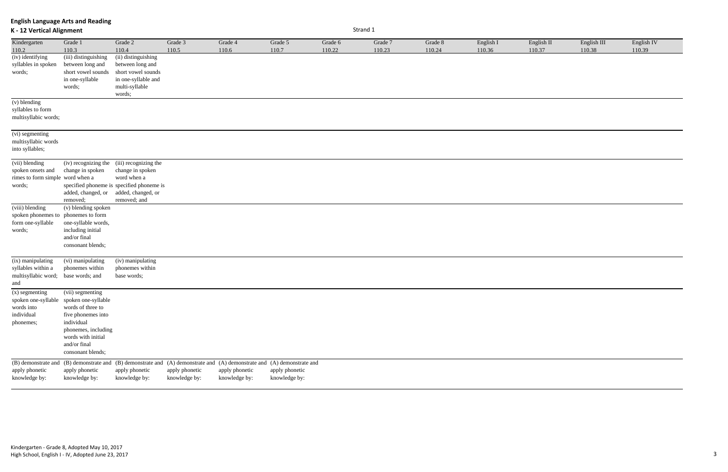| <b>English Language Arts and Reading</b> |  |  |
|------------------------------------------|--|--|
|------------------------------------------|--|--|

| Kindergarten<br>110.2                                                                 | Grade 1<br>110.3                                                                                                                                                                                       | Grade 2<br>110.4                                                                                                                                                 | Grade 3<br>110.5                | Grade 4<br>110.6                                                                                                                       | Grade 5<br>110.7                | Grade 6<br>110.22 | Grade 7<br>110.23 | Grade 8<br>110.24 | English I<br>110.36 | English II<br>110.37 | English III<br>110.38 | English <sub>IV</sub><br>110.39 |
|---------------------------------------------------------------------------------------|--------------------------------------------------------------------------------------------------------------------------------------------------------------------------------------------------------|------------------------------------------------------------------------------------------------------------------------------------------------------------------|---------------------------------|----------------------------------------------------------------------------------------------------------------------------------------|---------------------------------|-------------------|-------------------|-------------------|---------------------|----------------------|-----------------------|---------------------------------|
| (iv) identifying<br>syllables in spoken<br>words;                                     | (iii) distinguishing<br>between long and<br>short vowel sounds<br>in one-syllable<br>words;                                                                                                            | (ii) distinguishing<br>between long and<br>short vowel sounds<br>in one-syllable and<br>multi-syllable<br>words;                                                 |                                 |                                                                                                                                        |                                 |                   |                   |                   |                     |                      |                       |                                 |
| (v) blending<br>syllables to form<br>multisyllabic words;                             |                                                                                                                                                                                                        |                                                                                                                                                                  |                                 |                                                                                                                                        |                                 |                   |                   |                   |                     |                      |                       |                                 |
| (vi) segmenting<br>multisyllabic words<br>into syllables;                             |                                                                                                                                                                                                        |                                                                                                                                                                  |                                 |                                                                                                                                        |                                 |                   |                   |                   |                     |                      |                       |                                 |
| (vii) blending<br>spoken onsets and<br>rimes to form simple word when a<br>words;     | change in spoken<br>added, changed, or<br>removed;                                                                                                                                                     | (iv) recognizing the (iii) recognizing the<br>change in spoken<br>word when a<br>specified phoneme is specified phoneme is<br>added, changed, or<br>removed; and |                                 |                                                                                                                                        |                                 |                   |                   |                   |                     |                      |                       |                                 |
| (viii) blending<br>spoken phonemes to phonemes to form<br>form one-syllable<br>words; | (v) blending spoken<br>one-syllable words,<br>including initial<br>and/or final<br>consonant blends;                                                                                                   |                                                                                                                                                                  |                                 |                                                                                                                                        |                                 |                   |                   |                   |                     |                      |                       |                                 |
| (ix) manipulating<br>syllables within a<br>multisyllabic word;<br>and                 | (vi) manipulating<br>phonemes within<br>base words; and                                                                                                                                                | (iv) manipulating<br>phonemes within<br>base words;                                                                                                              |                                 |                                                                                                                                        |                                 |                   |                   |                   |                     |                      |                       |                                 |
| (x) segmenting<br>words into<br>individual<br>phonemes;                               | (vii) segmenting<br>spoken one-syllable spoken one-syllable<br>words of three to<br>five phonemes into<br>individual<br>phonemes, including<br>words with initial<br>and/or final<br>consonant blends; |                                                                                                                                                                  |                                 |                                                                                                                                        |                                 |                   |                   |                   |                     |                      |                       |                                 |
| (B) demonstrate and<br>apply phonetic<br>knowledge by:                                | apply phonetic<br>knowledge by:                                                                                                                                                                        | apply phonetic<br>knowledge by:                                                                                                                                  | apply phonetic<br>knowledge by: | (B) demonstrate and (B) demonstrate and (A) demonstrate and (A) demonstrate and (A) demonstrate and<br>apply phonetic<br>knowledge by: | apply phonetic<br>knowledge by: |                   |                   |                   |                     |                      |                       |                                 |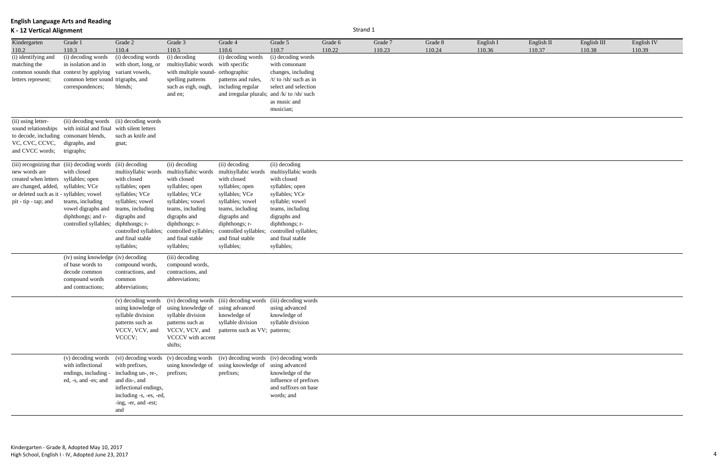| Kindergarten<br>110.2                                                                                                                                           | Grade 1<br>110.3                                                                                                                                                                  | Grade 2<br>110.4                                                                                                                                                                                                            | Grade 3<br>110.5                                                                                                                                                                                     | Grade 4<br>110.6                                                                                                                                                                                                             | Grade 5<br>110.7                                                                                                                                                                                                             | Grade 6<br>110.22 | Grade 7<br>110.23 | Grade 8<br>110.24 | English I<br>110.36 | English II<br>110.37 | English III<br>110.38 | English IV<br>110.39 |
|-----------------------------------------------------------------------------------------------------------------------------------------------------------------|-----------------------------------------------------------------------------------------------------------------------------------------------------------------------------------|-----------------------------------------------------------------------------------------------------------------------------------------------------------------------------------------------------------------------------|------------------------------------------------------------------------------------------------------------------------------------------------------------------------------------------------------|------------------------------------------------------------------------------------------------------------------------------------------------------------------------------------------------------------------------------|------------------------------------------------------------------------------------------------------------------------------------------------------------------------------------------------------------------------------|-------------------|-------------------|-------------------|---------------------|----------------------|-----------------------|----------------------|
| (i) identifying and<br>matching the<br>letters represent;                                                                                                       | (i) decoding words<br>in isolation and in<br>common sounds that context by applying variant vowels,<br>common letter sound trigraphs, and<br>correspondences;                     | (i) decoding words<br>with short, long, or<br>blends;                                                                                                                                                                       | (i) decoding<br>multisyllabic words with specific<br>with multiple sound- orthographic<br>spelling patterns<br>such as eigh, ough,<br>and en;                                                        | (i) decoding words<br>patterns and rules,<br>including regular<br>and irregular plurals; and /k/ to /sh/ such                                                                                                                | (i) decoding words<br>with consonant<br>changes, including<br>/ $t/$ to /sh/ such as in<br>select and selection<br>as music and<br>musician;                                                                                 |                   |                   |                   |                     |                      |                       |                      |
| (ii) using letter-<br>sound relationships<br>to decode, including consonant blends,<br>VC, CVC, CCVC,<br>and CVCC words;                                        | (ii) decoding words (ii) decoding words<br>with initial and final with silent letters<br>digraphs, and<br>trigraphs;                                                              | such as knife and<br>gnat;                                                                                                                                                                                                  |                                                                                                                                                                                                      |                                                                                                                                                                                                                              |                                                                                                                                                                                                                              |                   |                   |                   |                     |                      |                       |                      |
| new words are<br>created when letters syllables; open<br>are changed, added, syllables; VCe<br>or deleted such as it - syllables; vowel<br>pit - tip - tap; and | (iii) recognizing that (iii) decoding words (iii) decoding<br>with closed<br>teams, including<br>vowel digraphs and<br>diphthongs; and r-<br>controlled syllables; diphthongs; r- | multisyllabic words<br>with closed<br>syllables; open<br>syllables; VCe<br>syllables; vowel<br>teams, including<br>digraphs and<br>controlled syllables; controlled syllables;<br>and final stable<br>syllables;            | (ii) decoding<br>multisyllabic words<br>with closed<br>syllables; open<br>syllables; VCe<br>syllables; vowel<br>teams, including<br>digraphs and<br>diphthongs; r-<br>and final stable<br>syllables; | (ii) decoding<br>multisyllabic words<br>with closed<br>syllables; open<br>syllables; VCe<br>syllables; vowel<br>teams, including<br>digraphs and<br>diphthongs; r-<br>controlled syllables<br>and final stable<br>syllables; | (ii) decoding<br>multisyllabic words<br>with closed<br>syllables; open<br>syllables; VCe<br>syllable; vowel<br>teams, including<br>digraphs and<br>diphthongs; r-<br>controlled syllables;<br>and final stable<br>syllables; |                   |                   |                   |                     |                      |                       |                      |
|                                                                                                                                                                 | (iv) using knowledge (iv) decoding<br>of base words to<br>decode common<br>compound words<br>and contractions;                                                                    | compound words,<br>contractions, and<br>common<br>abbreviations;                                                                                                                                                            | (iii) decoding<br>compound words,<br>contractions, and<br>abbreviations;                                                                                                                             |                                                                                                                                                                                                                              |                                                                                                                                                                                                                              |                   |                   |                   |                     |                      |                       |                      |
|                                                                                                                                                                 |                                                                                                                                                                                   | using knowledge of<br>syllable division<br>patterns such as<br>VCCV, VCV, and VCCV, VCV, and<br>VCCCV;                                                                                                                      | using knowledge of using advanced<br>syllable division<br>patterns such as<br>VCCCV with accent<br>shifts;                                                                                           | (v) decoding words (iv) decoding words (iii) decoding words (iii) decoding words<br>knowledge of<br>syllable division<br>patterns such as VV; patterns;                                                                      | using advanced<br>knowledge of<br>syllable division                                                                                                                                                                          |                   |                   |                   |                     |                      |                       |                      |
|                                                                                                                                                                 | (v) decoding words<br>with inflectional<br>endings, including -<br>ed, -s, and -es; and                                                                                           | (vi) decoding words (v) decoding words (iv) decoding words (iv) decoding words<br>with prefixes,<br>including un-, re-,<br>and dis-, and<br>inflectional endings,<br>including -s, -es, -ed,<br>-ing, -er, and -est;<br>and | using knowledge of using knowledge of<br>prefixes;                                                                                                                                                   | prefixes;                                                                                                                                                                                                                    | using advanced<br>knowledge of the<br>influence of prefixes<br>and suffixes on base<br>words; and                                                                                                                            |                   |                   |                   |                     |                      |                       |                      |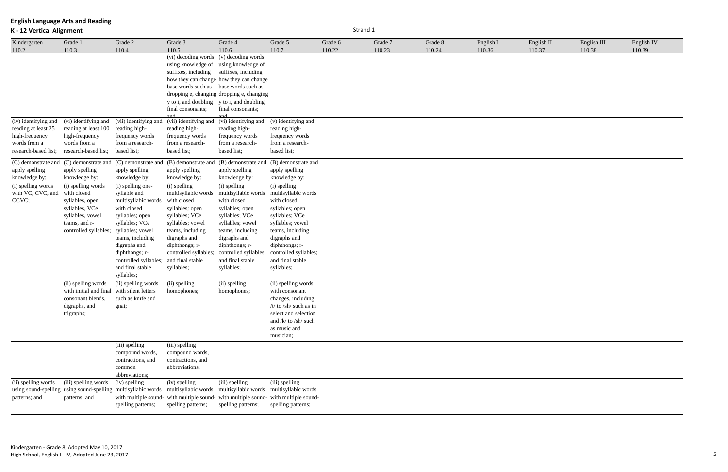| Kindergarten<br>110.2                                                                                 | Grade 1<br>110.3                                                                                                                     | Grade 2<br>110.4                                                                                                                                                                                                                                  | Grade 3<br>110.5                                                                                                                                                                                                                                                                     | Grade 4<br>110.6                                                                                                                                                                                                            | Grade 5<br>110.7                                                                                                                                                                                                             | Grade 6<br>110.22 | Grade 7<br>110.23 | Grade 8<br>110.24 | English I<br>110.36 | English II<br>110.37 | English III<br>110.38 | English IV<br>110.39 |
|-------------------------------------------------------------------------------------------------------|--------------------------------------------------------------------------------------------------------------------------------------|---------------------------------------------------------------------------------------------------------------------------------------------------------------------------------------------------------------------------------------------------|--------------------------------------------------------------------------------------------------------------------------------------------------------------------------------------------------------------------------------------------------------------------------------------|-----------------------------------------------------------------------------------------------------------------------------------------------------------------------------------------------------------------------------|------------------------------------------------------------------------------------------------------------------------------------------------------------------------------------------------------------------------------|-------------------|-------------------|-------------------|---------------------|----------------------|-----------------------|----------------------|
|                                                                                                       |                                                                                                                                      |                                                                                                                                                                                                                                                   | (vi) decoding words (v) decoding words<br>using knowledge of using knowledge of<br>suffixes, including<br>how they can change how they can change<br>base words such as base words such as<br>dropping e, changing dropping e, changing<br>y to i, and doubling<br>final consonants; | suffixes, including<br>y to i, and doubling<br>final consonants;                                                                                                                                                            |                                                                                                                                                                                                                              |                   |                   |                   |                     |                      |                       |                      |
| (iv) identifying and<br>reading at least 25<br>high-frequency<br>words from a<br>research-based list; | (vi) identifying and<br>reading at least 100<br>high-frequency<br>words from a<br>research-based list;                               | (vii) identifying and<br>reading high-<br>frequency words<br>from a research-<br>based list;                                                                                                                                                      | (vii) identifying and<br>reading high-<br>frequency words<br>from a research-<br>based list;                                                                                                                                                                                         | $\overline{(vi)}$ identifying and<br>reading high-<br>frequency words<br>from a research-<br>based list;                                                                                                                    | (v) identifying and<br>reading high-<br>frequency words<br>from a research-<br>based list;                                                                                                                                   |                   |                   |                   |                     |                      |                       |                      |
| (C) demonstrate and<br>apply spelling<br>knowledge by:                                                | (C) demonstrate and<br>apply spelling<br>knowledge by:                                                                               | (C) demonstrate and<br>apply spelling<br>knowledge by:                                                                                                                                                                                            | (B) demonstrate and<br>apply spelling<br>knowledge by:                                                                                                                                                                                                                               | (B) demonstrate and<br>apply spelling<br>knowledge by:                                                                                                                                                                      | (B) demonstrate and<br>apply spelling<br>knowledge by:                                                                                                                                                                       |                   |                   |                   |                     |                      |                       |                      |
| (i) spelling words<br>with VC, CVC, and<br>CCVC;                                                      | (i) spelling words<br>with closed<br>syllables, open<br>syllables, VCe<br>syllables, vowel<br>teams, and r-<br>controlled syllables; | (i) spelling one-<br>syllable and<br>multisyllabic words<br>with closed<br>syllables; open<br>syllables; VCe<br>syllables; vowel<br>teams, including<br>digraphs and<br>diphthongs; r-<br>controlled syllables;<br>and final stable<br>syllables; | (i) spelling<br>multisyllabic words<br>with closed<br>syllables; open<br>syllables; VCe<br>syllables; vowel<br>teams, including<br>digraphs and<br>diphthongs; r-<br>controlled syllables<br>and final stable<br>syllables;                                                          | (i) spelling<br>multisyllabic words<br>with closed<br>syllables; open<br>syllables; VCe<br>syllables; vowel<br>teams, including<br>digraphs and<br>diphthongs; r-<br>controlled syllables<br>and final stable<br>syllables; | (i) spelling<br>multisyllabic words<br>with closed<br>syllables; open<br>syllables; VCe<br>syllables; vowel<br>teams, including<br>digraphs and<br>diphthongs; r-<br>controlled syllables;<br>and final stable<br>syllables; |                   |                   |                   |                     |                      |                       |                      |
|                                                                                                       | (ii) spelling words<br>with initial and final<br>consonant blends,<br>digraphs, and<br>trigraphs;                                    | (ii) spelling words<br>with silent letters<br>such as knife and<br>gnat;                                                                                                                                                                          | (ii) spelling<br>homophones;                                                                                                                                                                                                                                                         | (ii) spelling<br>homophones;                                                                                                                                                                                                | (ii) spelling words<br>with consonant<br>changes, including<br>/t/ to /sh/ such as in<br>select and selection<br>and $/k/$ to $/\text{sh}/\text{ such}$<br>as music and<br>musician;                                         |                   |                   |                   |                     |                      |                       |                      |
|                                                                                                       |                                                                                                                                      | (iii) spelling<br>compound words,<br>contractions, and<br>common<br>abbreviations;                                                                                                                                                                | (iii) spelling<br>compound words,<br>contractions, and<br>abbreviations;                                                                                                                                                                                                             |                                                                                                                                                                                                                             |                                                                                                                                                                                                                              |                   |                   |                   |                     |                      |                       |                      |
| (ii) spelling words<br>patterns; and                                                                  | (iii) spelling words<br>patterns; and                                                                                                | (iv) spelling<br>using sound-spelling using sound-spelling multisyllabic words multisyllabic words<br>spelling patterns;                                                                                                                          | (iv) spelling<br>with multiple sound- with multiple sound- with multiple sound-<br>spelling patterns;                                                                                                                                                                                | (iii) spelling<br>multisyllabic words<br>spelling patterns;                                                                                                                                                                 | (iii) spelling<br>multisyllabic words<br>with multiple sound-<br>spelling patterns;                                                                                                                                          |                   |                   |                   |                     |                      |                       |                      |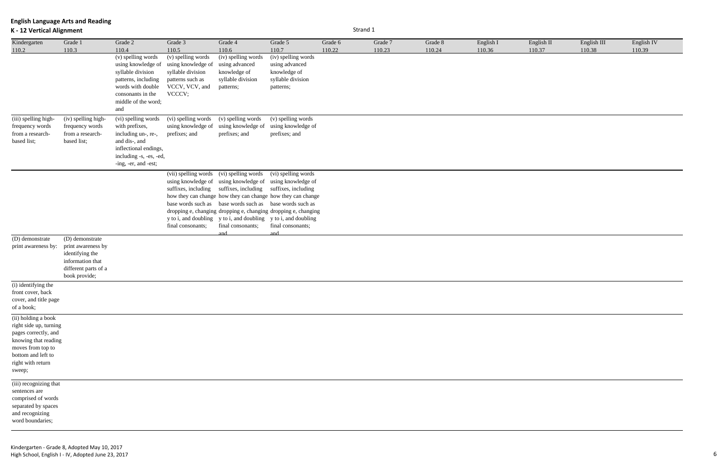| Kindergarten<br>110.2                                                                                                                                                   | Grade 1<br>110.3                                                                                                      | Grade 2<br>110.4                                                                                                                                             | Grade 3<br>110.5                                                                                              | Grade 4<br>110.6                                                                                                                                                                                                                    | Grade 5<br>110.7                                                                                                                                                                                                       | Grade 6<br>110.22 | Grade 7<br>110.23 | Grade 8<br>110.24 | English I<br>110.36 | English II<br>110.37 | English III<br>110.38 | English IV<br>110.39 |
|-------------------------------------------------------------------------------------------------------------------------------------------------------------------------|-----------------------------------------------------------------------------------------------------------------------|--------------------------------------------------------------------------------------------------------------------------------------------------------------|---------------------------------------------------------------------------------------------------------------|-------------------------------------------------------------------------------------------------------------------------------------------------------------------------------------------------------------------------------------|------------------------------------------------------------------------------------------------------------------------------------------------------------------------------------------------------------------------|-------------------|-------------------|-------------------|---------------------|----------------------|-----------------------|----------------------|
|                                                                                                                                                                         |                                                                                                                       | (v) spelling words<br>using knowledge of<br>syllable division<br>patterns, including<br>words with double<br>consonants in the<br>middle of the word;<br>and | (v) spelling words<br>using knowledge of<br>syllable division<br>patterns such as<br>VCCV, VCV, and<br>VCCCV; | (iv) spelling words<br>using advanced<br>knowledge of<br>syllable division<br>patterns;                                                                                                                                             | (iv) spelling words<br>using advanced<br>knowledge of<br>syllable division<br>patterns;                                                                                                                                |                   |                   |                   |                     |                      |                       |                      |
| (iii) spelling high-<br>frequency words<br>from a research-<br>based list;                                                                                              | (iv) spelling high-<br>frequency words<br>from a research-<br>based list;                                             | (vi) spelling words<br>with prefixes,<br>including un-, re-,<br>and dis-, and<br>inflectional endings,<br>including -s, -es, -ed,<br>-ing, -er, and -est;    | (vi) spelling words<br>using knowledge of<br>prefixes; and                                                    | (v) spelling words<br>using knowledge of<br>prefixes; and                                                                                                                                                                           | (v) spelling words<br>using knowledge of<br>prefixes; and                                                                                                                                                              |                   |                   |                   |                     |                      |                       |                      |
|                                                                                                                                                                         |                                                                                                                       |                                                                                                                                                              | (vii) spelling words (vi) spelling words<br>final consonants;                                                 | using knowledge of using knowledge of<br>suffixes, including suffixes, including<br>base words such as base words such as base words such as<br>y to i, and doubling y to i, and doubling y to i, and doubling<br>final consonants; | (vi) spelling words<br>using knowledge of<br>suffixes, including<br>how they can change how they can change how they can change<br>dropping e, changing dropping e, changing dropping e, changing<br>final consonants; |                   |                   |                   |                     |                      |                       |                      |
| (D) demonstrate<br>print awareness by:                                                                                                                                  | (D) demonstrate<br>print awareness by<br>identifying the<br>information that<br>different parts of a<br>book provide; |                                                                                                                                                              |                                                                                                               | and                                                                                                                                                                                                                                 | and                                                                                                                                                                                                                    |                   |                   |                   |                     |                      |                       |                      |
| (i) identifying the<br>front cover, back<br>cover, and title page<br>of a book;                                                                                         |                                                                                                                       |                                                                                                                                                              |                                                                                                               |                                                                                                                                                                                                                                     |                                                                                                                                                                                                                        |                   |                   |                   |                     |                      |                       |                      |
| (ii) holding a book<br>right side up, turning<br>pages correctly, and<br>knowing that reading<br>moves from top to<br>bottom and left to<br>right with return<br>sweep; |                                                                                                                       |                                                                                                                                                              |                                                                                                               |                                                                                                                                                                                                                                     |                                                                                                                                                                                                                        |                   |                   |                   |                     |                      |                       |                      |
| (iii) recognizing that<br>sentences are<br>comprised of words<br>separated by spaces<br>and recognizing<br>word boundaries;                                             |                                                                                                                       |                                                                                                                                                              |                                                                                                               |                                                                                                                                                                                                                                     |                                                                                                                                                                                                                        |                   |                   |                   |                     |                      |                       |                      |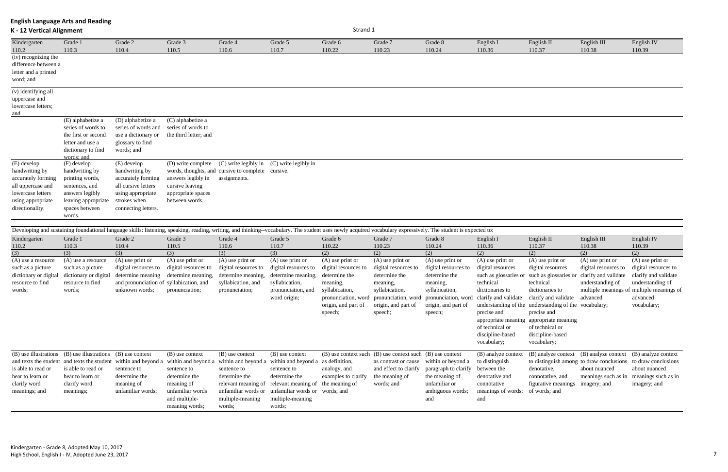| glish II | English III | English IV |  |
|----------|-------------|------------|--|
| ).37     | 110.38      | 110.39     |  |
|          |             |            |  |

| ັ<br>ັບ ບ<br>K - 12 Vertical Alignment |         | .       |         |         |         |         | Strand 1 |         |           |            |             |            |
|----------------------------------------|---------|---------|---------|---------|---------|---------|----------|---------|-----------|------------|-------------|------------|
| Kindergarten                           | Grade 1 | Grade 2 | Grade 3 | Grade 4 | Grade 5 | Grade 6 | Grade 7  | Grade 8 | English I | English II | English III | English IV |
| 110.2                                  | 110.3   | 110.4   | 110.5   | 110.6   | 110.7   | 110.22  | 110.23   | 110.24  | 110.36    | 110.37     | 110.38      | 110.39     |
| (iv) recognizing the                   |         |         |         |         |         |         |          |         |           |            |             |            |
| difference between a                   |         |         |         |         |         |         |          |         |           |            |             |            |
| letter and a printed                   |         |         |         |         |         |         |          |         |           |            |             |            |

word; and

(v) identifying all uppercase and

lowercase letters;

| and                |                     |                     |                                                                    |
|--------------------|---------------------|---------------------|--------------------------------------------------------------------|
|                    | (E) alphabetize a   | (D) alphabetize a   | (C) alphabetize a                                                  |
|                    | series of words to  | series of words and | series of words to                                                 |
|                    | the first or second | use a dictionary or | the third letter; and                                              |
|                    | letter and use a    | glossary to find    |                                                                    |
|                    | dictionary to find  | words; and          |                                                                    |
|                    | words: and          |                     |                                                                    |
| (E) develop        | (F) develop         | (E) develop         | (C) write legibly in<br>(C) write legibly in<br>(D) write complete |
| handwriting by     | handwriting by      | handwriting by      | words, thoughts, and cursive to complete cursive.                  |
| accurately forming | printing words,     | accurately forming  | answers legibly in<br>assignments.                                 |
| all uppercase and  | sentences, and      | all cursive letters | cursive leaving                                                    |
| lowercase letters  | answers legibly     | using appropriate   | appropriate spaces                                                 |
| using appropriate  | leaving appropriate | strokes when        | between words.                                                     |
| directionality.    | spaces between      | connecting letters. |                                                                    |
|                    | words.              |                     |                                                                    |

|                       |                                             | Developing and sustaining foundational language skills: listening, speaking, reading, writing, and thinking--vocabulary. The student uses newly acquired vocabulary expressively. The student is expected to: |                      |                      |                      |                      |                                      |                      |                       |                                                       |                                                              |                                           |
|-----------------------|---------------------------------------------|---------------------------------------------------------------------------------------------------------------------------------------------------------------------------------------------------------------|----------------------|----------------------|----------------------|----------------------|--------------------------------------|----------------------|-----------------------|-------------------------------------------------------|--------------------------------------------------------------|-------------------------------------------|
| Kindergarten          | Grade 1                                     | Grade 2                                                                                                                                                                                                       | Grade 3              | Grade 4              | Grade 5              | Grade 6              | Grade 7                              | Grade 8              | English I             | English II                                            | English III                                                  | English IV                                |
| 110.2                 | 110.3                                       | 110.4                                                                                                                                                                                                         | 110.5                | 110.6                | 110.7                | 110.22               | 110.23                               | 110.24               | 110.36                | 110.37                                                | 110.38                                                       | 110.39                                    |
| (3)                   | (3)                                         | (3)                                                                                                                                                                                                           | (3)                  | (3)                  | (3)                  | (2)                  | (2)                                  | (2)                  | (2)                   | (2)                                                   | (2)                                                          | (2)                                       |
| (A) use a resource    | (A) use a resource                          | $(A)$ use print or                                                                                                                                                                                            | $(A)$ use print or   | $(A)$ use print or   | $(A)$ use print or   | $(A)$ use print or   | $(A)$ use print or                   | $(A)$ use print or   | $(A)$ use print or    | $(A)$ use print or                                    | $(A)$ use print or                                           | $(A)$ use print or                        |
| such as a picture     | such as a picture                           | digital resources to                                                                                                                                                                                          | digital resources to | digital resources to | digital resources to | digital resources to | digital resources to                 | digital resources to | digital resources     | digital resources                                     | digital resources to                                         | digital resources to                      |
| dictionary or digital | dictionary or digital                       | determine meaning                                                                                                                                                                                             | determine meaning.   | determine meaning.   | determine meaning.   | determine the        | determine the                        | determine the        | such as glossaries or | such as glossaries or                                 | clarify and validate                                         | clarify and validate                      |
| resource to find      | resource to find                            | and pronunciation of syllabication, and                                                                                                                                                                       |                      | syllabication, and   | syllabication,       | meaning,             | meaning,                             | meaning,             | technical             | technical                                             | understanding of                                             | understanding of                          |
| words;                | words;                                      | unknown words:                                                                                                                                                                                                | pronunciation;       | pronunciation;       | pronunciation, and   | syllabication,       | syllabication,                       | syllabication,       | dictionaries to       | dictionaries to                                       |                                                              | multiple meanings of multiple meanings of |
|                       |                                             |                                                                                                                                                                                                               |                      |                      | word origin;         | pronunciation, word  | pronunciation, word                  | pronunciation, wore  | clarify and validate  | clarify and validate                                  | advanced                                                     | advanced                                  |
|                       |                                             |                                                                                                                                                                                                               |                      |                      |                      | origin, and part of  | origin, and part of                  | origin, and part of  |                       | understanding of the understanding of the vocabulary; |                                                              | vocabulary;                               |
|                       |                                             |                                                                                                                                                                                                               |                      |                      |                      | speech;              | speech;                              | speech;              | precise and           | precise and                                           |                                                              |                                           |
|                       |                                             |                                                                                                                                                                                                               |                      |                      |                      |                      |                                      |                      | appropriate meaning   | appropriate meaning                                   |                                                              |                                           |
|                       |                                             |                                                                                                                                                                                                               |                      |                      |                      |                      |                                      |                      | of technical or       | of technical or                                       |                                                              |                                           |
|                       |                                             |                                                                                                                                                                                                               |                      |                      |                      |                      |                                      |                      | discipline-based      | discipline-based                                      |                                                              |                                           |
|                       |                                             |                                                                                                                                                                                                               |                      |                      |                      |                      |                                      |                      | vocabulary;           | vocabulary;                                           |                                                              |                                           |
|                       | (B) use illustrations (B) use illustrations | (B) use context                                                                                                                                                                                               | (B) use context      | (B) use context      | (B) use context      | (B) use context such | (B) use context such (B) use context |                      | (B) analyze context   | (B) analyze context                                   | (B) analyze context                                          | (B) analyze context                       |
| and texts the student | and texts the student                       | within and beyond a                                                                                                                                                                                           | within and beyond    | within and beyond a  | within and beyond a  | as definition,       | as contrast or cause                 | within or beyond a   | to distinguish        |                                                       | to distinguish among to draw conclusions to draw conclusions |                                           |
| is able to read or    | is able to read or                          | sentence to                                                                                                                                                                                                   | sentence to          | sentence to          | sentence to          | analogy, and         | and effect to clarify                | paragraph to clarify | between the           | denotative,                                           | about nuanced                                                | about nuanced                             |
| hear to learn or      | hear to learn or                            | determine the                                                                                                                                                                                                 | determine the        | determine the        | determine the        | examples to clarify  | the meaning of                       | the meaning of       | denotative and        | connotative, and                                      | meanings such as in                                          | meanings such as in                       |
| clarify word          | clarify word                                | meaning of                                                                                                                                                                                                    | meaning of           | relevant meaning of  | relevant meaning of  | the meaning of       | words; and                           | unfamiliar or        | connotative           | figurative meanings                                   | imagery; and                                                 | imagery; and                              |
| meanings; and         | meanings;                                   | unfamiliar words;                                                                                                                                                                                             | unfamiliar words     | unfamiliar words or  | unfamiliar words or  | words: and           |                                      | ambiguous words;     | meanings of words;    | of words; and                                         |                                                              |                                           |
|                       |                                             |                                                                                                                                                                                                               | and multiple-        | multiple-meaning     | multiple-meaning     |                      |                                      | and                  | and                   |                                                       |                                                              |                                           |
|                       |                                             |                                                                                                                                                                                                               | meaning words;       | words:               | words:               |                      |                                      |                      |                       |                                                       |                                                              |                                           |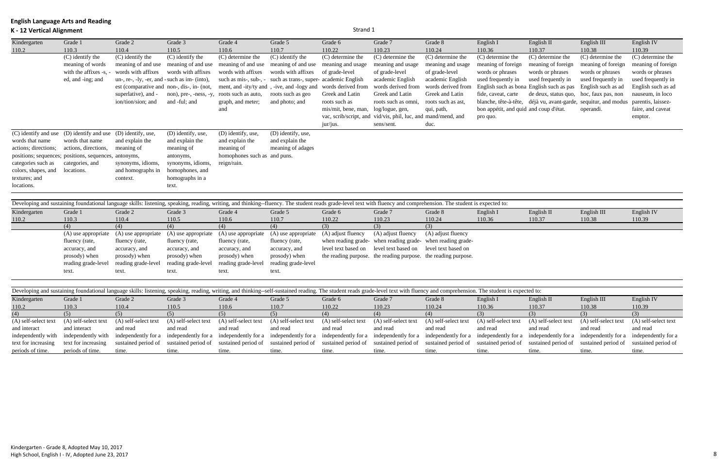| Kindergarten         | Grade 1                                                                                                                                                                                                                        | Grade 2                                               | Grade 3                                    | Grade 4                      | Grade 5                                 | Grade 6              | Grade 7                                                        | Grade 8                                 | English I                              | English II                                                   | English III          | English IV           |
|----------------------|--------------------------------------------------------------------------------------------------------------------------------------------------------------------------------------------------------------------------------|-------------------------------------------------------|--------------------------------------------|------------------------------|-----------------------------------------|----------------------|----------------------------------------------------------------|-----------------------------------------|----------------------------------------|--------------------------------------------------------------|----------------------|----------------------|
| 110.2                | 110.3                                                                                                                                                                                                                          | 110.4                                                 | 110.5                                      | 110.6                        | 110.7                                   | 110.22               | 110.23                                                         | 110.24                                  | 110.36                                 | 110.37                                                       | 110.38               | 110.39               |
|                      | (C) identify the                                                                                                                                                                                                               | (C) identify the                                      | (C) identify the                           | (C) determine the            | (C) identify the                        | $(C)$ determine the  | (C) determine the                                              | (C) determine the                       | (C) determine the                      | $(C)$ determine the                                          | (C) determine the    | (C) determine the    |
|                      | meaning of words                                                                                                                                                                                                               | meaning of and use                                    | meaning of and use                         | meaning of and use           | meaning of and use                      | meaning and usage    | meaning and usage                                              | meaning and usage                       | meaning of foreign                     | meaning of foreign                                           | meaning of foreign   | meaning of foreign   |
|                      | with the affixes -s,                                                                                                                                                                                                           | words with affixes                                    | words with affixes                         | words with affixes           | words with affixes                      | of grade-level       | of grade-level                                                 | of grade-level                          | words or phrases                       | words or phrases                                             | words or phrases     | words or phrases     |
|                      | ed, and -ing; and                                                                                                                                                                                                              | un-, re-, $-ly$ , $-er$ , and $- such as im-(into)$ , |                                            | such as mis-, sub-, -        | such as trans-, super- academic English |                      | academic English                                               | academic English                        | used frequently in                     | used frequently in                                           | used frequently in   | used frequently in   |
|                      |                                                                                                                                                                                                                                |                                                       | est (comparative and non-, dis-, in- (not, | ment, and -ity/ty and        | , -ive, and -logy and                   | words derived from   | words derived from                                             | words derived from                      |                                        | English such as bona English such as pas                     | English such as ad   | English such as ad   |
|                      |                                                                                                                                                                                                                                | superlative), and -                                   | non), pre-, -ness, -y, roots such as auto, |                              | roots such as geo                       | Greek and Latin      | Greek and Latin                                                | Greek and Latin                         | fide, caveat, carte                    | de deux, status quo,                                         | hoc, faux pas, non   | nauseum, in loco     |
|                      |                                                                                                                                                                                                                                | ion/tion/sion; and                                    | and -ful; and                              | graph, and meter;            | and photo; and                          | roots such as        | roots such as omni,                                            | roots such as ast,                      | blanche, tête-à-tête,                  | déjà vu, avant-garde, sequitur, and modus parentis, laissez- |                      |                      |
|                      |                                                                                                                                                                                                                                |                                                       |                                            | and                          |                                         | mis/mit, bene, man,  | log/logue, gen,                                                | qui, path,                              | bon appétit, and quid and coup d'état. |                                                              | operandi.            | faire, and caveat    |
|                      |                                                                                                                                                                                                                                |                                                       |                                            |                              |                                         |                      | vac, scrib/script, and vid/vis, phil, luc, and mand/mend, and  |                                         | pro quo.                               |                                                              |                      | emptor.              |
|                      |                                                                                                                                                                                                                                |                                                       |                                            |                              |                                         | jur/jus.             | sens/sent.                                                     | duc.                                    |                                        |                                                              |                      |                      |
|                      | (C) identify and use (D) identify and use                                                                                                                                                                                      | (D) identify, use,                                    | (D) identify, use,                         | (D) identify, use,           | (D) identify, use,                      |                      |                                                                |                                         |                                        |                                                              |                      |                      |
| words that name      | words that name                                                                                                                                                                                                                | and explain the                                       | and explain the                            | and explain the              | and explain the                         |                      |                                                                |                                         |                                        |                                                              |                      |                      |
| actions; directions; | actions, directions,                                                                                                                                                                                                           | meaning of                                            | meaning of                                 | meaning of                   | meaning of adages                       |                      |                                                                |                                         |                                        |                                                              |                      |                      |
|                      | positions; sequences; positions, sequences, antonyms,                                                                                                                                                                          |                                                       | antonyms,                                  | homophones such as and puns. |                                         |                      |                                                                |                                         |                                        |                                                              |                      |                      |
| categories such as   | categories, and                                                                                                                                                                                                                | synonyms, idioms,                                     | synonyms, idioms,                          | reign/rain.                  |                                         |                      |                                                                |                                         |                                        |                                                              |                      |                      |
| colors, shapes, and  | locations.                                                                                                                                                                                                                     | and homographs in                                     | homophones, and                            |                              |                                         |                      |                                                                |                                         |                                        |                                                              |                      |                      |
| textures; and        |                                                                                                                                                                                                                                | context.                                              | homographs in a                            |                              |                                         |                      |                                                                |                                         |                                        |                                                              |                      |                      |
| locations.           |                                                                                                                                                                                                                                |                                                       | text.                                      |                              |                                         |                      |                                                                |                                         |                                        |                                                              |                      |                      |
|                      |                                                                                                                                                                                                                                |                                                       |                                            |                              |                                         |                      |                                                                |                                         |                                        |                                                              |                      |                      |
|                      |                                                                                                                                                                                                                                |                                                       |                                            |                              |                                         |                      |                                                                |                                         |                                        |                                                              |                      |                      |
|                      | Developing and sustaining foundational language skills: listening, speaking, reading, writing, and thinking--fluency. The student reads grade-level text with fluency and comprehension. The student is expected to:           |                                                       |                                            |                              |                                         |                      |                                                                |                                         |                                        |                                                              |                      |                      |
| Kindergarten         | Grade 1                                                                                                                                                                                                                        | Grade 2                                               | Grade 3                                    | Grade 4                      | Grade 5                                 | Grade 6              | Grade 7                                                        | Grade 8                                 | English I                              | English II                                                   | English III          | English IV           |
| 110.2                | 110.3                                                                                                                                                                                                                          | 110.4                                                 | 110.5                                      | 110.6                        | 110.7                                   | 110.22               | 110.23                                                         | 110.24                                  | 110.36                                 | 110.37                                                       | 110.38               | 110.39               |
|                      | (4)                                                                                                                                                                                                                            | (4)                                                   | (4)                                        | (4)                          | (4)                                     | (3)                  | (3)                                                            | (3)                                     |                                        |                                                              |                      |                      |
|                      | (A) use appropriate                                                                                                                                                                                                            | (A) use appropriate                                   | (A) use appropriate                        | (A) use appropriate          | (A) use appropriate                     | (A) adjust fluency   | (A) adjust fluency                                             | (A) adjust fluency                      |                                        |                                                              |                      |                      |
|                      | fluency (rate,                                                                                                                                                                                                                 | fluency (rate,                                        | fluency (rate,                             | fluency (rate,               | fluency (rate,                          | when reading grade-  |                                                                | when reading grade- when reading grade- |                                        |                                                              |                      |                      |
|                      | accuracy, and                                                                                                                                                                                                                  | accuracy, and                                         | accuracy, and                              | accuracy, and                | accuracy, and                           | level text based on  | level text based on                                            | level text based on                     |                                        |                                                              |                      |                      |
|                      | prosody) when                                                                                                                                                                                                                  | prosody) when                                         | prosody) when                              | prosody) when                | prosody) when                           |                      | the reading purpose. the reading purpose. the reading purpose. |                                         |                                        |                                                              |                      |                      |
|                      | reading grade-level                                                                                                                                                                                                            | reading grade-level                                   | reading grade-level                        | reading grade-level          | reading grade-level                     |                      |                                                                |                                         |                                        |                                                              |                      |                      |
|                      | text.                                                                                                                                                                                                                          | text.                                                 | text.                                      | text.                        | text.                                   |                      |                                                                |                                         |                                        |                                                              |                      |                      |
|                      |                                                                                                                                                                                                                                |                                                       |                                            |                              |                                         |                      |                                                                |                                         |                                        |                                                              |                      |                      |
|                      | Developing and sustaining foundational language skills: listening, speaking, reading, writing, and thinking-self-sustained reading. The student reads grade-level text with fluency and comprehension. The student is expected |                                                       |                                            |                              |                                         |                      |                                                                |                                         |                                        |                                                              |                      |                      |
| Kindergarten         | Grade 1                                                                                                                                                                                                                        | Grade 2                                               | Grade 3                                    | Grade 4                      | Grade 5                                 | Grade 6              | Grade 7                                                        | Grade 8                                 | English I                              | English II                                                   | English III          | English IV           |
| 110.2                | 110.3                                                                                                                                                                                                                          | 110.4                                                 | 110.5                                      | 110.6                        | 110.7                                   | 110.22               | 110.23                                                         | 110.24                                  | 110.36                                 | 110.37                                                       | 110.38               | 110.39               |
| (4)                  | (5)                                                                                                                                                                                                                            | (5)                                                   | (5)                                        | (5)                          | (5)                                     | (4)                  | (4)                                                            | (4)                                     | (3)                                    | (3)                                                          | (3)                  | (3)                  |
| (A) self-select text | (A) self-select text                                                                                                                                                                                                           | (A) self-select text                                  | (A) self-select text                       | (A) self-select text         | (A) self-select text                    | (A) self-select text | (A) self-select text                                           | (A) self-select text                    | (A) self-select text                   | (A) self-select text                                         | (A) self-select text | (A) self-select text |
| and interact         | and interact                                                                                                                                                                                                                   | and read                                              | and read                                   | and read                     | and read                                | and read             | and read                                                       | and read                                | and read                               | and read                                                     | and read             | and read             |
| independently with   | independently with                                                                                                                                                                                                             | independently for a                                   | independently for a                        | independently for a          | independently for a                     | independently for a  | independently for a independently for a                        |                                         | independently for a                    | independently for a                                          | independently for a  | independently for a  |
| text for increasing  | text for increasing                                                                                                                                                                                                            | sustained period of                                   | sustained period of                        | sustained period of          | sustained period of                     | sustained period of  | sustained period of sustained period of                        |                                         | sustained period of                    | sustained period of                                          | sustained period of  | sustained period of  |
|                      |                                                                                                                                                                                                                                |                                                       |                                            |                              |                                         |                      |                                                                |                                         |                                        |                                                              |                      |                      |
| periods of time.     | periods of time.                                                                                                                                                                                                               | time.                                                 | time.                                      | time.                        | time.                                   | time.                | time.                                                          | time.                                   | time.                                  | time.                                                        | time.                | time.                |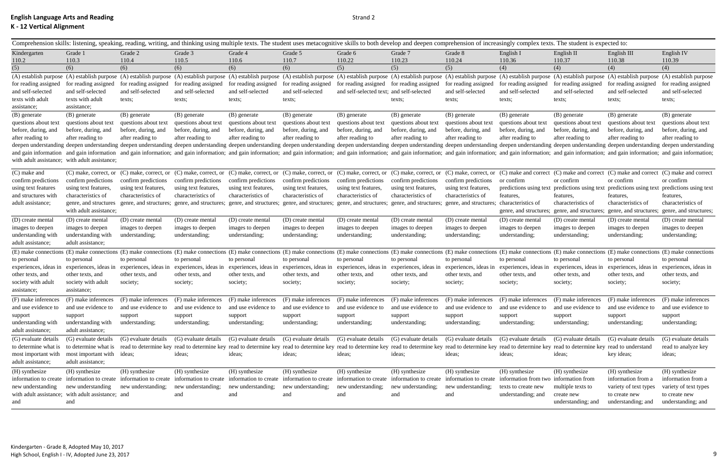|                       |                                                                   |                       |                       | Comprehension skills: listening, speaking, reading, writing, and thinking using multiple texts. The student uses metacognitive skills to both develop and deepen comprehension of increasingly complex texts. The student is e |                       |                                           |                                             |                        |                                       |                                                                                     |                                              |                                                                                                                                                                                                                                |
|-----------------------|-------------------------------------------------------------------|-----------------------|-----------------------|--------------------------------------------------------------------------------------------------------------------------------------------------------------------------------------------------------------------------------|-----------------------|-------------------------------------------|---------------------------------------------|------------------------|---------------------------------------|-------------------------------------------------------------------------------------|----------------------------------------------|--------------------------------------------------------------------------------------------------------------------------------------------------------------------------------------------------------------------------------|
| Kindergarten          | Grade 1                                                           | Grade 2               | Grade 3               | Grade 4                                                                                                                                                                                                                        | Grade 5               | Grade 6                                   | Grade 7                                     | Grade 8                | English I                             | English II                                                                          | English III                                  | English <sub>IV</sub>                                                                                                                                                                                                          |
| 110.2                 | 110.3                                                             | 110.4                 | 110.5                 | 110.6                                                                                                                                                                                                                          | 110.7                 | 110.22                                    | 110.23                                      | 110.24                 | 110.36                                | 110.37                                                                              | 110.38                                       | 110.39                                                                                                                                                                                                                         |
| (5)                   | (6)                                                               | (6)                   | (6)                   | (6)                                                                                                                                                                                                                            | (6)                   | (5)                                       | (5)                                         | (5)                    | (4)                                   | (4)                                                                                 | (4)                                          | (4)                                                                                                                                                                                                                            |
|                       |                                                                   |                       |                       | (A) establish purpose (A) establish purpose (A) establish purpose (A) establish purpose (A) establish purpose (A) establish purpose (A) establish purpose (A) establish purpose (A) establish purpose (A) establish purpose (A |                       |                                           |                                             |                        |                                       |                                                                                     |                                              |                                                                                                                                                                                                                                |
| for reading assigned  | for reading assigned                                              | for reading assigned  | for reading assigned  | for reading assigned                                                                                                                                                                                                           | for reading assigned  | for reading assigned                      | for reading assigned                        | for reading assigned   | for reading assigned                  | for reading assigned                                                                | for reading assigned                         | for reading assigned                                                                                                                                                                                                           |
| and self-selected     | and self-selected                                                 | and self-selected     | and self-selected     | and self-selected                                                                                                                                                                                                              | and self-selected     | and self-selected text; and self-selected |                                             | and self-selected      | and self-selected                     | and self-selected                                                                   | and self-selected                            | and self-selected                                                                                                                                                                                                              |
| texts with adult      | texts with adult                                                  | texts:                | texts;                | texts;                                                                                                                                                                                                                         | texts;                |                                           | texts;                                      | texts;                 | texts;                                | texts;                                                                              | texts;                                       | texts;                                                                                                                                                                                                                         |
| assistance;           | assistance;                                                       |                       |                       |                                                                                                                                                                                                                                |                       |                                           |                                             |                        |                                       |                                                                                     |                                              |                                                                                                                                                                                                                                |
| (B) generate          | (B) generate                                                      | (B) generate          | (B) generate          | (B) generate                                                                                                                                                                                                                   | (B) generate          | (B) generate                              | (B) generate                                | (B) generate           | (B) generate                          | (B) generate                                                                        | (B) generate                                 | (B) generate                                                                                                                                                                                                                   |
| questions about text  | questions about text                                              | questions about text  | questions about text  | questions about text                                                                                                                                                                                                           | questions about text  | questions about text                      | questions about text                        | questions about text   | questions about text                  | questions about text                                                                | questions about text                         | questions about text                                                                                                                                                                                                           |
| before, during, and   | before, during, and                                               | before, during, and   | before, during, and   | before, during, and                                                                                                                                                                                                            | before, during, and   | before, during, and                       | before, during, and                         | before, during, and    | before, during, and                   | before, during, and                                                                 | before, during, and                          | before, during, and                                                                                                                                                                                                            |
| after reading to      | after reading to                                                  | after reading to      | after reading to      | after reading to                                                                                                                                                                                                               | after reading to      | after reading to                          | after reading to                            | after reading to       | after reading to                      | after reading to                                                                    | after reading to                             | after reading to                                                                                                                                                                                                               |
|                       |                                                                   |                       |                       |                                                                                                                                                                                                                                |                       |                                           |                                             |                        |                                       |                                                                                     |                                              | deepen understanding deepen understanding deepen understanding deepen understanding deepen understanding deepen understanding deepen understanding deepen understanding deepen understanding deepen understanding deepen under |
|                       |                                                                   |                       |                       | and gain information and gain information and gain information; and gain information; and gain information; and gain information; and gain information; and gain information; and gain information; and gain information; and  |                       |                                           |                                             |                        |                                       |                                                                                     |                                              |                                                                                                                                                                                                                                |
|                       | with adult assistance; with adult assistance;                     |                       |                       |                                                                                                                                                                                                                                |                       |                                           |                                             |                        |                                       |                                                                                     |                                              |                                                                                                                                                                                                                                |
| (C) make and          | $(C)$ make, correct, or                                           | (C) make, correct, or | (C) make, correct, or | (C) make, correct, or                                                                                                                                                                                                          | (C) make, correct, or | (C) make, correct, or                     | (C) make, correct, or                       | (C) make, correct, or  |                                       | (C) make and correct (C) make and correct (C) make and correct (C) make and correct |                                              |                                                                                                                                                                                                                                |
| confirm predictions   | confirm predictions                                               | confirm predictions   | confirm predictions   | confirm predictions                                                                                                                                                                                                            | confirm predictions   | confirm predictions                       | confirm predictions                         | confirm predictions    | or confirm                            | or confirm                                                                          | or confirm                                   | or confirm                                                                                                                                                                                                                     |
| using text features   | using text features,                                              | using text features,  | using text features,  | using text features,                                                                                                                                                                                                           | using text features,  | using text features,                      | using text features,                        | using text features.   | predictions using text                | predictions using text                                                              |                                              | predictions using text predictions using text                                                                                                                                                                                  |
| and structures with   | characteristics of                                                | characteristics of    | characteristics of    | characteristics of                                                                                                                                                                                                             | characteristics of    | characteristics of                        | characteristics of                          | characteristics of     | features.                             | features.                                                                           | features.                                    | features.                                                                                                                                                                                                                      |
| adult assistance;     | genre, and structures                                             |                       |                       | genre, and structures; genre, and structures; genre, and structures; genre, and structures; genre, and structures; genre, and structures;                                                                                      |                       |                                           |                                             | genre, and structures; | characteristics of                    | characteristics of                                                                  | characteristics of                           | characteristics of                                                                                                                                                                                                             |
|                       | with adult assistance                                             |                       |                       |                                                                                                                                                                                                                                |                       |                                           |                                             |                        | genre, and structures;                | genre, and structures;                                                              | genre, and structures; genre, and structures |                                                                                                                                                                                                                                |
| (D) create mental     | (D) create mental                                                 | (D) create mental     | (D) create mental     | (D) create mental                                                                                                                                                                                                              | (D) create mental     | (D) create mental                         | (D) create mental                           | (D) create mental      | (D) create mental                     | (D) create mental                                                                   | (D) create mental                            | (D) create mental                                                                                                                                                                                                              |
| images to deepen      | images to deepen                                                  | images to deepen      | images to deepen      | images to deepen                                                                                                                                                                                                               | images to deepen      | images to deepen                          | images to deepen                            | images to deepen       | images to deepen                      | images to deepen                                                                    | images to deepen                             | images to deepen                                                                                                                                                                                                               |
| understanding with    | understanding with                                                | understanding;        | understanding;        | understanding;                                                                                                                                                                                                                 | understanding;        | understanding;                            | understanding;                              | understanding;         | understanding;                        | understanding:                                                                      | understanding;                               | understanding;                                                                                                                                                                                                                 |
| adult assistance;     | adult assistance;                                                 |                       |                       |                                                                                                                                                                                                                                |                       |                                           |                                             |                        |                                       |                                                                                     |                                              |                                                                                                                                                                                                                                |
|                       |                                                                   |                       |                       |                                                                                                                                                                                                                                |                       |                                           |                                             |                        |                                       |                                                                                     |                                              | (E) make connections (E) make connections (E) make connections (E) make connections (E) make connections (E) make connections (E) make connections (E) make connections (E) make connections (E) make connections (E) make con |
| to personal           | to personal                                                       | to personal           | to personal           | to personal                                                                                                                                                                                                                    | to personal           | to personal                               | to personal                                 | to personal            | to personal                           | to personal                                                                         | to personal                                  | to personal                                                                                                                                                                                                                    |
| experiences, ideas in | experiences, ideas in                                             | experiences, ideas in | experiences, ideas in | experiences, ideas in                                                                                                                                                                                                          | experiences, ideas in | experiences, ideas in                     | experiences, ideas in                       | experiences, ideas in  | experiences, ideas in                 | experiences, ideas in                                                               | experiences, ideas in                        | experiences, ideas in                                                                                                                                                                                                          |
| other texts, and      | other texts, and                                                  | other texts, and      | other texts, and      | other texts, and                                                                                                                                                                                                               | other texts, and      | other texts, and                          | other texts, and                            | other texts, and       | other texts, and                      | other texts, and                                                                    | other texts, and                             | other texts, and                                                                                                                                                                                                               |
| society with adult    | society with adult                                                | society;              | society;              | society;                                                                                                                                                                                                                       | society;              | society;                                  | society;                                    | society;               | society;                              | society;                                                                            | society;                                     | society;                                                                                                                                                                                                                       |
| assistance;           | assistance;                                                       |                       |                       |                                                                                                                                                                                                                                |                       |                                           |                                             |                        |                                       |                                                                                     |                                              |                                                                                                                                                                                                                                |
| (F) make inferences   | (F) make inferences                                               | (F) make inferences   | (F) make inferences   | (F) make inferences                                                                                                                                                                                                            | (F) make inferences   | (F) make inferences                       | (F) make inferences                         | (F) make inferences    | (F) make inferences                   | (F) make inferences                                                                 | (F) make inferences                          | (F) make inferences                                                                                                                                                                                                            |
| and use evidence to   | and use evidence to                                               | and use evidence to   | and use evidence to   | and use evidence to                                                                                                                                                                                                            | and use evidence to   | and use evidence to                       | and use evidence to                         | and use evidence to    | and use evidence to                   | and use evidence to                                                                 | and use evidence to                          | and use evidence to                                                                                                                                                                                                            |
| support               | support                                                           | support               | support               | support                                                                                                                                                                                                                        | support               | support                                   | support                                     | support                | support                               | support                                                                             | support                                      | support                                                                                                                                                                                                                        |
| understanding with    | understanding with                                                | understanding;        | understanding;        | understanding;                                                                                                                                                                                                                 | understanding;        | understanding;                            | understanding;                              | understanding;         | understanding;                        | understanding;                                                                      | understanding;                               | understanding;                                                                                                                                                                                                                 |
| adult assistance;     | adult assistance;                                                 |                       |                       |                                                                                                                                                                                                                                |                       |                                           |                                             |                        |                                       |                                                                                     |                                              |                                                                                                                                                                                                                                |
| (G) evaluate details  | (G) evaluate details                                              | (G) evaluate details  | (G) evaluate details  | (G) evaluate details                                                                                                                                                                                                           | (G) evaluate details  | (G) evaluate details                      | (G) evaluate details                        | (G) evaluate details   | (G) evaluate details                  | (G) evaluate details                                                                | (G) evaluate details                         | (G) evaluate details                                                                                                                                                                                                           |
|                       |                                                                   |                       |                       | to determine what is to determine what is read to determine key read to determine key read to determine key read to determine key read to determine key read to determine key read to determine key read to determine key read |                       |                                           |                                             |                        |                                       |                                                                                     |                                              | read to analyze key                                                                                                                                                                                                            |
|                       | most important with most important with ideas;                    |                       | ideas;                | ideas;                                                                                                                                                                                                                         | ideas;                | ideas;                                    | ideas;                                      | ideas;                 | ideas;                                | ideas;                                                                              | key ideas;                                   | ideas;                                                                                                                                                                                                                         |
| adult assistance;     | adult assistance;                                                 |                       |                       |                                                                                                                                                                                                                                |                       |                                           |                                             |                        |                                       |                                                                                     |                                              |                                                                                                                                                                                                                                |
| (H) synthesize        | (H) synthesize                                                    | (H) synthesize        | (H) synthesize        | (H) synthesize                                                                                                                                                                                                                 | (H) synthesize        | (H) synthesize                            | (H) synthesize                              | (H) synthesize         | (H) synthesize                        | (H) synthesize                                                                      | (H) synthesize                               | (H) synthesize                                                                                                                                                                                                                 |
|                       | information to create information to create information to create |                       |                       | information to create information to create information to create information to create                                                                                                                                        |                       |                                           | information to create information to create |                        | information from two information from |                                                                                     | information from a                           | information from a                                                                                                                                                                                                             |
| new understanding     | new understanding                                                 | new understanding;    | new understanding;    | new understanding;                                                                                                                                                                                                             | new understanding;    | new understanding;                        | new understanding;                          | new understanding;     | texts to create new                   | multiple texts to                                                                   | variety of text types                        | variety of text types                                                                                                                                                                                                          |
|                       | with adult assistance; with adult assistance; and                 |                       | and                   | and                                                                                                                                                                                                                            | and                   | and                                       | and                                         | and                    | understanding; and                    | create new                                                                          | to create new                                | to create new                                                                                                                                                                                                                  |
| and                   | and                                                               |                       |                       |                                                                                                                                                                                                                                |                       |                                           |                                             |                        |                                       | understanding; and                                                                  | understanding; and                           | understanding; and                                                                                                                                                                                                             |
|                       |                                                                   |                       |                       |                                                                                                                                                                                                                                |                       |                                           |                                             |                        |                                       |                                                                                     |                                              |                                                                                                                                                                                                                                |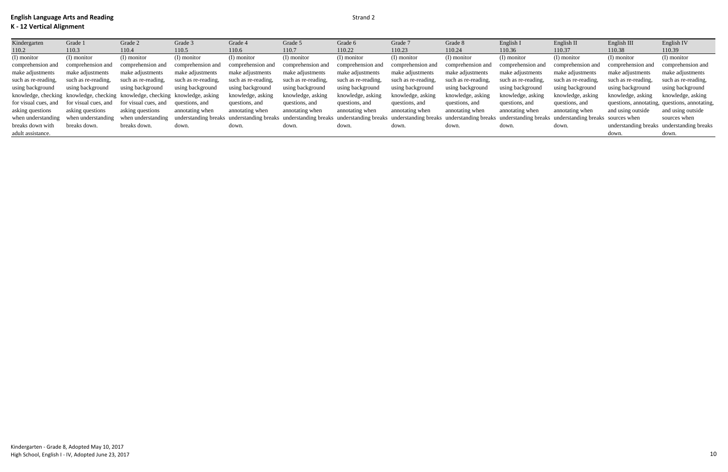| Kindergarten         | Grade 1              | Grade 2                                                                       | Grade 3             | Grade 4             | Grade 5             | Grade 6             | Grade 7             | Grade 8                                                                                                                                                                              | English I           | English II          | English III                               | English IV                                    |
|----------------------|----------------------|-------------------------------------------------------------------------------|---------------------|---------------------|---------------------|---------------------|---------------------|--------------------------------------------------------------------------------------------------------------------------------------------------------------------------------------|---------------------|---------------------|-------------------------------------------|-----------------------------------------------|
| 110.2                | 110.3                | 110.4                                                                         | 110.5               | 110.6               | 110.7               | 110.22              | 110.23              | 110.24                                                                                                                                                                               | 110.36              | 110.37              | 110.38                                    | 110.39                                        |
| (I) monitor          | (I) monitor          | (I) monitor                                                                   | (I) monitor         | (I) monitor         | (I) monitor         | (I) monitor         | (I) monitor         | (I) monitor                                                                                                                                                                          | (I) monitor         | (I) monitor         | (I) monitor                               | (I) monitor                                   |
| comprehension and    | comprehension and    | comprehension and                                                             | comprehension and   | comprehension and   | comprehension and   | comprehension and   | comprehension and   | comprehension and                                                                                                                                                                    | comprehension and   | comprehension and   | comprehension and                         | comprehension and                             |
| make adjustments     | make adjustments     | make adjustments                                                              | make adjustments    | make adjustments    | make adjustments    | make adjustments    | make adjustments    | make adjustments                                                                                                                                                                     | make adjustments    | make adjustments    | make adjustments                          | make adjustments                              |
| such as re-reading.  | such as re-reading.  | such as re-reading.                                                           | such as re-reading. | such as re-reading. | such as re-reading. | such as re-reading. | such as re-reading. | such as re-reading.                                                                                                                                                                  | such as re-reading. | such as re-reading. | such as re-reading.                       | such as re-reading.                           |
| using background     | using background     | using background                                                              | using background    | using background    | using background    | using background    | using background    | using background                                                                                                                                                                     | using background    | using background    | using background                          | using background                              |
|                      |                      | knowledge, checking knowledge, checking knowledge, checking knowledge, asking |                     | knowledge, asking   | knowledge, asking   | knowledge, asking   | knowledge, asking   | knowledge, asking                                                                                                                                                                    | knowledge, asking   | knowledge, asking   | knowledge, asking                         | knowledge, asking                             |
| for visual cues, and | for visual cues, and | for visual cues, and                                                          | questions, and      | questions, and      | questions, and      | questions, and      | questions, and      | questions, and                                                                                                                                                                       | questions, and      | questions, and      |                                           | questions, annotating, questions, annotating, |
| asking questions     | asking questions     | asking questions                                                              | annotating when     | annotating when     | annotating when     | annotating when     | annotating when     | annotating when                                                                                                                                                                      | annotating when     | annotating when     | and using outside                         | and using outside                             |
| when understanding   | when understanding   | when understanding                                                            |                     |                     |                     |                     |                     | understanding breaks understanding breaks understanding breaks understanding breaks understanding breaks understanding breaks understanding breaks understanding breaks sources when |                     |                     |                                           | sources when                                  |
| breaks down with     | breaks down.         | breaks down.                                                                  | down.               | down.               | down.               | down.               | down.               | down.                                                                                                                                                                                | down.               | down.               | understanding breaks understanding breaks |                                               |
| adult assistance.    |                      |                                                                               |                     |                     |                     |                     |                     |                                                                                                                                                                                      |                     |                     | down.                                     | down.                                         |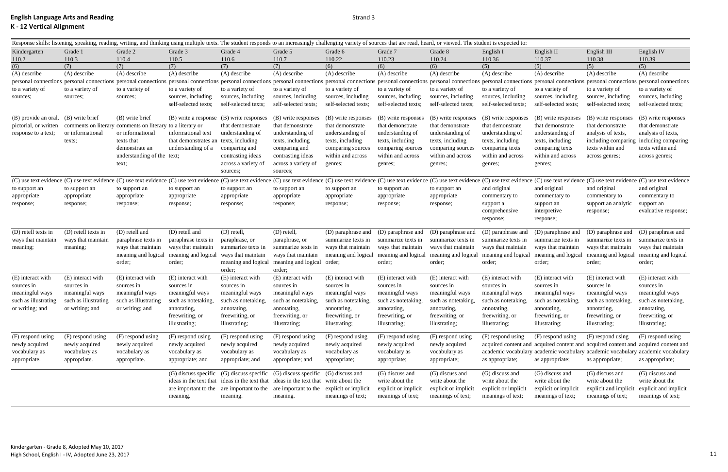|                       | Response skills: listening, speaking, reading, writing, and thinking using multiple texts. The student responds to an increasingly challenging variety of sources that are read, heard, or viewed. The student is expected to: |                            |                                            |                                                                                        |                                            |                                            |                                            |                                            |                                            |                                                                                     |                                            |                                                                                                                                                                                                                                |
|-----------------------|--------------------------------------------------------------------------------------------------------------------------------------------------------------------------------------------------------------------------------|----------------------------|--------------------------------------------|----------------------------------------------------------------------------------------|--------------------------------------------|--------------------------------------------|--------------------------------------------|--------------------------------------------|--------------------------------------------|-------------------------------------------------------------------------------------|--------------------------------------------|--------------------------------------------------------------------------------------------------------------------------------------------------------------------------------------------------------------------------------|
| Kindergarten          | Grade 1                                                                                                                                                                                                                        | Grade 2                    | Grade 3                                    | Grade 4                                                                                | Grade 5                                    | Grade 6                                    | Grade 7                                    | Grade 8                                    | English I                                  | English II                                                                          | English III                                | English IV                                                                                                                                                                                                                     |
| 110.2                 | 110.3                                                                                                                                                                                                                          | 110.4                      | 110.5                                      | 110.6                                                                                  | 110.7                                      | 110.22                                     | 110.23                                     | 110.24                                     | 110.36                                     | 110.37                                                                              | 110.38                                     | 110.39                                                                                                                                                                                                                         |
| (6)                   | (7)                                                                                                                                                                                                                            | (7)                        | (7)                                        | (7)                                                                                    | (7)                                        | (6)                                        | (6)                                        | (6)                                        | (5)                                        | (5)                                                                                 | (5)                                        | (5)                                                                                                                                                                                                                            |
| (A) describe          | (A) describe                                                                                                                                                                                                                   | (A) describe               | (A) describe                               | (A) describe                                                                           | (A) describe                               | (A) describe                               | (A) describe                               | (A) describe                               | (A) describe                               | (A) describe                                                                        | (A) describe                               | (A) describe                                                                                                                                                                                                                   |
|                       |                                                                                                                                                                                                                                |                            |                                            |                                                                                        |                                            |                                            |                                            |                                            |                                            |                                                                                     |                                            | personal connections personal connections personal connections personal connections personal connections personal connections personal connections personal connections personal connections personal connections personal con |
| to a variety of       | to a variety of                                                                                                                                                                                                                | to a variety of            | to a variety of                            | to a variety of                                                                        | to a variety of                            | to a variety of                            | to a variety of                            | to a variety of                            | to a variety of                            | to a variety of                                                                     | to a variety of                            | to a variety of                                                                                                                                                                                                                |
| sources;              | sources;                                                                                                                                                                                                                       | sources;                   | sources, including<br>self-selected texts; | sources, including<br>self-selected texts;                                             | sources, including<br>self-selected texts; | sources, including<br>self-selected texts; | sources, including<br>self-selected texts; | sources, including<br>self-selected texts; | sources, including<br>self-selected texts; | sources, including<br>self-selected texts;                                          | sources, including<br>self-selected texts; | sources, including<br>self-selected texts;                                                                                                                                                                                     |
|                       |                                                                                                                                                                                                                                |                            |                                            |                                                                                        |                                            |                                            |                                            |                                            |                                            |                                                                                     |                                            |                                                                                                                                                                                                                                |
| (B) provide an oral,  | (B) write brief                                                                                                                                                                                                                | (B) write brief            | (B) write a response (B) write responses   |                                                                                        | (B) write responses                        | (B) write responses                        | (B) write responses                        | (B) write responses                        | (B) write responses                        | (B) write responses                                                                 | (B) write responses                        | (B) write responses                                                                                                                                                                                                            |
| pictorial, or written | comments on literary comments on literary to a literary or                                                                                                                                                                     |                            |                                            | that demonstrate                                                                       | that demonstrate                           | that demonstrate                           | that demonstrate                           | that demonstrate                           | that demonstrate                           | that demonstrate                                                                    | that demonstrate                           | that demonstrate                                                                                                                                                                                                               |
| response to a text;   | or informational                                                                                                                                                                                                               | or informational           | informational text                         | understanding of                                                                       | understanding of                           | understanding of                           | understanding of                           | understanding of                           | understanding of                           | understanding of                                                                    | analysis of texts,                         | analysis of texts,                                                                                                                                                                                                             |
|                       | texts;                                                                                                                                                                                                                         | texts that                 | that demonstrates an texts, including      |                                                                                        | texts, including                           | texts, including                           | texts, including                           | texts, including                           | texts, including                           | texts, including                                                                    |                                            | including comparing including comparing                                                                                                                                                                                        |
|                       |                                                                                                                                                                                                                                | demonstrate an             | understanding of a                         | comparing and                                                                          | comparing and                              | comparing sources                          | comparing sources                          | comparing sources                          | comparing texts                            | comparing texts                                                                     | texts within and                           | texts within and                                                                                                                                                                                                               |
|                       |                                                                                                                                                                                                                                | understanding of the text; |                                            | contrasting ideas                                                                      | contrasting ideas                          | within and across                          | within and across                          | within and across                          | within and across                          | within and across                                                                   | across genres;                             | across genres;                                                                                                                                                                                                                 |
|                       |                                                                                                                                                                                                                                | text;                      |                                            | across a variety of                                                                    | across a variety of                        | genres;                                    | genres;                                    | genres;                                    | genres;                                    | genres;                                                                             |                                            |                                                                                                                                                                                                                                |
|                       |                                                                                                                                                                                                                                |                            |                                            | sources;                                                                               | sources;                                   |                                            |                                            |                                            |                                            |                                                                                     |                                            |                                                                                                                                                                                                                                |
|                       |                                                                                                                                                                                                                                |                            |                                            |                                                                                        |                                            |                                            |                                            |                                            |                                            |                                                                                     |                                            | (C) use text evidence (C) use text evidence (C) use text evidence (C) use text evidence (C) use text evidence (C) use text evidence (C) use text evidence (C) use text evidence (C) use text evidence (C) use text evidence (C |
| to support an         | to support an                                                                                                                                                                                                                  | to support an              | to support an                              | to support an                                                                          | to support an                              | to support an                              | to support an                              | to support an                              | and original                               | and original                                                                        | and original                               | and original                                                                                                                                                                                                                   |
| appropriate           | appropriate                                                                                                                                                                                                                    | appropriate                | appropriate                                | appropriate                                                                            | appropriate                                | appropriate                                | appropriate                                | appropriate                                | commentary to                              | commentary to                                                                       | commentary to                              | commentary to                                                                                                                                                                                                                  |
| response;             | response;                                                                                                                                                                                                                      | response;                  | response;                                  | response;                                                                              | response;                                  | response;                                  | response;                                  | response;                                  | support a                                  | support an                                                                          | support an analytic                        | support an                                                                                                                                                                                                                     |
|                       |                                                                                                                                                                                                                                |                            |                                            |                                                                                        |                                            |                                            |                                            |                                            | comprehensive                              | interpretive                                                                        | response;                                  | evaluative response;                                                                                                                                                                                                           |
|                       |                                                                                                                                                                                                                                |                            |                                            |                                                                                        |                                            |                                            |                                            |                                            | response;                                  | response;                                                                           |                                            |                                                                                                                                                                                                                                |
| (D) retell texts in   | (D) retell texts in                                                                                                                                                                                                            | (D) retell and             | (D) retell and                             | (D) retell,                                                                            | (D) retell,                                | (D) paraphrase and                         | (D) paraphrase and                         | (D) paraphrase and                         | (D) paraphrase and                         | (D) paraphrase and                                                                  | (D) paraphrase and                         | (D) paraphrase and                                                                                                                                                                                                             |
| ways that maintain    | ways that maintain                                                                                                                                                                                                             | paraphrase texts in        | paraphrase texts in                        | paraphrase, or                                                                         | paraphrase, or                             | summarize texts in                         | summarize texts in                         | summarize texts in                         | summarize texts in                         | summarize texts in                                                                  | summarize texts in                         | summarize texts in                                                                                                                                                                                                             |
| meaning;              | meaning;                                                                                                                                                                                                                       | ways that maintain         | ways that maintain                         | summarize texts in                                                                     | summarize texts in                         | ways that maintain                         | ways that maintain                         | ways that maintain                         | ways that maintain                         | ways that maintain                                                                  | ways that maintain                         | ways that maintain                                                                                                                                                                                                             |
|                       |                                                                                                                                                                                                                                | meaning and logical        | meaning and logical                        | ways that maintain                                                                     | ways that maintain                         | meaning and logical                        | meaning and logical                        | meaning and logical                        | meaning and logical                        | meaning and logical                                                                 | meaning and logical                        | meaning and logical                                                                                                                                                                                                            |
|                       |                                                                                                                                                                                                                                | order;                     | order;                                     | meaning and logical                                                                    | meaning and logical                        | order;                                     | order;                                     | order;                                     | order;                                     | order;                                                                              | order;                                     | order;                                                                                                                                                                                                                         |
|                       |                                                                                                                                                                                                                                |                            |                                            | order;                                                                                 | order;                                     |                                            |                                            |                                            |                                            |                                                                                     |                                            |                                                                                                                                                                                                                                |
| (E) interact with     | (E) interact with                                                                                                                                                                                                              | (E) interact with          | (E) interact with                          | (E) interact with                                                                      | (E) interact with                          | (E) interact with                          | (E) interact with                          | (E) interact with                          | (E) interact with                          | (E) interact with                                                                   | (E) interact with                          | (E) interact with                                                                                                                                                                                                              |
| sources in            | sources in                                                                                                                                                                                                                     | sources in                 | sources in                                 | sources in                                                                             | sources in                                 | sources in                                 | sources in                                 | sources in                                 | sources in                                 | sources in                                                                          | sources in                                 | sources in                                                                                                                                                                                                                     |
| meaningful ways       | meaningful ways                                                                                                                                                                                                                | meaningful ways            | meaningful ways                            | meaningful ways                                                                        | meaningful ways                            | meaningful ways                            | meaningful ways                            | meaningful ways                            | meaningful ways                            | meaningful ways                                                                     | meaningful ways                            | meaningful ways                                                                                                                                                                                                                |
| such as illustrating  | such as illustrating                                                                                                                                                                                                           | such as illustrating       | such as notetaking,                        | such as notetaking,                                                                    | such as notetaking,                        | such as notetaking,                        | such as notetaking,                        | such as notetaking,                        | such as notetaking,                        | such as notetaking,                                                                 | such as notetaking,                        | such as notetaking,                                                                                                                                                                                                            |
| or writing; and       | or writing; and                                                                                                                                                                                                                | or writing; and            | annotating,                                | annotating,                                                                            | annotating,                                | annotating,                                | annotating,                                | annotating,                                | annotating,                                | annotating,                                                                         | annotating,<br>freewriting, or             | annotating,                                                                                                                                                                                                                    |
|                       |                                                                                                                                                                                                                                |                            | freewriting, or<br>illustrating;           | freewriting, or<br>illustrating;                                                       | freewriting, or<br>illustrating;           | freewriting, or<br>illustrating;           | freewriting, or<br>illustrating;           | freewriting, or<br>illustrating;           | freewriting, or<br>illustrating;           | freewriting, or<br>illustrating;                                                    | illustrating;                              | freewriting, or<br>illustrating;                                                                                                                                                                                               |
|                       |                                                                                                                                                                                                                                |                            |                                            |                                                                                        |                                            |                                            |                                            |                                            |                                            |                                                                                     |                                            |                                                                                                                                                                                                                                |
| (F) respond using     | (F) respond using                                                                                                                                                                                                              | (F) respond using          | (F) respond using                          | (F) respond using                                                                      | (F) respond using                          | (F) respond using                          | (F) respond using                          | (F) respond using                          | (F) respond using                          | (F) respond using                                                                   | (F) respond using                          | (F) respond using                                                                                                                                                                                                              |
| newly acquired        | newly acquired                                                                                                                                                                                                                 | newly acquired             | newly acquired                             | newly acquired                                                                         | newly acquired                             | newly acquired                             | newly acquired                             | newly acquired                             |                                            | acquired content and acquired content and acquired content and acquired content and |                                            |                                                                                                                                                                                                                                |
| vocabulary as         | vocabulary as                                                                                                                                                                                                                  | vocabulary as              | vocabulary as                              | vocabulary as                                                                          | vocabulary as                              | vocabulary as                              | vocabulary as                              | vocabulary as                              |                                            |                                                                                     |                                            | academic vocabulary academic vocabulary academic vocabulary academic vocabulary                                                                                                                                                |
| appropriate.          | appropriate.                                                                                                                                                                                                                   | appropriate.               | appropriate; and                           | appropriate; and                                                                       | appropriate; and                           | appropriate;                               | appropriate;                               | appropriate;                               | as appropriate;                            | as appropriate;                                                                     | as appropriate;                            | as appropriate;                                                                                                                                                                                                                |
|                       |                                                                                                                                                                                                                                |                            |                                            | $(G)$ discuss specific $(G)$ discuss specific $(G)$ discuss specific $(G)$ discuss and |                                            |                                            | (G) discuss and                            | (G) discuss and                            | (G) discuss and                            | (G) discuss and                                                                     | (G) discuss and                            | (G) discuss and                                                                                                                                                                                                                |
|                       |                                                                                                                                                                                                                                |                            |                                            | ideas in the text that ideas in the text that ideas in the text that                   |                                            | write about the                            | write about the                            | write about the                            | write about the                            | write about the                                                                     | write about the                            | write about the                                                                                                                                                                                                                |
|                       |                                                                                                                                                                                                                                |                            |                                            | are important to the are important to the                                              | are important to the                       | explicit or implicit                       | explicit or implicit                       | explicit or implicit                       | explicit or implicit                       | explicit or implicit                                                                | explicit and implicit                      | explicit and implicit                                                                                                                                                                                                          |
|                       |                                                                                                                                                                                                                                |                            | meaning.                                   | meaning.                                                                               | meaning.                                   | meanings of text;                          | meanings of text;                          | meanings of text;                          | meanings of text;                          | meanings of text;                                                                   | meanings of text;                          | meanings of text;                                                                                                                                                                                                              |
|                       |                                                                                                                                                                                                                                |                            |                                            |                                                                                        |                                            |                                            |                                            |                                            |                                            |                                                                                     |                                            |                                                                                                                                                                                                                                |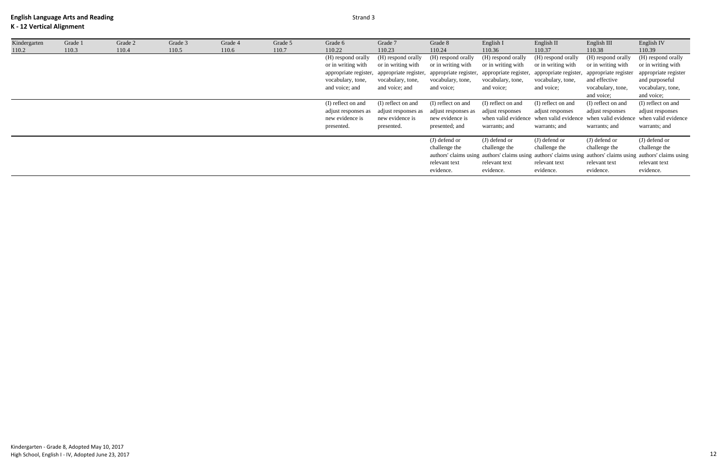### **K - 12 Vertical Alignment**

| Kindergarten | Grade 1 | Grade 2 | Grade 3 | Grade 4 | Grade 5 | Grade 6               | Grade 7               | Grade 8               | English I             | English II            | English III          | English IV                                                                                                    |
|--------------|---------|---------|---------|---------|---------|-----------------------|-----------------------|-----------------------|-----------------------|-----------------------|----------------------|---------------------------------------------------------------------------------------------------------------|
| 110.2        | 110.3   | 110.4   | 110.5   | 110.6   | 110.7   | 110.22                | 110.23                | 110.24                | 110.36                | 110.37                | 110.38               | 110.39                                                                                                        |
|              |         |         |         |         |         | (H) respond orally    | (H) respond orally    | (H) respond orally    | (H) respond orally    | (H) respond orally    | (H) respond orally   | (H) respond orally                                                                                            |
|              |         |         |         |         |         | or in writing with    | or in writing with    | or in writing with    | or in writing with    | or in writing with    | or in writing with   | or in writing with                                                                                            |
|              |         |         |         |         |         | appropriate register, | appropriate register, | appropriate register, | appropriate register, | appropriate register, | appropriate register | appropriate register                                                                                          |
|              |         |         |         |         |         | vocabulary, tone,     | vocabulary, tone,     | vocabulary, tone,     | vocabulary, tone,     | vocabulary, tone,     | and effective        | and purposeful                                                                                                |
|              |         |         |         |         |         | and voice; and        | and voice; and        | and voice;            | and voice;            | and voice;            | vocabulary, tone,    | vocabulary, tone,                                                                                             |
|              |         |         |         |         |         |                       |                       |                       |                       |                       | and voice;           | and voice;                                                                                                    |
|              |         |         |         |         |         | (I) reflect on and    | (I) reflect on and    | (I) reflect on and    | (I) reflect on and    | (I) reflect on and    | (I) reflect on and   | (I) reflect on and                                                                                            |
|              |         |         |         |         |         | adjust responses as   | adjust responses as   | adjust responses as   | adjust responses      | adjust responses      | adjust responses     | adjust responses                                                                                              |
|              |         |         |         |         |         | new evidence is       | new evidence is       | new evidence is       |                       |                       |                      | when valid evidence when valid evidence when valid evidence when valid evidence                               |
|              |         |         |         |         |         | presented.            | presented.            | presented; and        | warrants; and         | warrants; and         | warrants; and        | warrants; and                                                                                                 |
|              |         |         |         |         |         |                       |                       |                       |                       |                       |                      |                                                                                                               |
|              |         |         |         |         |         |                       |                       | (J) defend or         | (J) defend or         | (J) defend or         | (J) defend or        | (J) defend or                                                                                                 |
|              |         |         |         |         |         |                       |                       | challenge the         | challenge the         | challenge the         | challenge the        | challenge the                                                                                                 |
|              |         |         |         |         |         |                       |                       |                       |                       |                       |                      | authors' claims using authors' claims using authors' claims using authors' claims using authors' claims using |
|              |         |         |         |         |         |                       |                       | relevant text         | relevant text         | relevant text         | relevant text        | relevant text                                                                                                 |
|              |         |         |         |         |         |                       |                       | evidence.             | evidence.             | evidence.             | evidence.            | evidence.                                                                                                     |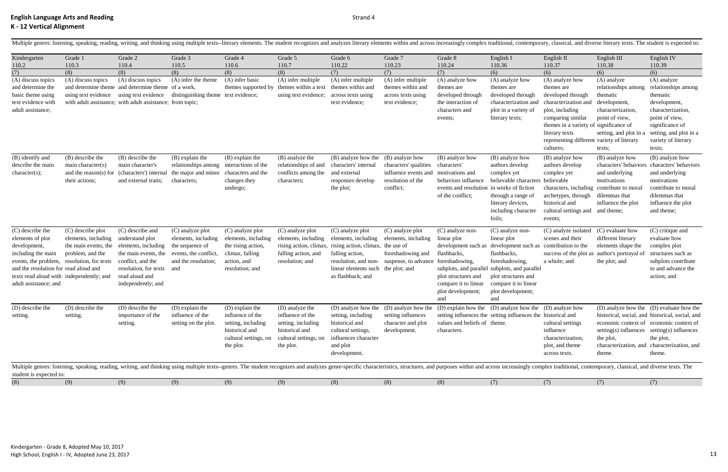Multiple genres: listening, speaking, reading, writing, and thinking using multiple texts--literary elements. The student recognizes and analyzes literary elements within and across increasingly complex traditional, contem

| Kindergarten                               | Grade 1               | Grade 2                                                   | Grade 3                                 | Grade 4               | Grade 5                | Grade 6                            | Grade 7               | Grade 8                                   | English I                                                                                          | English II                                   | English III                                                                                                                                                                                                                    | English IV                                      |
|--------------------------------------------|-----------------------|-----------------------------------------------------------|-----------------------------------------|-----------------------|------------------------|------------------------------------|-----------------------|-------------------------------------------|----------------------------------------------------------------------------------------------------|----------------------------------------------|--------------------------------------------------------------------------------------------------------------------------------------------------------------------------------------------------------------------------------|-------------------------------------------------|
| 110.2                                      | 110.3                 | 110.4                                                     | 110.5                                   | 110.6                 | 110.7                  | 110.22                             | 110.23                | 110.24                                    | 110.36                                                                                             | 110.37                                       | 110.38                                                                                                                                                                                                                         | 110.39                                          |
| (7)                                        | (8)                   | (8)                                                       | (8)                                     | (8)                   | (8)                    | (7)                                | (7)                   | (7)                                       | (6)                                                                                                | (6)                                          | (6)                                                                                                                                                                                                                            | (6)                                             |
| (A) discuss topics                         | (A) discuss topics    | (A) discuss topics                                        | $(A)$ infer the theme                   | (A) infer basic       | (A) infer multiple     | (A) infer multiple                 | (A) infer multiple    | (A) analyze how                           | (A) analyze how                                                                                    | (A) analyze how                              | (A) analyze                                                                                                                                                                                                                    | (A) analyze                                     |
| and determine the                          |                       | and determine theme and determine theme of a work,        |                                         | themes supported by   | themes within a text   | themes within and                  | themes within and     | themes are                                | themes are                                                                                         | themes are                                   | relationships among                                                                                                                                                                                                            | relationships among                             |
| basic theme using                          | using text evidence   | using text evidence                                       | distinguishing theme text evidence;     |                       | using text evidence;   | across texts using                 | across texts using    | developed through                         | developed through                                                                                  | developed through                            | thematic                                                                                                                                                                                                                       | thematic                                        |
| text evidence with                         |                       | with adult assistance; with adult assistance; from topic; |                                         |                       |                        | text evidence;                     | text evidence;        | the interaction of                        | characterization and                                                                               | characterization and                         | development,                                                                                                                                                                                                                   | development,                                    |
| adult assistance;                          |                       |                                                           |                                         |                       |                        |                                    |                       | characters and                            | plot in a variety of                                                                               | plot, including                              | characterization,                                                                                                                                                                                                              | characterization,                               |
|                                            |                       |                                                           |                                         |                       |                        |                                    |                       | events;                                   | literary texts;                                                                                    | comparing similar                            | point of view,                                                                                                                                                                                                                 | point of view,                                  |
|                                            |                       |                                                           |                                         |                       |                        |                                    |                       |                                           |                                                                                                    | themes in a variety of significance of       |                                                                                                                                                                                                                                | significance of                                 |
|                                            |                       |                                                           |                                         |                       |                        |                                    |                       |                                           |                                                                                                    | literary texts                               | setting, and plot in a                                                                                                                                                                                                         | setting, and plot in a                          |
|                                            |                       |                                                           |                                         |                       |                        |                                    |                       |                                           |                                                                                                    | representing different variety of literary   |                                                                                                                                                                                                                                | variety of literary                             |
|                                            |                       |                                                           |                                         |                       |                        |                                    |                       |                                           |                                                                                                    | cultures;                                    | texts;                                                                                                                                                                                                                         | texts;                                          |
| (B) identify and                           | (B) describe the      | (B) describe the                                          | $(B)$ explain the                       | (B) explain the       | (B) analyze the        | (B) analyze how the                | (B) analyze how       | (B) analyze how                           | (B) analyze how                                                                                    | (B) analyze how                              | (B) analyze how                                                                                                                                                                                                                | (B) analyze how                                 |
| describe the main                          | main character $(s)$  | main character's                                          | relationships among interactions of the |                       | relationships of and   | characters' internal               | characters' qualities | characters'                               | authors develop                                                                                    | authors develop                              | characters' behaviors                                                                                                                                                                                                          | characters' behaviors                           |
| character(s);                              | and the reason(s) for | (characters') internal                                    | the major and minor                     | characters and the    | conflicts among the    | and external                       | influence events and  | motivations and                           | complex yet                                                                                        | complex yet                                  | and underlying                                                                                                                                                                                                                 | and underlying                                  |
|                                            | their actions;        | and external traits;                                      | characters;                             | changes they          | characters;            | responses develop                  | resolution of the     | behaviors influence                       | believable characters                                                                              | believable                                   | motivations                                                                                                                                                                                                                    | motivations                                     |
|                                            |                       |                                                           |                                         | undergo;              |                        | the plot;                          | conflict;             | events and resolution in works of fiction |                                                                                                    | characters, including                        | contribute to moral                                                                                                                                                                                                            | contribute to moral                             |
|                                            |                       |                                                           |                                         |                       |                        |                                    |                       | of the conflict;                          | through a range of                                                                                 | archetypes, through                          | dilemmas that                                                                                                                                                                                                                  | dilemmas that                                   |
|                                            |                       |                                                           |                                         |                       |                        |                                    |                       |                                           | literary devices,                                                                                  | historical and                               | influence the plot                                                                                                                                                                                                             | influence the plot                              |
|                                            |                       |                                                           |                                         |                       |                        |                                    |                       |                                           | including character                                                                                | cultural settings and                        | and theme;                                                                                                                                                                                                                     | and theme;                                      |
|                                            |                       |                                                           |                                         |                       |                        |                                    |                       |                                           | foils;                                                                                             | events;                                      |                                                                                                                                                                                                                                |                                                 |
|                                            |                       |                                                           |                                         |                       |                        |                                    |                       |                                           |                                                                                                    |                                              |                                                                                                                                                                                                                                |                                                 |
| $(C)$ describe the                         | (C) describe plot     | (C) describe and                                          | (C) analyze plot                        | (C) analyze plot      | (C) analyze plot       | (C) analyze plot                   | (C) analyze plot      | $(C)$ analyze non-                        | $(C)$ analyze non-                                                                                 | (C) analyze isolated                         | (C) evaluate how                                                                                                                                                                                                               | (C) critique and                                |
| elements of plot                           | elements, including   | understand plot                                           | elements, including                     | elements, including   | elements, including    | elements, including                | elements, including   | linear plot                               | linear plot                                                                                        | scenes and their                             | different literary                                                                                                                                                                                                             | evaluate how                                    |
| development,                               | the main events, the  | elements, including                                       | the sequence of                         | the rising action,    | rising action, climax, | rising action, climax, the use of  |                       | development such as                       | development such as                                                                                | contribution to the                          | elements shape the                                                                                                                                                                                                             | complex plot                                    |
| including the main                         | problem, and the      | the main events, the                                      | events, the conflict.                   | climax, falling       | falling action, and    | falling action,                    | foreshadowing and     | flashbacks,                               | flashbacks,                                                                                        | success of the plot as author's portrayal of |                                                                                                                                                                                                                                | structures such as                              |
| events, the problem, resolution, for texts |                       | conflict, and the                                         | and the resolution:                     | action, and           | resolution; and        | resolution, and non-               | suspense, to advance  | foreshadowing,                            | foreshadowing,                                                                                     | a whole; and                                 | the plot; and                                                                                                                                                                                                                  | subplots contribute                             |
| and the resolution for read aloud and      |                       | resolution, for texts                                     | and                                     | resolution; and       |                        | linear elements such the plot; and |                       |                                           | subplots, and parallel subplots, and parallel                                                      |                                              |                                                                                                                                                                                                                                | to and advance the                              |
| texts read aloud with independently; and   |                       | read aloud and                                            |                                         |                       |                        | as flashback; and                  |                       | plot structures and                       | plot structures and                                                                                |                                              |                                                                                                                                                                                                                                | action; and                                     |
| adult assistance; and                      |                       | independently; and                                        |                                         |                       |                        |                                    |                       | compare it to linear                      | compare it to linear                                                                               |                                              |                                                                                                                                                                                                                                |                                                 |
|                                            |                       |                                                           |                                         |                       |                        |                                    |                       | plot development;                         | plot development;                                                                                  |                                              |                                                                                                                                                                                                                                |                                                 |
|                                            |                       |                                                           |                                         |                       |                        |                                    |                       | and                                       | and                                                                                                |                                              |                                                                                                                                                                                                                                |                                                 |
| (D) describe the                           | (D) describe the      | (D) describe the                                          | (D) explain the                         | (D) explain the       | (D) analyze the        |                                    |                       |                                           | (D) analyze how the (D) analyze how the (D) explain how the (D) analyze how the (D) analyze how    |                                              |                                                                                                                                                                                                                                | (D) analyze how the (D) evaluate how the        |
| setting.                                   | setting.              | importance of the                                         | influence of the                        | influence of the      | influence of the       |                                    |                       |                                           | setting, including setting influences setting influences the setting influences the historical and |                                              |                                                                                                                                                                                                                                | historical, social, and historical, social, and |
|                                            |                       | setting.                                                  | setting on the plot.                    | setting, including    | setting, including     | historical and                     | character and plot    | values and beliefs of theme.              |                                                                                                    | cultural settings                            | economic context of economic context of                                                                                                                                                                                        |                                                 |
|                                            |                       |                                                           |                                         | historical and        | historical and         | cultural settings,                 | development.          | characters.                               |                                                                                                    | influence                                    | setting(s) influences setting(s) influences                                                                                                                                                                                    |                                                 |
|                                            |                       |                                                           |                                         | cultural settings, on | cultural settings, on  | influences character               |                       |                                           |                                                                                                    | characterization,                            | the plot,                                                                                                                                                                                                                      | the plot,                                       |
|                                            |                       |                                                           |                                         | the plot.             | the plot.              | and plot                           |                       |                                           |                                                                                                    | plot, and theme                              |                                                                                                                                                                                                                                | characterization, and characterization, and     |
|                                            |                       |                                                           |                                         |                       |                        | development.                       |                       |                                           |                                                                                                    | across texts.                                | theme.                                                                                                                                                                                                                         | theme.                                          |
|                                            |                       |                                                           |                                         |                       |                        |                                    |                       |                                           |                                                                                                    |                                              | Multiple genres: listening, speaking, reading, writing, and thinking using multiple texts--genres. The student recognizes and analyzes genre-specific characteristics, structures, and purposes within and across increasingly |                                                 |
| student is expected to:                    |                       |                                                           |                                         |                       |                        |                                    |                       |                                           |                                                                                                    |                                              |                                                                                                                                                                                                                                |                                                 |
| (8)                                        | (9)                   | (9)                                                       | (9)                                     | (9)                   | (9)                    | (8)                                | (8)                   | (8)                                       | (7)                                                                                                | (7)                                          | (7)                                                                                                                                                                                                                            | (7)                                             |
|                                            |                       |                                                           |                                         |                       |                        |                                    |                       |                                           |                                                                                                    |                                              |                                                                                                                                                                                                                                |                                                 |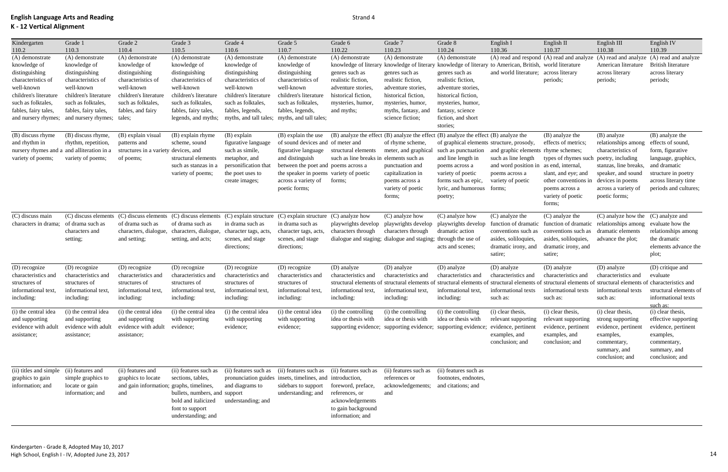| Kindergarten<br>110.2                                                                                                                                                               | Grade 1<br>110.3                                                                                                                                                                    | Grade 2<br>110.4                                                                                                                                                    | Grade 3<br>110.5                                                                                                                                                                    | Grade 4<br>110.6                                                                                                                                                                   | Grade 5<br>110.7                                                                                                                                                                                                            | Grade 6<br>110.22                                                                                                                                               | Grade 7<br>110.23                                                                                                                                                                            | Grade 8<br>110.24                                                                                                                                                                                                                                                                      | English I<br>110.36                                                                                                                 | English II<br>110.37                                                                                                                                                                | English III<br>110.38                                                                                                                                                                    | English IV<br>110.39                                                                                                                                                    |
|-------------------------------------------------------------------------------------------------------------------------------------------------------------------------------------|-------------------------------------------------------------------------------------------------------------------------------------------------------------------------------------|---------------------------------------------------------------------------------------------------------------------------------------------------------------------|-------------------------------------------------------------------------------------------------------------------------------------------------------------------------------------|------------------------------------------------------------------------------------------------------------------------------------------------------------------------------------|-----------------------------------------------------------------------------------------------------------------------------------------------------------------------------------------------------------------------------|-----------------------------------------------------------------------------------------------------------------------------------------------------------------|----------------------------------------------------------------------------------------------------------------------------------------------------------------------------------------------|----------------------------------------------------------------------------------------------------------------------------------------------------------------------------------------------------------------------------------------------------------------------------------------|-------------------------------------------------------------------------------------------------------------------------------------|-------------------------------------------------------------------------------------------------------------------------------------------------------------------------------------|------------------------------------------------------------------------------------------------------------------------------------------------------------------------------------------|-------------------------------------------------------------------------------------------------------------------------------------------------------------------------|
| (A) demonstrate<br>knowledge of<br>distinguishing<br>characteristics of<br>well-known<br>children's literature<br>such as folktales,<br>fables, fairy tales,<br>and nursery rhymes; | (A) demonstrate<br>knowledge of<br>distinguishing<br>characteristics of<br>well-known<br>children's literature<br>such as folktales,<br>fables, fairy tales,<br>and nursery rhymes; | (A) demonstrate<br>knowledge of<br>distinguishing<br>characteristics of<br>well-known<br>children's literature<br>such as folktales.<br>fables, and fairy<br>tales; | (A) demonstrate<br>knowledge of<br>distinguishing<br>characteristics of<br>well-known<br>children's literature<br>such as folktales,<br>fables, fairy tales,<br>legends, and myths; | (A) demonstrate<br>knowledge of<br>distinguishing<br>characteristics of<br>well-known<br>children's literature<br>such as folktales,<br>fables, legends,<br>myths, and tall tales; | (A) demonstrate<br>knowledge of<br>distinguishing<br>characteristics of<br>well-known<br>children's literature<br>such as folktales,<br>fables, legends,<br>myths, and tall tales;                                          | (A) demonstrate<br>knowledge of literary<br>genres such as<br>realistic fiction,<br>adventure stories,<br>historical fiction,<br>mysteries, humor<br>and myths; | (A) demonstrate<br>knowledge of literar<br>genres such as<br>realistic fiction,<br>adventure stories,<br>historical fiction,<br>mysteries, humor.<br>myths, fantasy, and<br>science fiction; | (A) demonstrate<br>knowledge of literary<br>genres such as<br>realistic fiction,<br>adventure stories,<br>historical fiction,<br>mysteries, humor,<br>fantasy, science<br>fiction, and short<br>stories:                                                                               | to American, British, world literature<br>and world literature; across literary                                                     | (A) read and respond (A) read and analyze<br>periods;                                                                                                                               | American literature<br>across literary<br>periods;                                                                                                                                       | (A) read and analyze (A) read and analyze<br><b>British literature</b><br>across literary<br>periods;                                                                   |
| (B) discuss rhyme<br>and rhythm in<br>nursery rhymes and a and alliteration in a<br>variety of poems;                                                                               | (B) discuss rhyme,<br>rhythm, repetition,<br>variety of poems;                                                                                                                      | (B) explain visual<br>patterns and<br>structures in a variety devices, and<br>of poems;                                                                             | (B) explain rhyme<br>scheme, sound<br>structural elements<br>such as stanzas in a<br>variety of poems;                                                                              | (B) explain<br>figurative language<br>such as simile,<br>metaphor, and<br>personification that<br>the poet uses to<br>create images;                                               | (B) explain the use<br>of sound devices and of meter and<br>figurative language<br>and distinguish<br>between the poet and poems across a<br>the speaker in poems variety of poetic<br>across a variety of<br>poetic forms; | structural elements<br>such as line breaks in<br>forms;                                                                                                         | of rhyme scheme,<br>meter, and graphical<br>elements such as<br>punctuation and<br>capitalization in<br>poems across a<br>variety of poetic<br>forms;                                        | $(B)$ analyze the effect $(B)$ analyze the effect $(B)$ analyze the effect $(B)$ analyze the<br>of graphical elements structure, prosody,<br>such as punctuation<br>and line length in<br>poems across a<br>variety of poetic<br>forms such as epic,<br>lyric, and humorous<br>poetry; | and graphic elements rhyme schemes;<br>such as line length<br>and word position in<br>poems across a<br>variety of poetic<br>forms; | (B) analyze the<br>effects of metrics;<br>types of rhymes such<br>as end, internal,<br>slant, and eye; and<br>other conventions in<br>poems across a<br>variety of poetic<br>forms; | (B) analyze<br>relationships among<br>characteristics of<br>poetry, including<br>stanzas, line breaks,<br>speaker, and sound<br>devices in poems<br>across a variety of<br>poetic forms; | (B) analyze the<br>effects of sound,<br>form, figurative<br>language, graphics,<br>and dramatic<br>structure in poetry<br>across literary time<br>periods and cultures; |
| (C) discuss main<br>characters in drama;                                                                                                                                            | (C) discuss elements<br>of drama such as<br>characters and<br>setting;                                                                                                              | (C) discuss elements<br>of drama such as<br>characters, dialogue,<br>and setting;                                                                                   | $(C)$ discuss elements $(C)$ explain structure $(C)$ explain structure<br>of drama such as<br>characters, dialogue,<br>setting, and acts;                                           | in drama such as<br>character tags, acts<br>scenes, and stage<br>directions;                                                                                                       | in drama such as<br>character tags, acts,<br>scenes, and stage<br>directions;                                                                                                                                               | (C) analyze how<br>playwrights develop<br>characters through                                                                                                    | (C) analyze how<br>playwrights develop<br>characters through<br>dialogue and staging; dialogue and staging;                                                                                  | (C) analyze how<br>playwrights develop<br>dramatic action<br>through the use of<br>acts and scenes;                                                                                                                                                                                    | (C) analyze the<br>function of dramatic<br>conventions such as<br>asides, soliloquies,<br>dramatic irony, and<br>satire;            | (C) analyze the<br>function of dramatic<br>conventions such as<br>asides, soliloquies,<br>dramatic irony, and<br>satire;                                                            | (C) analyze how the<br>relationships among<br>dramatic elements<br>advance the plot;                                                                                                     | (C) analyze and<br>evaluate how the<br>relationships among<br>the dramatic<br>elements advance the<br>plot;                                                             |
| (D) recognize<br>characteristics and<br>structures of<br>informational text<br>including:                                                                                           | (D) recognize<br>characteristics and<br>structures of<br>informational text,<br>including:                                                                                          | (D) recognize<br>characteristics and<br>structures of<br>informational text.<br>including:                                                                          | (D) recognize<br>characteristics and<br>structures of<br>informational text<br>including:                                                                                           | (D) recognize<br>characteristics and<br>structures of<br>informational text.<br>including:                                                                                         | (D) recognize<br>characteristics and<br>structures of<br>informational text,<br>including:                                                                                                                                  | (D) analyze<br>characteristics and<br>structural elements of<br>informational text,<br>including:                                                               | (D) analyze<br>characteristics and<br>structural elements of<br>informational text,<br>including:                                                                                            | (D) analyze<br>characteristics and<br>structural elements<br>informational text,<br>including:                                                                                                                                                                                         | (D) analyze<br>characteristics and<br>structural elements o<br>informational texts<br>such as:                                      | (D) analyze<br>characteristics and<br>informational texts<br>such as:                                                                                                               | (D) analyze<br>characteristics and<br>structural elements of structural elements of characteristics and<br>informational texts<br>such as:                                               | (D) critique and<br>evaluate<br>structural elements of<br>informational texts<br>such as:                                                                               |
| (i) the central idea<br>and supporting<br>evidence with adult<br>assistance;                                                                                                        | (i) the central idea<br>and supporting<br>evidence with adult<br>assistance;                                                                                                        | (i) the central idea<br>and supporting<br>evidence with adult<br>assistance;                                                                                        | (i) the central idea<br>with supporting<br>evidence;                                                                                                                                | (i) the central idea<br>with supporting<br>evidence;                                                                                                                               | (i) the central idea<br>with supporting<br>evidence;                                                                                                                                                                        | (i) the controlling<br>idea or thesis with                                                                                                                      | (i) the controlling<br>idea or thesis with                                                                                                                                                   | (i) the controlling<br>idea or thesis with<br>supporting evidence; supporting evidence; supporting evidence;                                                                                                                                                                           | (i) clear thesis,<br>relevant supporting<br>evidence, pertinent<br>examples, and<br>conclusion; and                                 | (i) clear thesis,<br>relevant supporting<br>evidence, pertinent<br>examples, and<br>conclusion; and                                                                                 | (i) clear thesis,<br>strong supporting<br>evidence, pertinent<br>examples,<br>commentary,<br>summary, and<br>conclusion; and                                                             | (i) clear thesis,<br>effective supporting<br>evidence, pertinent<br>examples,<br>commentary,<br>summary, and<br>conclusion; and                                         |
| (ii) titles and simple (ii) features and<br>graphics to gain<br>information; and                                                                                                    | simple graphics to<br>locate or gain<br>information; and                                                                                                                            | (ii) features and<br>graphics to locate<br>and gain information; graphs, timelines,<br>and                                                                          | (ii) features such as<br>sections, tables,<br>bullets, numbers, and support<br>bold and italicized<br>font to support<br>understanding; and                                         | (ii) features such as<br>and diagrams to<br>understanding; and                                                                                                                     | (ii) features such as<br>pronunciation guides insets, timelines, and introduction,<br>sidebars to support<br>understanding; and                                                                                             | (ii) features such as<br>foreword, preface,<br>references, or<br>acknowledgements<br>to gain background<br>information; and                                     | (ii) features such as<br>references or<br>acknowledgements;<br>and                                                                                                                           | (ii) features such as<br>footnotes, endnotes,<br>and citations; and                                                                                                                                                                                                                    |                                                                                                                                     |                                                                                                                                                                                     |                                                                                                                                                                                          |                                                                                                                                                                         |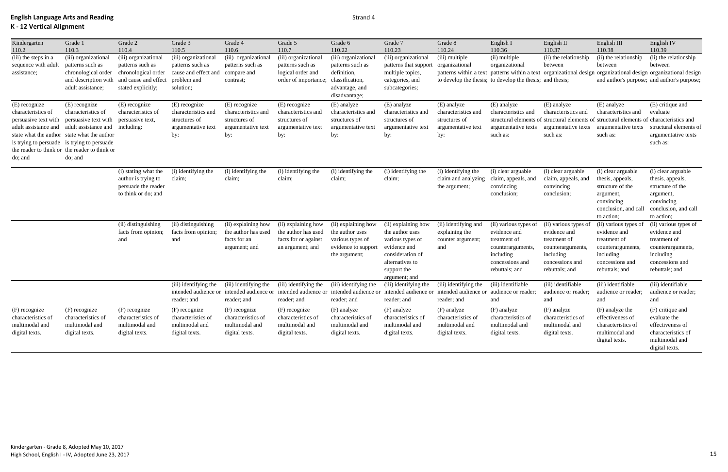| Kindergarten<br>110.2                                                                                                                         | Grade 1<br>110.3                                                                                                                                                                               | Grade 2<br>110.4                                                                                             | Grade 3<br>110.5                                                                             | Grade 4<br>110.6                                                                   | Grade 5<br>110.7                                                                       | Grade 6<br>110.22                                                                                            | Grade 7<br>110.23                                                                                                                                 | Grade 8<br>110.24                                                                | English I<br>110.36                                                                                                          | English II<br>110.37                                                                                                         | English III<br>110.38                                                                                                                                                                              | English IV<br>110.39                                                                                                         |
|-----------------------------------------------------------------------------------------------------------------------------------------------|------------------------------------------------------------------------------------------------------------------------------------------------------------------------------------------------|--------------------------------------------------------------------------------------------------------------|----------------------------------------------------------------------------------------------|------------------------------------------------------------------------------------|----------------------------------------------------------------------------------------|--------------------------------------------------------------------------------------------------------------|---------------------------------------------------------------------------------------------------------------------------------------------------|----------------------------------------------------------------------------------|------------------------------------------------------------------------------------------------------------------------------|------------------------------------------------------------------------------------------------------------------------------|----------------------------------------------------------------------------------------------------------------------------------------------------------------------------------------------------|------------------------------------------------------------------------------------------------------------------------------|
| (iii) the steps in a<br>sequence with adult<br>assistance;                                                                                    | (iii) organizational<br>patterns such as<br>chronological order<br>and description with<br>adult assistance;                                                                                   | (iii) organizationa<br>patterns such as<br>chronological order<br>and cause and effect<br>stated explicitly; | (iii) organizational<br>patterns such as<br>cause and effect and<br>problem and<br>solution; | (iii) organizational<br>patterns such as<br>compare and<br>contrast;               | (iii) organizational<br>patterns such as<br>logical order and<br>order of importance;  | (iii) organizationa<br>patterns such as<br>definition,<br>classification,<br>advantage, and<br>disadvantage; | (iii) organizational<br>patterns that support<br>multiple topics,<br>categories, and<br>subcategories;                                            | (iii) multiple<br>organizational                                                 | (ii) multiple<br>organizational<br>to develop the thesis; to develop the thesis; and thesis;                                 | (ii) the relationship<br>between                                                                                             | (ii) the relationship<br>between<br>patterns within a text patterns within a text organizational design organizational design organizational design<br>and author's purpose; and author's purpose; | (ii) the relationship<br>between                                                                                             |
| (E) recognize<br>characteristics of<br>persuasive text with<br>adult assistance and<br>is trying to persuade is trying to persuade<br>do; and | (E) recognize<br>characteristics of<br>persuasive text with<br>adult assistance and<br>state what the author state what the author<br>the reader to think or the reader to think or<br>do; and | (E) recognize<br>characteristics of<br>persuasive text,<br>including:                                        | (E) recognize<br>characteristics and<br>structures of<br>argumentative text<br>by:           | (E) recognize<br>characteristics and<br>structures of<br>argumentative text<br>by: | (E) recognize<br>characteristics and<br>structures of<br>argumentative text<br>by:     | (E) analyze<br>characteristics and<br>structures of<br>argumentative text<br>by:                             | (E) analyze<br>characteristics and<br>structures of<br>argumentative text<br>by:                                                                  | (E) analyze<br>characteristics and<br>structures of<br>argumentative text<br>by: | (E) analyze<br>characteristics and<br>argumentative texts<br>such as:                                                        | (E) analyze<br>characteristics and<br>argumentative texts<br>such as:                                                        | (E) analyze<br>characteristics and<br>structural elements of structural elements of structural elements of characteristics and<br>argumentative texts<br>such as:                                  | (E) critique and<br>evaluate<br>structural elements of<br>argumentative texts<br>such as:                                    |
|                                                                                                                                               |                                                                                                                                                                                                | (i) stating what the<br>author is trying to<br>persuade the reader<br>to think or do; and                    | (i) identifying the<br>claim;                                                                | (i) identifying the<br>claim;                                                      | (i) identifying the<br>claim;                                                          | (i) identifying the<br>claim;                                                                                | (i) identifying the<br>claim;                                                                                                                     | (i) identifying the<br>claim and analyzing<br>the argument;                      | (i) clear arguable<br>claim, appeals, and<br>convincing<br>conclusion;                                                       | (i) clear arguable<br>claim, appeals, and<br>convincing<br>conclusion;                                                       | (i) clear arguable<br>thesis, appeals,<br>structure of the<br>argument,<br>convincing<br>conclusion, and call<br>to action;                                                                        | (i) clear arguable<br>thesis, appeals,<br>structure of the<br>argument,<br>convincing<br>conclusion, and call<br>to action;  |
|                                                                                                                                               |                                                                                                                                                                                                | (ii) distinguishing<br>facts from opinion;<br>and                                                            | (ii) distinguishing<br>facts from opinion;<br>and                                            | (ii) explaining how<br>the author has used<br>facts for an<br>argument; and        | (ii) explaining how<br>the author has used<br>facts for or against<br>an argument; and | (ii) explaining how<br>the author uses<br>various types of<br>evidence to support<br>the argument;           | (ii) explaining how<br>the author uses<br>various types of<br>evidence and<br>consideration of<br>alternatives to<br>support the<br>argument; and | (ii) identifying and<br>explaining the<br>counter argument;<br>and               | (ii) various types of<br>evidence and<br>treatment of<br>counterarguments,<br>including<br>concessions and<br>rebuttals; and | (ii) various types of<br>evidence and<br>treatment of<br>counterarguments.<br>including<br>concessions and<br>rebuttals; and | (ii) various types of<br>evidence and<br>treatment of<br>counterarguments<br>including<br>concessions and<br>rebuttals; and                                                                        | (ii) various types of<br>evidence and<br>treatment of<br>counterarguments,<br>including<br>concessions and<br>rebuttals; and |
|                                                                                                                                               |                                                                                                                                                                                                |                                                                                                              | (iii) identifying the<br>intended audience or<br>reader; and                                 | (iii) identifying the<br>intended audience or<br>reader; and                       | (iii) identifying the<br>intended audience or<br>reader; and                           | (iii) identifying the<br>intended audience or<br>reader; and                                                 | (iii) identifying the<br>intended audience or<br>reader; and                                                                                      | (iii) identifying the<br>intended audience or<br>reader; and                     | (iii) identifiable<br>audience or reader;<br>and                                                                             | (iii) identifiable<br>audience or reader;<br>and                                                                             | (iii) identifiable<br>audience or reader;<br>and                                                                                                                                                   | (iii) identifiable<br>audience or reader;<br>and                                                                             |
| (F) recognize<br>characteristics of<br>multimodal and<br>digital texts.                                                                       | (F) recognize<br>characteristics of<br>multimodal and<br>digital texts.                                                                                                                        | (F) recognize<br>characteristics of<br>multimodal and<br>digital texts.                                      | (F) recognize<br>characteristics of<br>multimodal and<br>digital texts.                      | (F) recognize<br>characteristics of<br>multimodal and<br>digital texts.            | (F) recognize<br>characteristics of<br>multimodal and<br>digital texts.                | (F) analyze<br>characteristics of<br>multimodal and<br>digital texts.                                        | (F) analyze<br>characteristics of<br>multimodal and<br>digital texts.                                                                             | (F) analyze<br>characteristics of<br>multimodal and<br>digital texts.            | (F) analyze<br>characteristics of<br>multimodal and<br>digital texts.                                                        | (F) analyze<br>characteristics of<br>multimodal and<br>digital texts.                                                        | (F) analyze the<br>effectiveness of<br>characteristics of<br>multimodal and<br>digital texts.                                                                                                      | (F) critique and<br>evaluate the<br>effectiveness of<br>characteristics of<br>multimodal and<br>digital texts.               |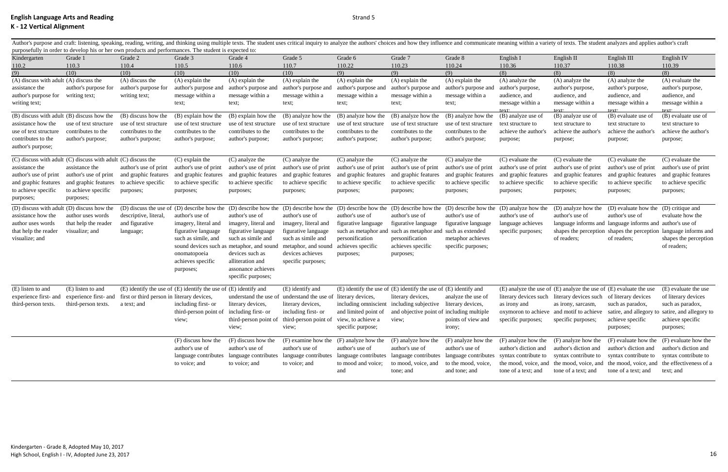Author's purpose and craft: listening, speaking, reading, writing, and thinking using multiple texts. The student uses critical inquiry to analyze the authors' choices and how they influence and communicate meaning within purposefully in order to develop his or her own products and performances. The student is expected to:

|                                            |                                                               | aposeruny in order to develop ms or ner own products and performances. The stadent is expected to: |                                                                  |                                           |                                                                                                                                                                          |                                             |                                                                                                                           |                       |                                                                                                                               |                                                                          |                                                           |                                                                                          |
|--------------------------------------------|---------------------------------------------------------------|----------------------------------------------------------------------------------------------------|------------------------------------------------------------------|-------------------------------------------|--------------------------------------------------------------------------------------------------------------------------------------------------------------------------|---------------------------------------------|---------------------------------------------------------------------------------------------------------------------------|-----------------------|-------------------------------------------------------------------------------------------------------------------------------|--------------------------------------------------------------------------|-----------------------------------------------------------|------------------------------------------------------------------------------------------|
| Kindergarten                               | Grade 1                                                       | Grade 2                                                                                            | Grade 3                                                          | Grade 4                                   | Grade 5                                                                                                                                                                  | Grade 6                                     | Grade 7                                                                                                                   | Grade 8               | English I                                                                                                                     | English II                                                               | English III                                               | English IV                                                                               |
| 110.2                                      | 110.3                                                         | 110.4                                                                                              | 110.5                                                            | 110.6                                     | 110.7                                                                                                                                                                    | 110.22                                      | 110.23                                                                                                                    | 110.24                | 110.36                                                                                                                        | 110.37                                                                   | 110.38                                                    | 110.39                                                                                   |
| (9)                                        | (10)                                                          | (10)                                                                                               | (10)                                                             | (10)                                      | (10)                                                                                                                                                                     | (9)                                         | (9)                                                                                                                       | (9)                   | (8)                                                                                                                           | (8)                                                                      | (8)                                                       | (8)                                                                                      |
| (A) discuss with adult (A) discuss the     |                                                               | (A) discuss the                                                                                    | $(A)$ explain the                                                | $(A)$ explain the                         | $(A)$ explain the                                                                                                                                                        | $(A)$ explain the                           | $(A)$ explain the                                                                                                         | $(A)$ explain the     | (A) analyze the                                                                                                               | (A) analyze the                                                          | (A) analyze the                                           | (A) evaluate the                                                                         |
| assistance the                             | author's purpose for                                          | author's purpose for                                                                               | author's purpose are                                             | author's purpose and                      | author's purpose and                                                                                                                                                     | author's purpose and                        | author's purpose and                                                                                                      | author's purpose and  | author's purpose,                                                                                                             | author's purpose,                                                        | author's purpose,                                         | author's purpose,                                                                        |
| author's purpose for                       | writing text;                                                 | writing text;                                                                                      | message within a                                                 | message within a                          | message within a                                                                                                                                                         | message within a                            | message within a                                                                                                          | message within a      | audience, and                                                                                                                 | audience, and                                                            | audience, and                                             | audience, and                                                                            |
| writing text;                              |                                                               |                                                                                                    | text;                                                            | text;                                     | text;                                                                                                                                                                    | text;                                       | text;                                                                                                                     | text;                 | message within a                                                                                                              | message within a                                                         | message within a                                          | message within a                                                                         |
| (B) discuss with adult (B) discuss how the |                                                               | (B) discuss how the                                                                                | (B) explain how the                                              | (B) explain how the                       | (B) analyze how the                                                                                                                                                      | (B) analyze how the                         | (B) analyze how the                                                                                                       | (B) analyze how the   | $text{?}$<br>(B) analyze use of                                                                                               | $text{?}$<br>(B) analyze use of                                          | $text{?}$<br>(B) evaluate use of                          | $text{text}$<br>(B) evaluate use of                                                      |
| assistance how the                         | use of text structure                                         | use of text structure                                                                              | use of text structure                                            | use of text structure                     | use of text structure                                                                                                                                                    | use of text structure                       | use of text structure                                                                                                     | use of text structure | text structure to                                                                                                             |                                                                          |                                                           | text structure to                                                                        |
| use of text structure                      | contributes to the                                            | contributes to the                                                                                 | contributes to the                                               | contributes to the                        | contributes to the                                                                                                                                                       | contributes to the                          | contributes to the                                                                                                        | contributes to the    | achieve the author's                                                                                                          | text structure to<br>achieve the author's                                | text structure to<br>achieve the author's                 | achieve the author's                                                                     |
|                                            |                                                               |                                                                                                    |                                                                  |                                           |                                                                                                                                                                          |                                             |                                                                                                                           |                       |                                                                                                                               |                                                                          |                                                           |                                                                                          |
| contributes to the<br>author's purpose;    | author's purpose;                                             | author's purpose;                                                                                  | author's purpose;                                                | author's purpose;                         | author's purpose;                                                                                                                                                        | author's purpose;                           | author's purpose;                                                                                                         | author's purpose;     | purpose;                                                                                                                      | purpose;                                                                 | purpose;                                                  | purpose;                                                                                 |
|                                            |                                                               |                                                                                                    |                                                                  |                                           |                                                                                                                                                                          |                                             |                                                                                                                           |                       |                                                                                                                               |                                                                          |                                                           |                                                                                          |
|                                            | (C) discuss with adult (C) discuss with adult (C) discuss the |                                                                                                    | $(C)$ explain the                                                | (C) analyze the                           | (C) analyze the                                                                                                                                                          | (C) analyze the                             | (C) analyze the                                                                                                           | (C) analyze the       | $(C)$ evaluate the                                                                                                            | $(C)$ evaluate the                                                       | $(C)$ evaluate the                                        | $(C)$ evaluate the                                                                       |
| assistance the                             | assistance the                                                | author's use of print                                                                              | author's use of print                                            | author's use of print                     | author's use of print                                                                                                                                                    | author's use of print                       | author's use of print                                                                                                     | author's use of print | author's use of print                                                                                                         | author's use of print                                                    | author's use of print                                     | author's use of print                                                                    |
| author's use of print                      | author's use of print                                         | and graphic features                                                                               | and graphic features                                             | and graphic features                      | and graphic features                                                                                                                                                     | and graphic features                        | and graphic features                                                                                                      | and graphic features  | and graphic features                                                                                                          | and graphic features                                                     | and graphic features                                      | and graphic features                                                                     |
| and graphic features                       | and graphic features                                          | to achieve specific                                                                                | to achieve specific                                              | to achieve specific                       | to achieve specific                                                                                                                                                      | to achieve specific                         | to achieve specific                                                                                                       | to achieve specific   | to achieve specific                                                                                                           | to achieve specific                                                      | to achieve specific                                       | to achieve specific                                                                      |
| to achieve specific                        | to achieve specific                                           | purposes;                                                                                          | purposes;                                                        | purposes;                                 | purposes;                                                                                                                                                                | purposes;                                   | purposes;                                                                                                                 | purposes;             | purposes;                                                                                                                     | purposes;                                                                | purposes;                                                 | purposes;                                                                                |
| purposes;                                  | purposes;                                                     |                                                                                                    |                                                                  |                                           |                                                                                                                                                                          |                                             |                                                                                                                           |                       |                                                                                                                               |                                                                          |                                                           |                                                                                          |
| (D) discuss with adult (D) discuss how the |                                                               |                                                                                                    |                                                                  |                                           | (D) discuss the use of (D) describe how the (D) describe how the (D) describe how the (D) describe how the (D) describe how the (D) describe how the (D) analyze how the |                                             |                                                                                                                           |                       |                                                                                                                               | (D) analyze how the                                                      | (D) evaluate how the (D) critique and                     |                                                                                          |
| assistance how the                         | author uses words                                             | descriptive, literal,                                                                              | author's use of                                                  | author's use of                           | author's use of                                                                                                                                                          | author's use of                             | author's use of                                                                                                           | author's use of       | author's use of                                                                                                               | author's use of                                                          | author's use of                                           | evaluate how the                                                                         |
| author uses words                          | that help the reader                                          | and figurative                                                                                     | imagery, literal and                                             | imagery, literal and                      | imagery, literal and                                                                                                                                                     | figurative language                         | figurative language                                                                                                       | figurative language   | language achieves                                                                                                             |                                                                          | language informs and language informs and author's use of |                                                                                          |
| that help the reader                       | visualize; and                                                | language;                                                                                          | figurative language                                              | figurative language                       | figurative language                                                                                                                                                      | such as metaphor and                        | such as metaphor and                                                                                                      | such as extended      | specific purposes;                                                                                                            |                                                                          |                                                           | shapes the perception shapes the perception language informs and                         |
| visualize; and                             |                                                               |                                                                                                    | such as simile, and                                              | such as simile and                        | such as simile and                                                                                                                                                       | personification                             | personification                                                                                                           | metaphor achieves     |                                                                                                                               | of readers;                                                              | of readers;                                               | shapes the perception                                                                    |
|                                            |                                                               |                                                                                                    | sound devices such as metaphor, and sound                        |                                           | metaphor, and sound                                                                                                                                                      | achieves specific                           | achieves specific                                                                                                         | specific purposes;    |                                                                                                                               |                                                                          |                                                           | of readers;                                                                              |
|                                            |                                                               |                                                                                                    | onomatopoeia                                                     | devices such as                           | devices achieves                                                                                                                                                         | purposes;                                   |                                                                                                                           |                       |                                                                                                                               |                                                                          |                                                           |                                                                                          |
|                                            |                                                               |                                                                                                    | achieves specific                                                | alliteration and                          | specific purposes;                                                                                                                                                       |                                             | purposes;                                                                                                                 |                       |                                                                                                                               |                                                                          |                                                           |                                                                                          |
|                                            |                                                               |                                                                                                    |                                                                  | assonance achieves                        |                                                                                                                                                                          |                                             |                                                                                                                           |                       |                                                                                                                               |                                                                          |                                                           |                                                                                          |
|                                            |                                                               |                                                                                                    | purposes;                                                        | specific purposes;                        |                                                                                                                                                                          |                                             |                                                                                                                           |                       |                                                                                                                               |                                                                          |                                                           |                                                                                          |
|                                            |                                                               |                                                                                                    |                                                                  |                                           |                                                                                                                                                                          |                                             |                                                                                                                           |                       |                                                                                                                               |                                                                          |                                                           |                                                                                          |
| (E) listen to and                          | (E) listen to and                                             |                                                                                                    | (E) identify the use of (E) identify the use of (E) identify and |                                           | (E) identify and                                                                                                                                                         |                                             | $(E)$ identify the use of $(E)$ identify the use of $(E)$ identify and                                                    |                       |                                                                                                                               | $(E)$ analyze the use of $(E)$ analyze the use of $(E)$ evaluate the use |                                                           | (E) evaluate the use                                                                     |
| experience first- and                      | experience first- and                                         | first or third person in literary devices,                                                         |                                                                  |                                           | understand the use of understand the use of literary devices,                                                                                                            |                                             | literary devices,                                                                                                         | analyze the use of    |                                                                                                                               | literary devices such literary devices such of literary devices          |                                                           | of literary devices                                                                      |
| third-person texts.                        | third-person texts.                                           | a text; and                                                                                        | including first- or                                              | literary devices,                         | literary devices,                                                                                                                                                        |                                             | including omniscient including subjective literary devices,                                                               |                       | as irony and                                                                                                                  | as irony, sarcasm,                                                       | such as paradox,                                          | such as paradox,                                                                         |
|                                            |                                                               |                                                                                                    | third-person point of including first- or                        |                                           | including first- or                                                                                                                                                      |                                             | and limited point of and objective point of including multiple                                                            |                       |                                                                                                                               |                                                                          |                                                           | oxymoron to achieve and motif to achieve satire, and allegory to satire, and allegory to |
|                                            |                                                               |                                                                                                    | view;                                                            |                                           | third-person point of third-person point of view, to achieve a view;                                                                                                     |                                             |                                                                                                                           | points of view and    | specific purposes;                                                                                                            | specific purposes; achieve specific                                      |                                                           | achieve specific                                                                         |
|                                            |                                                               |                                                                                                    |                                                                  | view;                                     | view;                                                                                                                                                                    | specific purpose;                           |                                                                                                                           | irony;                |                                                                                                                               |                                                                          | purposes;                                                 | purposes;                                                                                |
|                                            |                                                               |                                                                                                    |                                                                  |                                           |                                                                                                                                                                          |                                             |                                                                                                                           |                       |                                                                                                                               |                                                                          |                                                           |                                                                                          |
|                                            |                                                               |                                                                                                    | (F) discuss how the                                              | (F) discuss how the                       |                                                                                                                                                                          | $(F)$ examine how the $(F)$ analyze how the | (F) analyze how the (F) analyze how the (F) analyze how the (F) analyze how the (F) evaluate how the (F) evaluate how the |                       |                                                                                                                               |                                                                          |                                                           |                                                                                          |
|                                            |                                                               |                                                                                                    | author's use of                                                  | author's use of                           | author's use of                                                                                                                                                          | author's use of                             | author's use of                                                                                                           | author's use of       |                                                                                                                               | author's diction and author's diction and                                | author's diction and author's diction and                 |                                                                                          |
|                                            |                                                               |                                                                                                    |                                                                  | language contributes language contributes | language contributes                                                                                                                                                     | language contributes                        |                                                                                                                           |                       | language contributes language contributes syntax contribute to syntax contribute to syntax contribute to syntax contribute to |                                                                          |                                                           |                                                                                          |
|                                            |                                                               |                                                                                                    | to voice; and                                                    | to voice; and                             | to voice; and                                                                                                                                                            | to mood and voice;                          | to mood, voice, and                                                                                                       | to the mood, voice,   |                                                                                                                               |                                                                          |                                                           | the mood, voice, and the mood, voice, and the mood, voice, and the effectiveness of a    |
|                                            |                                                               |                                                                                                    |                                                                  |                                           |                                                                                                                                                                          | and                                         | tone; and                                                                                                                 | and tone; and         | tone of a text; and                                                                                                           | tone of a text; and                                                      | tone of a text; and                                       | text; and                                                                                |
|                                            |                                                               |                                                                                                    |                                                                  |                                           |                                                                                                                                                                          |                                             |                                                                                                                           |                       |                                                                                                                               |                                                                          |                                                           |                                                                                          |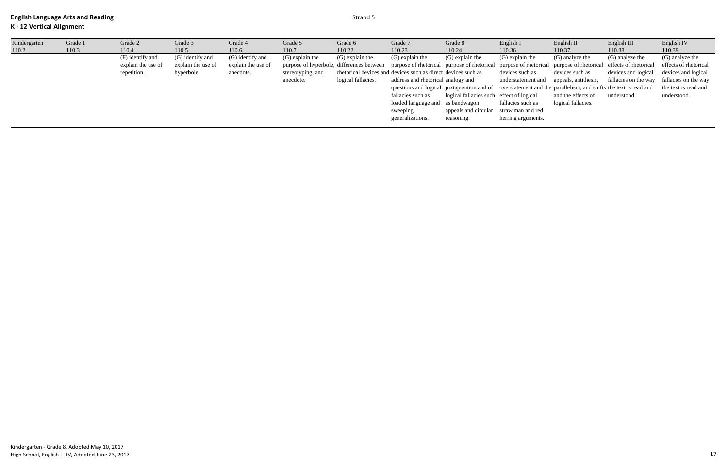| Kindergarten | Grade 1 | Grade 2            | Grade 3            | Grade 4            | Grade 5           | Grade 6            | Grade 7                                                                                                                                                 | Grade 8                                  | English I          | English II                                                                                                    | English III          | English IV            |
|--------------|---------|--------------------|--------------------|--------------------|-------------------|--------------------|---------------------------------------------------------------------------------------------------------------------------------------------------------|------------------------------------------|--------------------|---------------------------------------------------------------------------------------------------------------|----------------------|-----------------------|
| 110.2        | 110.3   | 110.4              | 110.5              | 110.6              | 110.7             | 110.22             | 110.23                                                                                                                                                  | 110.24                                   | 110.36             | 110.37                                                                                                        | 110.38               | 110.39                |
|              |         | (F) identify and   | (G) identify and   | (G) identify and   | $(G)$ explain the | $(G)$ explain the  | $(G)$ explain the                                                                                                                                       | $(G)$ explain the                        | $(G)$ explain the  | (G) analyze the                                                                                               | (G) analyze the      | (G) analyze the       |
|              |         | explain the use of | explain the use of | explain the use of |                   |                    | purpose of hyperbole, differences between purpose of rhetorical purpose of rhetorical purpose of rhetorical purpose of rhetorical effects of rhetorical |                                          |                    |                                                                                                               |                      | effects of rhetorical |
|              |         | repetition.        | hyperbole.         | anecdote.          | stereotyping, and |                    | rhetorical devices and devices such as direct devices such as                                                                                           |                                          | devices such as    | devices such as                                                                                               | devices and logical  | devices and logical   |
|              |         |                    |                    |                    | anecdote.         | logical fallacies. | address and rhetorical analogy and                                                                                                                      |                                          | understatement and | appeals, antithesis,                                                                                          | fallacies on the way | fallacies on the way  |
|              |         |                    |                    |                    |                   |                    |                                                                                                                                                         |                                          |                    | questions and logical juxtaposition and of overstatement and the parallelism, and shifts the text is read and |                      | the text is read and  |
|              |         |                    |                    |                    |                   |                    | fallacies such as                                                                                                                                       | logical fallacies such effect of logical |                    | and the effects of                                                                                            | understood.          | understood.           |
|              |         |                    |                    |                    |                   |                    | loaded language and as bandwagon                                                                                                                        |                                          | fallacies such as  | logical fallacies.                                                                                            |                      |                       |
|              |         |                    |                    |                    |                   |                    | sweeping                                                                                                                                                | appeals and circular straw man and red   |                    |                                                                                                               |                      |                       |
|              |         |                    |                    |                    |                   |                    | generalizations.                                                                                                                                        | reasoning.                               | herring arguments. |                                                                                                               |                      |                       |
|              |         |                    |                    |                    |                   |                    |                                                                                                                                                         |                                          |                    |                                                                                                               |                      |                       |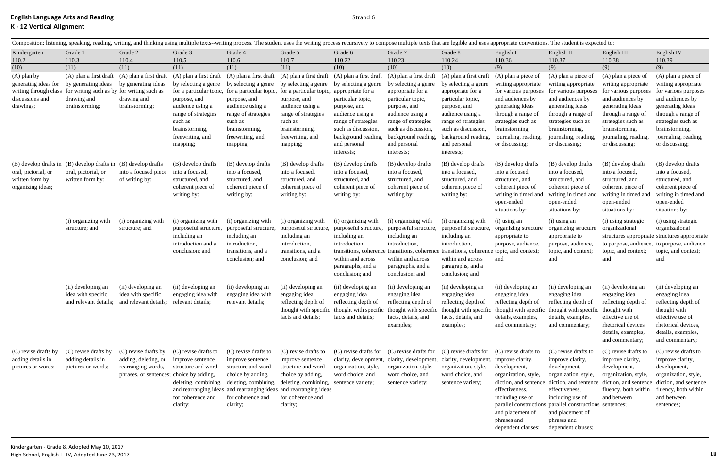|                                                                                                | Composition: listening, speaking, reading, writing, and thinking using multiple texts--writing process. The student uses the writing process recursively to compose multiple texts that are legible and uses appropriate conve |                                                                                                                |                                                                                                                                                            |                                                                                                                                                                                                               |                                                                                                                                                                                                                   |                                                                                                                                                                                                   |                                                                                                                                                                                                   |                                                                                                                                                                                                  |                                                                                                                                                                                                                                                         |                                                                                                                                                                                                                                                                      |                                                                                                                                                                                                  |                                                                                                                                                                                                    |
|------------------------------------------------------------------------------------------------|--------------------------------------------------------------------------------------------------------------------------------------------------------------------------------------------------------------------------------|----------------------------------------------------------------------------------------------------------------|------------------------------------------------------------------------------------------------------------------------------------------------------------|---------------------------------------------------------------------------------------------------------------------------------------------------------------------------------------------------------------|-------------------------------------------------------------------------------------------------------------------------------------------------------------------------------------------------------------------|---------------------------------------------------------------------------------------------------------------------------------------------------------------------------------------------------|---------------------------------------------------------------------------------------------------------------------------------------------------------------------------------------------------|--------------------------------------------------------------------------------------------------------------------------------------------------------------------------------------------------|---------------------------------------------------------------------------------------------------------------------------------------------------------------------------------------------------------------------------------------------------------|----------------------------------------------------------------------------------------------------------------------------------------------------------------------------------------------------------------------------------------------------------------------|--------------------------------------------------------------------------------------------------------------------------------------------------------------------------------------------------|----------------------------------------------------------------------------------------------------------------------------------------------------------------------------------------------------|
| Kindergarten                                                                                   | Grade 1                                                                                                                                                                                                                        | Grade 2                                                                                                        | Grade 3                                                                                                                                                    | Grade 4                                                                                                                                                                                                       | Grade 5                                                                                                                                                                                                           | Grade 6                                                                                                                                                                                           | Grade 7                                                                                                                                                                                           | Grade 8                                                                                                                                                                                          | English I                                                                                                                                                                                                                                               | English II                                                                                                                                                                                                                                                           | English III                                                                                                                                                                                      | English IV                                                                                                                                                                                         |
| 110.2                                                                                          | 110.3                                                                                                                                                                                                                          | 110.4                                                                                                          | 110.5                                                                                                                                                      | 110.6                                                                                                                                                                                                         | 110.7                                                                                                                                                                                                             | 110.22                                                                                                                                                                                            | 110.23                                                                                                                                                                                            | 110.24                                                                                                                                                                                           | 110.36                                                                                                                                                                                                                                                  | 110.37                                                                                                                                                                                                                                                               | 110.38                                                                                                                                                                                           | 110.39                                                                                                                                                                                             |
| (10)                                                                                           | (11)                                                                                                                                                                                                                           | (11)                                                                                                           | (11)                                                                                                                                                       | (11)                                                                                                                                                                                                          | (11)                                                                                                                                                                                                              | (10)                                                                                                                                                                                              | (10)                                                                                                                                                                                              | (10)                                                                                                                                                                                             | (9)                                                                                                                                                                                                                                                     | (9)                                                                                                                                                                                                                                                                  | (9)                                                                                                                                                                                              | (9)                                                                                                                                                                                                |
| $(A)$ plan by<br>generating ideas for<br>writing through class<br>discussions and<br>drawings; | (A) plan a first draft<br>by generating ideas<br>for writing such as by for writing such as<br>drawing and<br>brainstorming;                                                                                                   | (A) plan a first draft<br>by generating ideas<br>drawing and<br>brainstorming;                                 | (A) plan a first draft<br>by selecting a genre<br>purpose, and<br>audience using a<br>range of strategies<br>such as<br>brainstorming,<br>freewriting, and | (A) plan a first draft<br>by selecting a genre<br>for a particular topic, for a particular topic,<br>purpose, and<br>audience using a<br>range of strategies<br>such as<br>brainstorming,<br>freewriting, and | (A) plan a first draft<br>by selecting a genre<br>for a particular topic,<br>purpose, and<br>audience using a<br>range of strategies<br>such as<br>brainstorming,<br>freewriting, and                             | (A) plan a first draft<br>by selecting a genre<br>appropriate for a<br>particular topic,<br>purpose, and<br>audience using a<br>range of strategies<br>such as discussion.<br>background reading, | (A) plan a first draft<br>by selecting a genre<br>appropriate for a<br>particular topic,<br>purpose, and<br>audience using a<br>range of strategies<br>such as discussion,<br>background reading, | (A) plan a first draft<br>by selecting a genre<br>appropriate for a<br>particular topic,<br>purpose, and<br>audience using a<br>range of strategies<br>such as discussion<br>background reading, | (A) plan a piece of<br>writing appropriate<br>for various purposes<br>and audiences by<br>generating ideas<br>through a range of<br>strategies such as<br>brainstorming,<br>journaling, reading,                                                        | (A) plan a piece of<br>writing appropriate<br>for various purposes<br>and audiences by<br>generating ideas<br>through a range of<br>strategies such as<br>brainstorming,<br>journaling, reading,                                                                     | (A) plan a piece of<br>writing appropriate<br>for various purposes<br>and audiences by<br>generating ideas<br>through a range of<br>strategies such as<br>brainstorming,<br>journaling, reading, | (A) plan a piece of<br>writing appropriate<br>for various purposes<br>and audiences by<br>generating ideas<br>through a range of<br>strategies such as<br>brainstorming,<br>journaling, reading,   |
| oral, pictorial, or<br>written form by<br>organizing ideas;                                    | (B) develop drafts in (B) develop drafts in<br>oral, pictorial, or<br>written form by:                                                                                                                                         | (B) develop drafts<br>into a focused piece<br>of writing by:                                                   | mapping;<br>(B) develop drafts<br>into a focused,<br>structured, and<br>coherent piece of<br>writing by:                                                   | mapping;<br>(B) develop drafts<br>into a focused,<br>structured, and<br>coherent piece of<br>writing by:                                                                                                      | mapping;<br>(B) develop drafts<br>into a focused,<br>structured, and<br>coherent piece of<br>writing by:                                                                                                          | and personal<br>interests;<br>(B) develop drafts<br>into a focused,<br>structured, and<br>coherent piece of<br>writing by:                                                                        | and personal<br>interests;<br>(B) develop drafts<br>into a focused,<br>structured, and<br>coherent piece of<br>writing by:                                                                        | and personal<br>interests;<br>(B) develop drafts<br>into a focused,<br>structured, and<br>coherent piece of<br>writing by:                                                                       | or discussing;<br>(B) develop drafts<br>into a focused,<br>structured, and<br>coherent piece of<br>writing in timed and                                                                                                                                 | or discussing;<br>(B) develop drafts<br>into a focused,<br>structured, and<br>coherent piece of<br>writing in timed and                                                                                                                                              | or discussing;<br>(B) develop drafts<br>into a focused,<br>structured, and<br>coherent piece of<br>writing in timed and                                                                          | or discussing;<br>(B) develop drafts<br>into a focused,<br>structured, and<br>coherent piece of<br>writing in timed and                                                                            |
|                                                                                                | (i) organizing with<br>structure; and                                                                                                                                                                                          | (i) organizing with<br>structure; and                                                                          | (i) organizing with<br>purposeful structure,<br>including an<br>introduction and a<br>conclusion; and                                                      | (i) organizing with<br>purposeful structure,<br>including an<br>introduction,<br>transitions, and a<br>conclusion; and                                                                                        | (i) organizing with<br>purposeful structure,<br>including an<br>introduction,<br>transitions, and a<br>conclusion; and                                                                                            | (i) organizing with<br>purposeful structure,<br>including an<br>introduction,<br>transitions, coherence<br>within and across                                                                      | (i) organizing with<br>purposeful structure,<br>including an<br>introduction,<br>transitions, coherence transitions, coherent<br>within and across                                                | (i) organizing with<br>purposeful structure.<br>including an<br>introduction,<br>within and across                                                                                               | open-ended<br>situations by:<br>(i) using an<br>organizing structure<br>appropriate to<br>purpose, audience,<br>ce topic, and context;<br>and                                                                                                           | open-ended<br>situations by:<br>(i) using an<br>organizing structure<br>appropriate to<br>purpose, audience,<br>topic, and context;<br>and                                                                                                                           | open-ended<br>situations by:<br>(i) using strategic<br>organizational<br>topic, and context;<br>and                                                                                              | open-ended<br>situations by:<br>(i) using strategic<br>organizational<br>structures appropriate structures appropriate<br>to purpose, audience, to purpose, audience<br>topic, and context;<br>and |
|                                                                                                | (ii) developing an<br>idea with specific<br>and relevant details:                                                                                                                                                              | (ii) developing an<br>idea with specific<br>and relevant details;                                              | (ii) developing an<br>engaging idea with<br>relevant details:                                                                                              | (ii) developing an<br>engaging idea with<br>relevant details;                                                                                                                                                 | (ii) developing an<br>engaging idea<br>reflecting depth of<br>facts and details;                                                                                                                                  | paragraphs, and a<br>conclusion; and<br>(ii) developing an<br>engaging idea<br>reflecting depth of<br>facts and details;                                                                          | paragraphs, and a<br>conclusion; and<br>(ii) developing an<br>engaging idea<br>reflecting depth of<br>facts, details, and<br>examples;                                                            | paragraphs, and a<br>conclusion; and<br>(ii) developing an<br>engaging idea<br>reflecting depth of<br>facts, details, and<br>examples;                                                           | (ii) developing an<br>engaging idea<br>reflecting depth of<br>thought with specific thought with specific thought with specific thought with specific thought with specific thought with specific thought with<br>details, examples,<br>and commentary; | (ii) developing an<br>engaging idea<br>reflecting depth of<br>details, examples,<br>and commentary;                                                                                                                                                                  | (ii) developing an<br>engaging idea<br>reflecting depth of<br>effective use of<br>rhetorical devices<br>details, examples,<br>and commentary;                                                    | (ii) developing an<br>engaging idea<br>reflecting depth of<br>thought with<br>effective use of<br>rhetorical devices,<br>details, examples,<br>and commentary;                                     |
| (C) revise drafts by<br>adding details in<br>pictures or words;                                | (C) revise drafts by<br>adding details in<br>pictures or words;                                                                                                                                                                | (C) revise drafts by<br>adding, deleting, or<br>rearranging words,<br>phrases, or sentences; choice by adding, | (C) revise drafts to<br>improve sentence<br>structure and word<br>deleting, combining,<br>for coherence and<br>clarity;                                    | (C) revise drafts to<br>improve sentence<br>structure and word<br>choice by adding,<br>deleting, combining,<br>for coherence and<br>clarity;                                                                  | (C) revise drafts to<br>improve sentence<br>structure and word<br>choice by adding,<br>deleting, combining,<br>and rearranging ideas and rearranging ideas and rearranging ideas<br>for coherence and<br>clarity; | (C) revise drafts for<br>clarity, development,<br>organization, style,<br>word choice, and<br>sentence variety;                                                                                   | (C) revise drafts for<br>clarity, development,<br>organization, style,<br>word choice, and<br>sentence variety;                                                                                   | $(C)$ revise drafts for $(C)$ revise drafts to<br>clarity, development,<br>organization, style,<br>word choice, and<br>sentence variety;                                                         | improve clarity,<br>development,<br>organization, style,<br>diction, and sentence<br>effectiveness,<br>including use of<br>and placement of<br>phrases and<br>dependent clauses;                                                                        | (C) revise drafts to<br>improve clarity,<br>development,<br>organization, style,<br>diction, and sentence<br>effectiveness,<br>including use of<br>parallel constructions parallel constructions sentences;<br>and placement of<br>phrases and<br>dependent clauses; | (C) revise drafts to<br>improve clarity,<br>development,<br>organization, style,<br>fluency, both within<br>and between                                                                          | (C) revise drafts to<br>improve clarity,<br>development,<br>organization, style,<br>diction, and sentence diction, and sentence<br>fluency, both within<br>and between<br>sentences;               |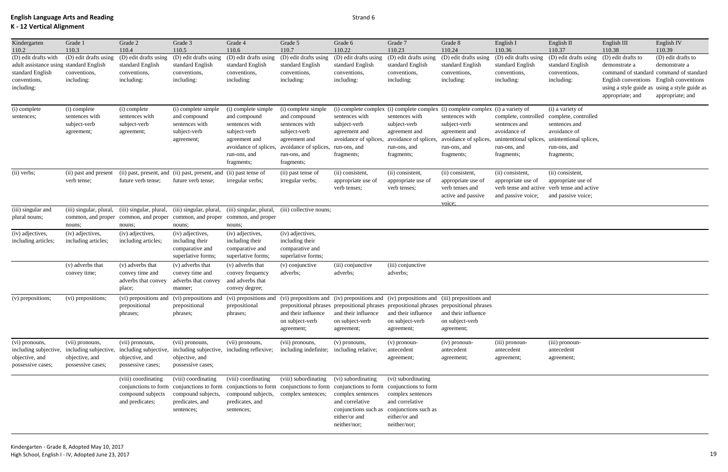| Kindergarten                                                                                                      | Grade 1                                                                         | Grade 2                                                                             | Grade 3                                                                                                                 | Grade 4                                                                                                                                       | Grade 5                                                                                                                                       | Grade 6                                                                                                                                                                                                                                                                                 | Grade 7                                                                                                                                                                                   | Grade 8                                                                                               | English I                                                                                                     | English II                                                                                                                        | English III                                             | English IV                                                                                                                                                                                     |
|-------------------------------------------------------------------------------------------------------------------|---------------------------------------------------------------------------------|-------------------------------------------------------------------------------------|-------------------------------------------------------------------------------------------------------------------------|-----------------------------------------------------------------------------------------------------------------------------------------------|-----------------------------------------------------------------------------------------------------------------------------------------------|-----------------------------------------------------------------------------------------------------------------------------------------------------------------------------------------------------------------------------------------------------------------------------------------|-------------------------------------------------------------------------------------------------------------------------------------------------------------------------------------------|-------------------------------------------------------------------------------------------------------|---------------------------------------------------------------------------------------------------------------|-----------------------------------------------------------------------------------------------------------------------------------|---------------------------------------------------------|------------------------------------------------------------------------------------------------------------------------------------------------------------------------------------------------|
| 110.2                                                                                                             | 110.3                                                                           | 110.4                                                                               | 110.5                                                                                                                   | 110.6                                                                                                                                         | 110.7                                                                                                                                         | 110.22                                                                                                                                                                                                                                                                                  | 110.23                                                                                                                                                                                    | 110.24                                                                                                | 110.36                                                                                                        | 110.37                                                                                                                            | 110.38                                                  | 110.39                                                                                                                                                                                         |
| (D) edit drafts with<br>adult assistance using standard English<br>standard English<br>conventions,<br>including: | (D) edit drafts using<br>conventions,<br>including:                             | (D) edit drafts using<br>standard English<br>conventions,<br>including:             | (D) edit drafts using<br>standard English<br>conventions,<br>including:                                                 | (D) edit drafts using<br>standard English<br>conventions,<br>including:                                                                       | (D) edit drafts using<br>standard English<br>conventions,<br>including:                                                                       | (D) edit drafts using<br>standard English<br>conventions,<br>including:                                                                                                                                                                                                                 | (D) edit drafts using<br>standard English<br>conventions.<br>including:                                                                                                                   | (D) edit drafts using<br>standard English<br>conventions,<br>including:                               | (D) edit drafts using<br>standard English<br>conventions,<br>including:                                       | (D) edit drafts using<br>standard English<br>conventions,<br>including:                                                           | (D) edit drafts to<br>demonstrate a<br>appropriate; and | (D) edit drafts to<br>demonstrate a<br>command of standard command of standard<br>English conventions English conventions<br>using a style guide as using a style guide as<br>appropriate; and |
| (i) complete<br>sentences;                                                                                        | (i) complete<br>sentences with<br>subject-verb<br>agreement;                    | (i) complete<br>sentences with<br>subject-verb<br>agreement;                        | (i) complete simple<br>and compound<br>sentences with<br>subject-verb<br>agreement;                                     | (i) complete simple<br>and compound<br>sentences with<br>subject-verb<br>agreement and<br>avoidance of splices,<br>run-ons, and<br>fragments; | (i) complete simple<br>and compound<br>sentences with<br>subject-verb<br>agreement and<br>avoidance of splices.<br>run-ons, and<br>fragments; | sentences with<br>subject-verb<br>agreement and<br>avoidance of splices,<br>run-ons, and<br>fragments;                                                                                                                                                                                  | (i) complete complex (i) complete complex (i) complete complex (i) a variety of<br>sentences with<br>subject-verb<br>agreement and<br>avoidance of splices,<br>run-ons, and<br>fragments; | sentences with<br>subject-verb<br>agreement and<br>avoidance of splices<br>run-ons, and<br>fragments; | complete, controlled<br>sentences and<br>avoidance of<br>unintentional splices,<br>run-ons, and<br>fragments; | (i) a variety of<br>complete, controlled<br>sentences and<br>avoidance of<br>unintentional splices,<br>run-ons, and<br>fragments; |                                                         |                                                                                                                                                                                                |
| (ii) verbs;                                                                                                       | (ii) past and present<br>verb tense;                                            | future verb tense:                                                                  | (ii) past, present, and (ii) past, present, and (ii) past tense of<br>future verb tense;                                | irregular verbs;                                                                                                                              | (ii) past tense of<br>irregular verbs;                                                                                                        | (ii) consistent,<br>appropriate use of<br>verb tenses;                                                                                                                                                                                                                                  | (ii) consistent,<br>appropriate use of<br>verb tenses;                                                                                                                                    | (ii) consistent,<br>appropriate use of<br>verb tenses and<br>active and passive<br>voice:             | (ii) consistent,<br>appropriate use of<br>verb tense and active<br>and passive voice;                         | (ii) consistent,<br>appropriate use of<br>verb tense and active<br>and passive voice;                                             |                                                         |                                                                                                                                                                                                |
| (iii) singular and<br>plural nouns;                                                                               | (iii) singular, plural,<br>nouns;                                               | (iii) singular, plural,<br>common, and proper common, and proper<br>nouns;          | (iii) singular, plural,<br>common, and proper common, and proper<br>nouns;                                              | (iii) singular, plural,<br>nouns;                                                                                                             | (iii) collective nouns;                                                                                                                       |                                                                                                                                                                                                                                                                                         |                                                                                                                                                                                           |                                                                                                       |                                                                                                               |                                                                                                                                   |                                                         |                                                                                                                                                                                                |
| (iv) adjectives,<br>including articles;                                                                           | (iv) adjectives,<br>including articles;                                         | (iv) adjectives,<br>including articles;                                             | (iv) adjectives,<br>including their<br>comparative and<br>superlative forms;                                            | (iv) adjectives,<br>including their<br>comparative and<br>superlative forms;                                                                  | (iv) adjectives,<br>including their<br>comparative and<br>superlative forms;                                                                  |                                                                                                                                                                                                                                                                                         |                                                                                                                                                                                           |                                                                                                       |                                                                                                               |                                                                                                                                   |                                                         |                                                                                                                                                                                                |
|                                                                                                                   | (v) adverbs that<br>convey time;                                                | (v) adverbs that<br>convey time and<br>adverbs that convey<br>place;                | (v) adverbs that<br>convey time and<br>adverbs that convey<br>manner;                                                   | (v) adverbs that<br>convey frequency<br>and adverbs that<br>convey degree;                                                                    | $(v)$ conjunctive<br>adverbs;                                                                                                                 | (iii) conjunctive<br>adverbs;                                                                                                                                                                                                                                                           | (iii) conjunctive<br>adverbs;                                                                                                                                                             |                                                                                                       |                                                                                                               |                                                                                                                                   |                                                         |                                                                                                                                                                                                |
| (v) prepositions;                                                                                                 | (vi) prepositions;                                                              | (vi) prepositions and<br>prepositional<br>phrases;                                  | prepositional<br>phrases;                                                                                               | prepositional<br>phrases;                                                                                                                     | and their influence<br>on subject-verb<br>agreement;                                                                                          | (vi) prepositions and (vi) prepositions and (vi) prepositions and (iv) prepositions and (iv) prepositions and (iii) prepositions and<br>prepositional phrases prepositional phrases prepositional phrases prepositional phrases<br>and their influence<br>on subject-verb<br>agreement; | and their influence<br>on subject-verb<br>agreement;                                                                                                                                      | and their influence<br>on subject-verb<br>agreement;                                                  |                                                                                                               |                                                                                                                                   |                                                         |                                                                                                                                                                                                |
| (vi) pronouns,<br>including subjective,<br>objective, and<br>possessive cases;                                    | (vii) pronouns,<br>including subjective,<br>objective, and<br>possessive cases; | (vii) pronouns,<br>including subjective,<br>objective, and<br>possessive cases;     | (vii) pronouns,<br>including subjective, including reflexive;<br>objective, and<br>possessive cases;                    | (vii) pronouns,                                                                                                                               | (vii) pronouns,<br>including indefinite;                                                                                                      | (v) pronouns,<br>including relative;                                                                                                                                                                                                                                                    | $(v)$ pronoun-<br>antecedent<br>agreement;                                                                                                                                                | (iv) pronoun-<br>antecedent<br>agreement;                                                             | (iii) pronoun-<br>antecedent<br>agreement;                                                                    | (iii) pronoun-<br>antecedent<br>agreement;                                                                                        |                                                         |                                                                                                                                                                                                |
|                                                                                                                   |                                                                                 | (viii) coordinating<br>conjunctions to form<br>compound subjects<br>and predicates; | (viii) coordinating<br>conjunctions to form conjunctions to form<br>compound subjects,<br>predicates, and<br>sentences; | (viii) coordinating<br>compound subjects,<br>predicates, and<br>sentences;                                                                    | (viii) subordinating<br>conjunctions to form<br>complex sentences;                                                                            | (vi) subordinating<br>conjunctions to form<br>complex sentences<br>and correlative<br>conjunctions such as<br>either/or and<br>neither/nor;                                                                                                                                             | (vi) subordinating<br>conjunctions to form<br>complex sentences<br>and correlative<br>conjunctions such as<br>either/or and<br>neither/nor;                                               |                                                                                                       |                                                                                                               |                                                                                                                                   |                                                         |                                                                                                                                                                                                |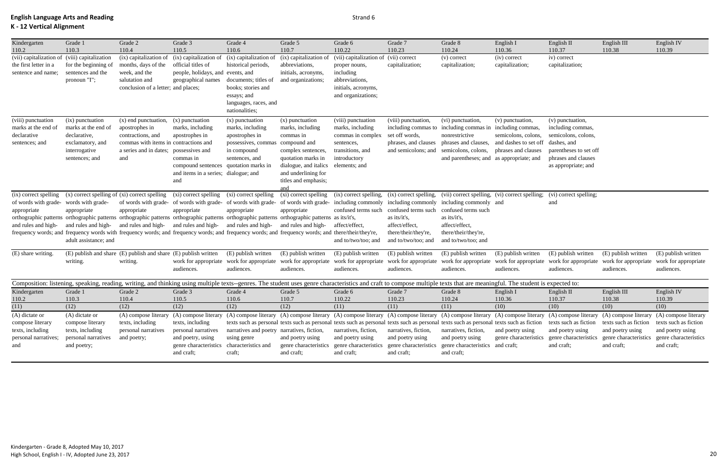| 110.22<br>110.23<br>110.3<br>110.5<br>110.6<br>110.7<br>110.24<br>110.36<br>110.37<br>110.2<br>110.4<br>110.38<br>110.39<br>(vii) capitalization of (viii) capitalization<br>(ix) capitalization of<br>(ix) capitalization of<br>(ix) capitalization of<br>(ix) capitalization of<br>(vii) capitalization of (vii) correct<br>$(v)$ correct<br>(iv) correct<br>iv) correct<br>months, days of the<br>official titles of<br>historical periods,<br>capitalization;<br>capitalization;<br>capitalization;<br>the first letter in a<br>for the beginning of<br>abbreviations,<br>capitalization;<br>proper nouns,<br>including<br>sentences and the<br>week, and the<br>people, holidays, and events, and<br>initials, acronyms,<br>sentence and name;<br>abbreviations,<br>pronoun "I";<br>salutation and<br>documents; titles of<br>and organizations;<br>geographical names<br>conclusion of a letter; and places;<br>books; stories and<br>initials, acronyms,<br>and organizations;<br>essays; and<br>languages, races, and<br>nationalities;<br>(ix) punctuation<br>(x) end punctuation,<br>(x) punctuation<br>(vi) punctuation,<br>(x) punctuation<br>$(x)$ punctuation<br>(viii) punctuation<br>(viii) punctuation,<br>(v) punctuation,<br>(v) punctuation,<br>marks at the end of<br>marks, including<br>marks, including<br>including commas to including commas in<br>including commas,<br>apostrophes in<br>marks, including<br>marks, including<br>including commas,<br>semicolons, colons,<br>semicolons, colons,<br>declarative,<br>contractions, and<br>apostrophes in<br>apostrophes in<br>commas in complex<br>set off words,<br>nonrestrictive<br>commas in<br>and dashes to set off<br>commas with items in contractions and<br>possessives, commas<br>phrases, and clauses<br>phrases and clauses,<br>dashes, and<br>exclamatory, and<br>compound and<br>sentences,<br>transitions, and<br>semicolons, colons,<br>phrases and clauses<br>parentheses to set off<br>interrogative<br>a series and in dates; possessives and<br>in compound<br>complex sentences,<br>and semicolons; and<br>quotation marks in<br>phrases and clauses<br>sentences; and<br>and<br>commas in<br>introductory<br>and parentheses; and as appropriate; and<br>sentences, and<br>compound sentences quotation marks in<br>dialogue, and italics<br>as appropriate; and<br>elements; and<br>and underlining for<br>and items in a series; dialogue; and<br>titles and emphasis;<br>and<br>and<br>(x) correct spelling of (xi) correct spelling<br>(xi) correct spelling (xi) correct spelling<br>(xi) correct spelling<br>(ix) correct spelling, (ix) correct spelling, (vii) correct spelling, (vi) correct spelling;<br>(vi) correct spelling;<br>of words with grade- of words with grade- of words with grade- of words with grade- including commonly including commonly including commonly and<br>of words with grade- words with grade-<br>and<br>appropriate<br>appropriate<br>appropriate<br>appropriate<br>confused terms such<br>confused terms such<br>confused terms such<br>appropriate<br>orthographic patterns orthographic patterns orthographic patterns orthographic patterns orthographic patterns as its/it's,<br>as its/it's,<br>as its/it's,<br>affect/effect,<br>and rules and high- and rules and high- and rules and high-<br>and rules and high-<br>and rules and high-<br>affect/effect,<br>affect/effect.<br>frequency words; and frequency words with frequency words; and frequency words; and frequency words; and frequency words; and there/their/they're,<br>there/their/they're,<br>there/their/they're,<br>adult assistance; and<br>and to/two/too; and<br>and to/two/too; and<br>and to/two/too; and<br>(E) publish and share (E) publish and share (E) publish written<br>(E) publish written<br>(E) share writing.<br>(E) publish written<br>(E) publish written<br>(E) publish written<br>(E) publish written<br>(E) publish written<br>(E) publish written<br>(E) publish written<br>(E) publish written<br>work for appropriate work for appropriate work for appropriate work for appropriate work for appropriate work for appropriate work for appropriate<br>work for appropriate work for appropriate work for appropriate<br>writing.<br>writing.<br>audiences.<br>audiences.<br>audiences.<br>audiences.<br>audiences.<br>audiences.<br>audiences.<br>audiences.<br>audiences.<br>audiences.<br>Composition: listening, speaking, reading, writing, and thinking using multiple texts-genres. The student uses genre characteristics and craft to compose multiple texts that are meaningful. The student is expected to:<br>Kindergarten<br>Grade 2<br>Grade 4<br>Grade 5<br>English IV<br>Grade 1<br>Grade 3<br>Grade 6<br>Grade 7<br>Grade 8<br>English I<br>English II<br>English III<br>110.3<br>110.5<br>110.7<br>110.22<br>110.23<br>110.24<br>110.36<br>110.37<br>110.39<br>110.2<br>110.4<br>110.6<br>110.38<br>(12)<br>(12)<br>(12)<br>(12)<br>(12)<br>(11)<br>(11)<br>(11)<br>(10)<br>(10)<br>(10)<br>(10)<br>(A) dictate or<br>(A) dictate or<br>(A) compose literary<br>(A) compose literary (A) compose literary (A) compose literary (A) compose literary (A) compose literary (A) compose literary (A) compose literary (A) compose literary (A) compose literary (A) compose literary (A) compose<br>texts such as personal texts such as personal texts such as personal texts such as personal texts such as personal texts such as fiction | Kindergarten          | Grade 1          | Grade 2          | Grade 3          | Grade 4 | Grade 5 | Grade 6 | Grade 7 | Grade 8 | English I | English II            | English III           | English IV            |
|-------------------------------------------------------------------------------------------------------------------------------------------------------------------------------------------------------------------------------------------------------------------------------------------------------------------------------------------------------------------------------------------------------------------------------------------------------------------------------------------------------------------------------------------------------------------------------------------------------------------------------------------------------------------------------------------------------------------------------------------------------------------------------------------------------------------------------------------------------------------------------------------------------------------------------------------------------------------------------------------------------------------------------------------------------------------------------------------------------------------------------------------------------------------------------------------------------------------------------------------------------------------------------------------------------------------------------------------------------------------------------------------------------------------------------------------------------------------------------------------------------------------------------------------------------------------------------------------------------------------------------------------------------------------------------------------------------------------------------------------------------------------------------------------------------------------------------------------------------------------------------------------------------------------------------------------------------------------------------------------------------------------------------------------------------------------------------------------------------------------------------------------------------------------------------------------------------------------------------------------------------------------------------------------------------------------------------------------------------------------------------------------------------------------------------------------------------------------------------------------------------------------------------------------------------------------------------------------------------------------------------------------------------------------------------------------------------------------------------------------------------------------------------------------------------------------------------------------------------------------------------------------------------------------------------------------------------------------------------------------------------------------------------------------------------------------------------------------------------------------------------------------------------------------------------------------------------------------------------------------------------------------------------------------------------------------------------------------------------------------------------------------------------------------------------------------------------------------------------------------------------------------------------------------------------------------------------------------------------------------------------------------------------------------------------------------------------------------------------------------------------------------------------------------------------------------------------------------------------------------------------------------------------------------------------------------------------------------------------------------------------------------------------------------------------------------------------------------------------------------------------------------------------------------------------------------------------------------------------------------------------------------------------------------------------------------------------------------------------------------------------------------------------------------------------------------------------------------------------------------------------------------------------------------------------------------------------------------------------------------------------------------------------------------------------------------------------------------------------------------------------------------------------------------------------------------------------------------------------------------------------------------------------------------------------------------------------------------------------------------------------------------------------------------------------------------------------------------------------------------------------------------------------------------------------------------------------------------------------------------------------------------------------------------------------------------------------------------------------------------------------------------------------------------------------------------------------------------------------------------------------------|-----------------------|------------------|------------------|------------------|---------|---------|---------|---------|---------|-----------|-----------------------|-----------------------|-----------------------|
|                                                                                                                                                                                                                                                                                                                                                                                                                                                                                                                                                                                                                                                                                                                                                                                                                                                                                                                                                                                                                                                                                                                                                                                                                                                                                                                                                                                                                                                                                                                                                                                                                                                                                                                                                                                                                                                                                                                                                                                                                                                                                                                                                                                                                                                                                                                                                                                                                                                                                                                                                                                                                                                                                                                                                                                                                                                                                                                                                                                                                                                                                                                                                                                                                                                                                                                                                                                                                                                                                                                                                                                                                                                                                                                                                                                                                                                                                                                                                                                                                                                                                                                                                                                                                                                                                                                                                                                                                                                                                                                                                                                                                                                                                                                                                                                                                                                                                                                                                                                                                                                                                                                                                                                                                                                                                                                                                                                                                                                                                                             |                       |                  |                  |                  |         |         |         |         |         |           |                       |                       |                       |
|                                                                                                                                                                                                                                                                                                                                                                                                                                                                                                                                                                                                                                                                                                                                                                                                                                                                                                                                                                                                                                                                                                                                                                                                                                                                                                                                                                                                                                                                                                                                                                                                                                                                                                                                                                                                                                                                                                                                                                                                                                                                                                                                                                                                                                                                                                                                                                                                                                                                                                                                                                                                                                                                                                                                                                                                                                                                                                                                                                                                                                                                                                                                                                                                                                                                                                                                                                                                                                                                                                                                                                                                                                                                                                                                                                                                                                                                                                                                                                                                                                                                                                                                                                                                                                                                                                                                                                                                                                                                                                                                                                                                                                                                                                                                                                                                                                                                                                                                                                                                                                                                                                                                                                                                                                                                                                                                                                                                                                                                                                             |                       |                  |                  |                  |         |         |         |         |         |           |                       |                       |                       |
|                                                                                                                                                                                                                                                                                                                                                                                                                                                                                                                                                                                                                                                                                                                                                                                                                                                                                                                                                                                                                                                                                                                                                                                                                                                                                                                                                                                                                                                                                                                                                                                                                                                                                                                                                                                                                                                                                                                                                                                                                                                                                                                                                                                                                                                                                                                                                                                                                                                                                                                                                                                                                                                                                                                                                                                                                                                                                                                                                                                                                                                                                                                                                                                                                                                                                                                                                                                                                                                                                                                                                                                                                                                                                                                                                                                                                                                                                                                                                                                                                                                                                                                                                                                                                                                                                                                                                                                                                                                                                                                                                                                                                                                                                                                                                                                                                                                                                                                                                                                                                                                                                                                                                                                                                                                                                                                                                                                                                                                                                                             |                       |                  |                  |                  |         |         |         |         |         |           |                       |                       |                       |
|                                                                                                                                                                                                                                                                                                                                                                                                                                                                                                                                                                                                                                                                                                                                                                                                                                                                                                                                                                                                                                                                                                                                                                                                                                                                                                                                                                                                                                                                                                                                                                                                                                                                                                                                                                                                                                                                                                                                                                                                                                                                                                                                                                                                                                                                                                                                                                                                                                                                                                                                                                                                                                                                                                                                                                                                                                                                                                                                                                                                                                                                                                                                                                                                                                                                                                                                                                                                                                                                                                                                                                                                                                                                                                                                                                                                                                                                                                                                                                                                                                                                                                                                                                                                                                                                                                                                                                                                                                                                                                                                                                                                                                                                                                                                                                                                                                                                                                                                                                                                                                                                                                                                                                                                                                                                                                                                                                                                                                                                                                             |                       |                  |                  |                  |         |         |         |         |         |           |                       |                       |                       |
|                                                                                                                                                                                                                                                                                                                                                                                                                                                                                                                                                                                                                                                                                                                                                                                                                                                                                                                                                                                                                                                                                                                                                                                                                                                                                                                                                                                                                                                                                                                                                                                                                                                                                                                                                                                                                                                                                                                                                                                                                                                                                                                                                                                                                                                                                                                                                                                                                                                                                                                                                                                                                                                                                                                                                                                                                                                                                                                                                                                                                                                                                                                                                                                                                                                                                                                                                                                                                                                                                                                                                                                                                                                                                                                                                                                                                                                                                                                                                                                                                                                                                                                                                                                                                                                                                                                                                                                                                                                                                                                                                                                                                                                                                                                                                                                                                                                                                                                                                                                                                                                                                                                                                                                                                                                                                                                                                                                                                                                                                                             |                       |                  |                  |                  |         |         |         |         |         |           |                       |                       |                       |
|                                                                                                                                                                                                                                                                                                                                                                                                                                                                                                                                                                                                                                                                                                                                                                                                                                                                                                                                                                                                                                                                                                                                                                                                                                                                                                                                                                                                                                                                                                                                                                                                                                                                                                                                                                                                                                                                                                                                                                                                                                                                                                                                                                                                                                                                                                                                                                                                                                                                                                                                                                                                                                                                                                                                                                                                                                                                                                                                                                                                                                                                                                                                                                                                                                                                                                                                                                                                                                                                                                                                                                                                                                                                                                                                                                                                                                                                                                                                                                                                                                                                                                                                                                                                                                                                                                                                                                                                                                                                                                                                                                                                                                                                                                                                                                                                                                                                                                                                                                                                                                                                                                                                                                                                                                                                                                                                                                                                                                                                                                             |                       |                  |                  |                  |         |         |         |         |         |           |                       |                       |                       |
|                                                                                                                                                                                                                                                                                                                                                                                                                                                                                                                                                                                                                                                                                                                                                                                                                                                                                                                                                                                                                                                                                                                                                                                                                                                                                                                                                                                                                                                                                                                                                                                                                                                                                                                                                                                                                                                                                                                                                                                                                                                                                                                                                                                                                                                                                                                                                                                                                                                                                                                                                                                                                                                                                                                                                                                                                                                                                                                                                                                                                                                                                                                                                                                                                                                                                                                                                                                                                                                                                                                                                                                                                                                                                                                                                                                                                                                                                                                                                                                                                                                                                                                                                                                                                                                                                                                                                                                                                                                                                                                                                                                                                                                                                                                                                                                                                                                                                                                                                                                                                                                                                                                                                                                                                                                                                                                                                                                                                                                                                                             |                       |                  |                  |                  |         |         |         |         |         |           |                       |                       |                       |
|                                                                                                                                                                                                                                                                                                                                                                                                                                                                                                                                                                                                                                                                                                                                                                                                                                                                                                                                                                                                                                                                                                                                                                                                                                                                                                                                                                                                                                                                                                                                                                                                                                                                                                                                                                                                                                                                                                                                                                                                                                                                                                                                                                                                                                                                                                                                                                                                                                                                                                                                                                                                                                                                                                                                                                                                                                                                                                                                                                                                                                                                                                                                                                                                                                                                                                                                                                                                                                                                                                                                                                                                                                                                                                                                                                                                                                                                                                                                                                                                                                                                                                                                                                                                                                                                                                                                                                                                                                                                                                                                                                                                                                                                                                                                                                                                                                                                                                                                                                                                                                                                                                                                                                                                                                                                                                                                                                                                                                                                                                             |                       |                  |                  |                  |         |         |         |         |         |           |                       |                       |                       |
|                                                                                                                                                                                                                                                                                                                                                                                                                                                                                                                                                                                                                                                                                                                                                                                                                                                                                                                                                                                                                                                                                                                                                                                                                                                                                                                                                                                                                                                                                                                                                                                                                                                                                                                                                                                                                                                                                                                                                                                                                                                                                                                                                                                                                                                                                                                                                                                                                                                                                                                                                                                                                                                                                                                                                                                                                                                                                                                                                                                                                                                                                                                                                                                                                                                                                                                                                                                                                                                                                                                                                                                                                                                                                                                                                                                                                                                                                                                                                                                                                                                                                                                                                                                                                                                                                                                                                                                                                                                                                                                                                                                                                                                                                                                                                                                                                                                                                                                                                                                                                                                                                                                                                                                                                                                                                                                                                                                                                                                                                                             |                       |                  |                  |                  |         |         |         |         |         |           |                       |                       |                       |
|                                                                                                                                                                                                                                                                                                                                                                                                                                                                                                                                                                                                                                                                                                                                                                                                                                                                                                                                                                                                                                                                                                                                                                                                                                                                                                                                                                                                                                                                                                                                                                                                                                                                                                                                                                                                                                                                                                                                                                                                                                                                                                                                                                                                                                                                                                                                                                                                                                                                                                                                                                                                                                                                                                                                                                                                                                                                                                                                                                                                                                                                                                                                                                                                                                                                                                                                                                                                                                                                                                                                                                                                                                                                                                                                                                                                                                                                                                                                                                                                                                                                                                                                                                                                                                                                                                                                                                                                                                                                                                                                                                                                                                                                                                                                                                                                                                                                                                                                                                                                                                                                                                                                                                                                                                                                                                                                                                                                                                                                                                             |                       |                  |                  |                  |         |         |         |         |         |           |                       |                       |                       |
|                                                                                                                                                                                                                                                                                                                                                                                                                                                                                                                                                                                                                                                                                                                                                                                                                                                                                                                                                                                                                                                                                                                                                                                                                                                                                                                                                                                                                                                                                                                                                                                                                                                                                                                                                                                                                                                                                                                                                                                                                                                                                                                                                                                                                                                                                                                                                                                                                                                                                                                                                                                                                                                                                                                                                                                                                                                                                                                                                                                                                                                                                                                                                                                                                                                                                                                                                                                                                                                                                                                                                                                                                                                                                                                                                                                                                                                                                                                                                                                                                                                                                                                                                                                                                                                                                                                                                                                                                                                                                                                                                                                                                                                                                                                                                                                                                                                                                                                                                                                                                                                                                                                                                                                                                                                                                                                                                                                                                                                                                                             | (viii) punctuation    |                  |                  |                  |         |         |         |         |         |           |                       |                       |                       |
|                                                                                                                                                                                                                                                                                                                                                                                                                                                                                                                                                                                                                                                                                                                                                                                                                                                                                                                                                                                                                                                                                                                                                                                                                                                                                                                                                                                                                                                                                                                                                                                                                                                                                                                                                                                                                                                                                                                                                                                                                                                                                                                                                                                                                                                                                                                                                                                                                                                                                                                                                                                                                                                                                                                                                                                                                                                                                                                                                                                                                                                                                                                                                                                                                                                                                                                                                                                                                                                                                                                                                                                                                                                                                                                                                                                                                                                                                                                                                                                                                                                                                                                                                                                                                                                                                                                                                                                                                                                                                                                                                                                                                                                                                                                                                                                                                                                                                                                                                                                                                                                                                                                                                                                                                                                                                                                                                                                                                                                                                                             | marks at the end of   |                  |                  |                  |         |         |         |         |         |           |                       |                       |                       |
|                                                                                                                                                                                                                                                                                                                                                                                                                                                                                                                                                                                                                                                                                                                                                                                                                                                                                                                                                                                                                                                                                                                                                                                                                                                                                                                                                                                                                                                                                                                                                                                                                                                                                                                                                                                                                                                                                                                                                                                                                                                                                                                                                                                                                                                                                                                                                                                                                                                                                                                                                                                                                                                                                                                                                                                                                                                                                                                                                                                                                                                                                                                                                                                                                                                                                                                                                                                                                                                                                                                                                                                                                                                                                                                                                                                                                                                                                                                                                                                                                                                                                                                                                                                                                                                                                                                                                                                                                                                                                                                                                                                                                                                                                                                                                                                                                                                                                                                                                                                                                                                                                                                                                                                                                                                                                                                                                                                                                                                                                                             | declarative           |                  |                  |                  |         |         |         |         |         |           |                       |                       |                       |
|                                                                                                                                                                                                                                                                                                                                                                                                                                                                                                                                                                                                                                                                                                                                                                                                                                                                                                                                                                                                                                                                                                                                                                                                                                                                                                                                                                                                                                                                                                                                                                                                                                                                                                                                                                                                                                                                                                                                                                                                                                                                                                                                                                                                                                                                                                                                                                                                                                                                                                                                                                                                                                                                                                                                                                                                                                                                                                                                                                                                                                                                                                                                                                                                                                                                                                                                                                                                                                                                                                                                                                                                                                                                                                                                                                                                                                                                                                                                                                                                                                                                                                                                                                                                                                                                                                                                                                                                                                                                                                                                                                                                                                                                                                                                                                                                                                                                                                                                                                                                                                                                                                                                                                                                                                                                                                                                                                                                                                                                                                             | sentences; and        |                  |                  |                  |         |         |         |         |         |           |                       |                       |                       |
|                                                                                                                                                                                                                                                                                                                                                                                                                                                                                                                                                                                                                                                                                                                                                                                                                                                                                                                                                                                                                                                                                                                                                                                                                                                                                                                                                                                                                                                                                                                                                                                                                                                                                                                                                                                                                                                                                                                                                                                                                                                                                                                                                                                                                                                                                                                                                                                                                                                                                                                                                                                                                                                                                                                                                                                                                                                                                                                                                                                                                                                                                                                                                                                                                                                                                                                                                                                                                                                                                                                                                                                                                                                                                                                                                                                                                                                                                                                                                                                                                                                                                                                                                                                                                                                                                                                                                                                                                                                                                                                                                                                                                                                                                                                                                                                                                                                                                                                                                                                                                                                                                                                                                                                                                                                                                                                                                                                                                                                                                                             |                       |                  |                  |                  |         |         |         |         |         |           |                       |                       |                       |
|                                                                                                                                                                                                                                                                                                                                                                                                                                                                                                                                                                                                                                                                                                                                                                                                                                                                                                                                                                                                                                                                                                                                                                                                                                                                                                                                                                                                                                                                                                                                                                                                                                                                                                                                                                                                                                                                                                                                                                                                                                                                                                                                                                                                                                                                                                                                                                                                                                                                                                                                                                                                                                                                                                                                                                                                                                                                                                                                                                                                                                                                                                                                                                                                                                                                                                                                                                                                                                                                                                                                                                                                                                                                                                                                                                                                                                                                                                                                                                                                                                                                                                                                                                                                                                                                                                                                                                                                                                                                                                                                                                                                                                                                                                                                                                                                                                                                                                                                                                                                                                                                                                                                                                                                                                                                                                                                                                                                                                                                                                             |                       |                  |                  |                  |         |         |         |         |         |           |                       |                       |                       |
|                                                                                                                                                                                                                                                                                                                                                                                                                                                                                                                                                                                                                                                                                                                                                                                                                                                                                                                                                                                                                                                                                                                                                                                                                                                                                                                                                                                                                                                                                                                                                                                                                                                                                                                                                                                                                                                                                                                                                                                                                                                                                                                                                                                                                                                                                                                                                                                                                                                                                                                                                                                                                                                                                                                                                                                                                                                                                                                                                                                                                                                                                                                                                                                                                                                                                                                                                                                                                                                                                                                                                                                                                                                                                                                                                                                                                                                                                                                                                                                                                                                                                                                                                                                                                                                                                                                                                                                                                                                                                                                                                                                                                                                                                                                                                                                                                                                                                                                                                                                                                                                                                                                                                                                                                                                                                                                                                                                                                                                                                                             |                       |                  |                  |                  |         |         |         |         |         |           |                       |                       |                       |
|                                                                                                                                                                                                                                                                                                                                                                                                                                                                                                                                                                                                                                                                                                                                                                                                                                                                                                                                                                                                                                                                                                                                                                                                                                                                                                                                                                                                                                                                                                                                                                                                                                                                                                                                                                                                                                                                                                                                                                                                                                                                                                                                                                                                                                                                                                                                                                                                                                                                                                                                                                                                                                                                                                                                                                                                                                                                                                                                                                                                                                                                                                                                                                                                                                                                                                                                                                                                                                                                                                                                                                                                                                                                                                                                                                                                                                                                                                                                                                                                                                                                                                                                                                                                                                                                                                                                                                                                                                                                                                                                                                                                                                                                                                                                                                                                                                                                                                                                                                                                                                                                                                                                                                                                                                                                                                                                                                                                                                                                                                             |                       |                  |                  |                  |         |         |         |         |         |           |                       |                       |                       |
|                                                                                                                                                                                                                                                                                                                                                                                                                                                                                                                                                                                                                                                                                                                                                                                                                                                                                                                                                                                                                                                                                                                                                                                                                                                                                                                                                                                                                                                                                                                                                                                                                                                                                                                                                                                                                                                                                                                                                                                                                                                                                                                                                                                                                                                                                                                                                                                                                                                                                                                                                                                                                                                                                                                                                                                                                                                                                                                                                                                                                                                                                                                                                                                                                                                                                                                                                                                                                                                                                                                                                                                                                                                                                                                                                                                                                                                                                                                                                                                                                                                                                                                                                                                                                                                                                                                                                                                                                                                                                                                                                                                                                                                                                                                                                                                                                                                                                                                                                                                                                                                                                                                                                                                                                                                                                                                                                                                                                                                                                                             |                       |                  |                  |                  |         |         |         |         |         |           |                       |                       |                       |
|                                                                                                                                                                                                                                                                                                                                                                                                                                                                                                                                                                                                                                                                                                                                                                                                                                                                                                                                                                                                                                                                                                                                                                                                                                                                                                                                                                                                                                                                                                                                                                                                                                                                                                                                                                                                                                                                                                                                                                                                                                                                                                                                                                                                                                                                                                                                                                                                                                                                                                                                                                                                                                                                                                                                                                                                                                                                                                                                                                                                                                                                                                                                                                                                                                                                                                                                                                                                                                                                                                                                                                                                                                                                                                                                                                                                                                                                                                                                                                                                                                                                                                                                                                                                                                                                                                                                                                                                                                                                                                                                                                                                                                                                                                                                                                                                                                                                                                                                                                                                                                                                                                                                                                                                                                                                                                                                                                                                                                                                                                             |                       |                  |                  |                  |         |         |         |         |         |           |                       |                       |                       |
|                                                                                                                                                                                                                                                                                                                                                                                                                                                                                                                                                                                                                                                                                                                                                                                                                                                                                                                                                                                                                                                                                                                                                                                                                                                                                                                                                                                                                                                                                                                                                                                                                                                                                                                                                                                                                                                                                                                                                                                                                                                                                                                                                                                                                                                                                                                                                                                                                                                                                                                                                                                                                                                                                                                                                                                                                                                                                                                                                                                                                                                                                                                                                                                                                                                                                                                                                                                                                                                                                                                                                                                                                                                                                                                                                                                                                                                                                                                                                                                                                                                                                                                                                                                                                                                                                                                                                                                                                                                                                                                                                                                                                                                                                                                                                                                                                                                                                                                                                                                                                                                                                                                                                                                                                                                                                                                                                                                                                                                                                                             | (ix) correct spelling |                  |                  |                  |         |         |         |         |         |           |                       |                       |                       |
|                                                                                                                                                                                                                                                                                                                                                                                                                                                                                                                                                                                                                                                                                                                                                                                                                                                                                                                                                                                                                                                                                                                                                                                                                                                                                                                                                                                                                                                                                                                                                                                                                                                                                                                                                                                                                                                                                                                                                                                                                                                                                                                                                                                                                                                                                                                                                                                                                                                                                                                                                                                                                                                                                                                                                                                                                                                                                                                                                                                                                                                                                                                                                                                                                                                                                                                                                                                                                                                                                                                                                                                                                                                                                                                                                                                                                                                                                                                                                                                                                                                                                                                                                                                                                                                                                                                                                                                                                                                                                                                                                                                                                                                                                                                                                                                                                                                                                                                                                                                                                                                                                                                                                                                                                                                                                                                                                                                                                                                                                                             |                       |                  |                  |                  |         |         |         |         |         |           |                       |                       |                       |
|                                                                                                                                                                                                                                                                                                                                                                                                                                                                                                                                                                                                                                                                                                                                                                                                                                                                                                                                                                                                                                                                                                                                                                                                                                                                                                                                                                                                                                                                                                                                                                                                                                                                                                                                                                                                                                                                                                                                                                                                                                                                                                                                                                                                                                                                                                                                                                                                                                                                                                                                                                                                                                                                                                                                                                                                                                                                                                                                                                                                                                                                                                                                                                                                                                                                                                                                                                                                                                                                                                                                                                                                                                                                                                                                                                                                                                                                                                                                                                                                                                                                                                                                                                                                                                                                                                                                                                                                                                                                                                                                                                                                                                                                                                                                                                                                                                                                                                                                                                                                                                                                                                                                                                                                                                                                                                                                                                                                                                                                                                             | appropriate           |                  |                  |                  |         |         |         |         |         |           |                       |                       |                       |
|                                                                                                                                                                                                                                                                                                                                                                                                                                                                                                                                                                                                                                                                                                                                                                                                                                                                                                                                                                                                                                                                                                                                                                                                                                                                                                                                                                                                                                                                                                                                                                                                                                                                                                                                                                                                                                                                                                                                                                                                                                                                                                                                                                                                                                                                                                                                                                                                                                                                                                                                                                                                                                                                                                                                                                                                                                                                                                                                                                                                                                                                                                                                                                                                                                                                                                                                                                                                                                                                                                                                                                                                                                                                                                                                                                                                                                                                                                                                                                                                                                                                                                                                                                                                                                                                                                                                                                                                                                                                                                                                                                                                                                                                                                                                                                                                                                                                                                                                                                                                                                                                                                                                                                                                                                                                                                                                                                                                                                                                                                             |                       |                  |                  |                  |         |         |         |         |         |           |                       |                       |                       |
|                                                                                                                                                                                                                                                                                                                                                                                                                                                                                                                                                                                                                                                                                                                                                                                                                                                                                                                                                                                                                                                                                                                                                                                                                                                                                                                                                                                                                                                                                                                                                                                                                                                                                                                                                                                                                                                                                                                                                                                                                                                                                                                                                                                                                                                                                                                                                                                                                                                                                                                                                                                                                                                                                                                                                                                                                                                                                                                                                                                                                                                                                                                                                                                                                                                                                                                                                                                                                                                                                                                                                                                                                                                                                                                                                                                                                                                                                                                                                                                                                                                                                                                                                                                                                                                                                                                                                                                                                                                                                                                                                                                                                                                                                                                                                                                                                                                                                                                                                                                                                                                                                                                                                                                                                                                                                                                                                                                                                                                                                                             | and rules and high-   |                  |                  |                  |         |         |         |         |         |           |                       |                       |                       |
|                                                                                                                                                                                                                                                                                                                                                                                                                                                                                                                                                                                                                                                                                                                                                                                                                                                                                                                                                                                                                                                                                                                                                                                                                                                                                                                                                                                                                                                                                                                                                                                                                                                                                                                                                                                                                                                                                                                                                                                                                                                                                                                                                                                                                                                                                                                                                                                                                                                                                                                                                                                                                                                                                                                                                                                                                                                                                                                                                                                                                                                                                                                                                                                                                                                                                                                                                                                                                                                                                                                                                                                                                                                                                                                                                                                                                                                                                                                                                                                                                                                                                                                                                                                                                                                                                                                                                                                                                                                                                                                                                                                                                                                                                                                                                                                                                                                                                                                                                                                                                                                                                                                                                                                                                                                                                                                                                                                                                                                                                                             |                       |                  |                  |                  |         |         |         |         |         |           |                       |                       |                       |
|                                                                                                                                                                                                                                                                                                                                                                                                                                                                                                                                                                                                                                                                                                                                                                                                                                                                                                                                                                                                                                                                                                                                                                                                                                                                                                                                                                                                                                                                                                                                                                                                                                                                                                                                                                                                                                                                                                                                                                                                                                                                                                                                                                                                                                                                                                                                                                                                                                                                                                                                                                                                                                                                                                                                                                                                                                                                                                                                                                                                                                                                                                                                                                                                                                                                                                                                                                                                                                                                                                                                                                                                                                                                                                                                                                                                                                                                                                                                                                                                                                                                                                                                                                                                                                                                                                                                                                                                                                                                                                                                                                                                                                                                                                                                                                                                                                                                                                                                                                                                                                                                                                                                                                                                                                                                                                                                                                                                                                                                                                             |                       |                  |                  |                  |         |         |         |         |         |           |                       |                       |                       |
|                                                                                                                                                                                                                                                                                                                                                                                                                                                                                                                                                                                                                                                                                                                                                                                                                                                                                                                                                                                                                                                                                                                                                                                                                                                                                                                                                                                                                                                                                                                                                                                                                                                                                                                                                                                                                                                                                                                                                                                                                                                                                                                                                                                                                                                                                                                                                                                                                                                                                                                                                                                                                                                                                                                                                                                                                                                                                                                                                                                                                                                                                                                                                                                                                                                                                                                                                                                                                                                                                                                                                                                                                                                                                                                                                                                                                                                                                                                                                                                                                                                                                                                                                                                                                                                                                                                                                                                                                                                                                                                                                                                                                                                                                                                                                                                                                                                                                                                                                                                                                                                                                                                                                                                                                                                                                                                                                                                                                                                                                                             |                       |                  |                  |                  |         |         |         |         |         |           |                       |                       |                       |
|                                                                                                                                                                                                                                                                                                                                                                                                                                                                                                                                                                                                                                                                                                                                                                                                                                                                                                                                                                                                                                                                                                                                                                                                                                                                                                                                                                                                                                                                                                                                                                                                                                                                                                                                                                                                                                                                                                                                                                                                                                                                                                                                                                                                                                                                                                                                                                                                                                                                                                                                                                                                                                                                                                                                                                                                                                                                                                                                                                                                                                                                                                                                                                                                                                                                                                                                                                                                                                                                                                                                                                                                                                                                                                                                                                                                                                                                                                                                                                                                                                                                                                                                                                                                                                                                                                                                                                                                                                                                                                                                                                                                                                                                                                                                                                                                                                                                                                                                                                                                                                                                                                                                                                                                                                                                                                                                                                                                                                                                                                             |                       |                  |                  |                  |         |         |         |         |         |           |                       |                       |                       |
|                                                                                                                                                                                                                                                                                                                                                                                                                                                                                                                                                                                                                                                                                                                                                                                                                                                                                                                                                                                                                                                                                                                                                                                                                                                                                                                                                                                                                                                                                                                                                                                                                                                                                                                                                                                                                                                                                                                                                                                                                                                                                                                                                                                                                                                                                                                                                                                                                                                                                                                                                                                                                                                                                                                                                                                                                                                                                                                                                                                                                                                                                                                                                                                                                                                                                                                                                                                                                                                                                                                                                                                                                                                                                                                                                                                                                                                                                                                                                                                                                                                                                                                                                                                                                                                                                                                                                                                                                                                                                                                                                                                                                                                                                                                                                                                                                                                                                                                                                                                                                                                                                                                                                                                                                                                                                                                                                                                                                                                                                                             |                       |                  |                  |                  |         |         |         |         |         |           |                       |                       |                       |
|                                                                                                                                                                                                                                                                                                                                                                                                                                                                                                                                                                                                                                                                                                                                                                                                                                                                                                                                                                                                                                                                                                                                                                                                                                                                                                                                                                                                                                                                                                                                                                                                                                                                                                                                                                                                                                                                                                                                                                                                                                                                                                                                                                                                                                                                                                                                                                                                                                                                                                                                                                                                                                                                                                                                                                                                                                                                                                                                                                                                                                                                                                                                                                                                                                                                                                                                                                                                                                                                                                                                                                                                                                                                                                                                                                                                                                                                                                                                                                                                                                                                                                                                                                                                                                                                                                                                                                                                                                                                                                                                                                                                                                                                                                                                                                                                                                                                                                                                                                                                                                                                                                                                                                                                                                                                                                                                                                                                                                                                                                             |                       |                  |                  |                  |         |         |         |         |         |           |                       |                       |                       |
|                                                                                                                                                                                                                                                                                                                                                                                                                                                                                                                                                                                                                                                                                                                                                                                                                                                                                                                                                                                                                                                                                                                                                                                                                                                                                                                                                                                                                                                                                                                                                                                                                                                                                                                                                                                                                                                                                                                                                                                                                                                                                                                                                                                                                                                                                                                                                                                                                                                                                                                                                                                                                                                                                                                                                                                                                                                                                                                                                                                                                                                                                                                                                                                                                                                                                                                                                                                                                                                                                                                                                                                                                                                                                                                                                                                                                                                                                                                                                                                                                                                                                                                                                                                                                                                                                                                                                                                                                                                                                                                                                                                                                                                                                                                                                                                                                                                                                                                                                                                                                                                                                                                                                                                                                                                                                                                                                                                                                                                                                                             |                       |                  |                  |                  |         |         |         |         |         |           |                       |                       |                       |
|                                                                                                                                                                                                                                                                                                                                                                                                                                                                                                                                                                                                                                                                                                                                                                                                                                                                                                                                                                                                                                                                                                                                                                                                                                                                                                                                                                                                                                                                                                                                                                                                                                                                                                                                                                                                                                                                                                                                                                                                                                                                                                                                                                                                                                                                                                                                                                                                                                                                                                                                                                                                                                                                                                                                                                                                                                                                                                                                                                                                                                                                                                                                                                                                                                                                                                                                                                                                                                                                                                                                                                                                                                                                                                                                                                                                                                                                                                                                                                                                                                                                                                                                                                                                                                                                                                                                                                                                                                                                                                                                                                                                                                                                                                                                                                                                                                                                                                                                                                                                                                                                                                                                                                                                                                                                                                                                                                                                                                                                                                             |                       |                  |                  |                  |         |         |         |         |         |           |                       |                       |                       |
|                                                                                                                                                                                                                                                                                                                                                                                                                                                                                                                                                                                                                                                                                                                                                                                                                                                                                                                                                                                                                                                                                                                                                                                                                                                                                                                                                                                                                                                                                                                                                                                                                                                                                                                                                                                                                                                                                                                                                                                                                                                                                                                                                                                                                                                                                                                                                                                                                                                                                                                                                                                                                                                                                                                                                                                                                                                                                                                                                                                                                                                                                                                                                                                                                                                                                                                                                                                                                                                                                                                                                                                                                                                                                                                                                                                                                                                                                                                                                                                                                                                                                                                                                                                                                                                                                                                                                                                                                                                                                                                                                                                                                                                                                                                                                                                                                                                                                                                                                                                                                                                                                                                                                                                                                                                                                                                                                                                                                                                                                                             |                       |                  |                  |                  |         |         |         |         |         |           |                       |                       |                       |
|                                                                                                                                                                                                                                                                                                                                                                                                                                                                                                                                                                                                                                                                                                                                                                                                                                                                                                                                                                                                                                                                                                                                                                                                                                                                                                                                                                                                                                                                                                                                                                                                                                                                                                                                                                                                                                                                                                                                                                                                                                                                                                                                                                                                                                                                                                                                                                                                                                                                                                                                                                                                                                                                                                                                                                                                                                                                                                                                                                                                                                                                                                                                                                                                                                                                                                                                                                                                                                                                                                                                                                                                                                                                                                                                                                                                                                                                                                                                                                                                                                                                                                                                                                                                                                                                                                                                                                                                                                                                                                                                                                                                                                                                                                                                                                                                                                                                                                                                                                                                                                                                                                                                                                                                                                                                                                                                                                                                                                                                                                             | (11)                  |                  |                  |                  |         |         |         |         |         |           |                       |                       |                       |
|                                                                                                                                                                                                                                                                                                                                                                                                                                                                                                                                                                                                                                                                                                                                                                                                                                                                                                                                                                                                                                                                                                                                                                                                                                                                                                                                                                                                                                                                                                                                                                                                                                                                                                                                                                                                                                                                                                                                                                                                                                                                                                                                                                                                                                                                                                                                                                                                                                                                                                                                                                                                                                                                                                                                                                                                                                                                                                                                                                                                                                                                                                                                                                                                                                                                                                                                                                                                                                                                                                                                                                                                                                                                                                                                                                                                                                                                                                                                                                                                                                                                                                                                                                                                                                                                                                                                                                                                                                                                                                                                                                                                                                                                                                                                                                                                                                                                                                                                                                                                                                                                                                                                                                                                                                                                                                                                                                                                                                                                                                             |                       |                  |                  |                  |         |         |         |         |         |           |                       |                       |                       |
|                                                                                                                                                                                                                                                                                                                                                                                                                                                                                                                                                                                                                                                                                                                                                                                                                                                                                                                                                                                                                                                                                                                                                                                                                                                                                                                                                                                                                                                                                                                                                                                                                                                                                                                                                                                                                                                                                                                                                                                                                                                                                                                                                                                                                                                                                                                                                                                                                                                                                                                                                                                                                                                                                                                                                                                                                                                                                                                                                                                                                                                                                                                                                                                                                                                                                                                                                                                                                                                                                                                                                                                                                                                                                                                                                                                                                                                                                                                                                                                                                                                                                                                                                                                                                                                                                                                                                                                                                                                                                                                                                                                                                                                                                                                                                                                                                                                                                                                                                                                                                                                                                                                                                                                                                                                                                                                                                                                                                                                                                                             | compose literary      | compose literary | texts, including | texts, including |         |         |         |         |         |           | texts such as fiction | texts such as fiction | texts such as fiction |
| texts, including<br>personal narratives<br>narratives and poetry narratives, fiction,<br>narratives, fiction,<br>narratives, fiction,<br>and poetry using<br>and poetry using<br>personal narratives<br>narratives, fiction,<br>and poetry using<br>and poetry using                                                                                                                                                                                                                                                                                                                                                                                                                                                                                                                                                                                                                                                                                                                                                                                                                                                                                                                                                                                                                                                                                                                                                                                                                                                                                                                                                                                                                                                                                                                                                                                                                                                                                                                                                                                                                                                                                                                                                                                                                                                                                                                                                                                                                                                                                                                                                                                                                                                                                                                                                                                                                                                                                                                                                                                                                                                                                                                                                                                                                                                                                                                                                                                                                                                                                                                                                                                                                                                                                                                                                                                                                                                                                                                                                                                                                                                                                                                                                                                                                                                                                                                                                                                                                                                                                                                                                                                                                                                                                                                                                                                                                                                                                                                                                                                                                                                                                                                                                                                                                                                                                                                                                                                                                                        | texts, including      |                  |                  |                  |         |         |         |         |         |           |                       |                       |                       |
| genre characteristics genre characteristics genre characteristics genre characteristics<br>personal narratives<br>and poetry using<br>and poetry using<br>and poetry;<br>and poetry, using<br>using genre<br>and poetry using<br>and poetry using                                                                                                                                                                                                                                                                                                                                                                                                                                                                                                                                                                                                                                                                                                                                                                                                                                                                                                                                                                                                                                                                                                                                                                                                                                                                                                                                                                                                                                                                                                                                                                                                                                                                                                                                                                                                                                                                                                                                                                                                                                                                                                                                                                                                                                                                                                                                                                                                                                                                                                                                                                                                                                                                                                                                                                                                                                                                                                                                                                                                                                                                                                                                                                                                                                                                                                                                                                                                                                                                                                                                                                                                                                                                                                                                                                                                                                                                                                                                                                                                                                                                                                                                                                                                                                                                                                                                                                                                                                                                                                                                                                                                                                                                                                                                                                                                                                                                                                                                                                                                                                                                                                                                                                                                                                                           | personal narratives;  |                  |                  |                  |         |         |         |         |         |           |                       |                       |                       |
| genre characteristics characteristics and<br>genre characteristics<br>genre characteristics genre characteristics and craft;<br>and craft;<br>and craft;<br>and craft;<br>genre characteristics<br>and poetry;                                                                                                                                                                                                                                                                                                                                                                                                                                                                                                                                                                                                                                                                                                                                                                                                                                                                                                                                                                                                                                                                                                                                                                                                                                                                                                                                                                                                                                                                                                                                                                                                                                                                                                                                                                                                                                                                                                                                                                                                                                                                                                                                                                                                                                                                                                                                                                                                                                                                                                                                                                                                                                                                                                                                                                                                                                                                                                                                                                                                                                                                                                                                                                                                                                                                                                                                                                                                                                                                                                                                                                                                                                                                                                                                                                                                                                                                                                                                                                                                                                                                                                                                                                                                                                                                                                                                                                                                                                                                                                                                                                                                                                                                                                                                                                                                                                                                                                                                                                                                                                                                                                                                                                                                                                                                                              | and                   |                  |                  |                  |         |         |         |         |         |           |                       |                       |                       |
| and craft;<br>and craft;<br>and craft;<br>and craft;<br>and craft;<br>craft;                                                                                                                                                                                                                                                                                                                                                                                                                                                                                                                                                                                                                                                                                                                                                                                                                                                                                                                                                                                                                                                                                                                                                                                                                                                                                                                                                                                                                                                                                                                                                                                                                                                                                                                                                                                                                                                                                                                                                                                                                                                                                                                                                                                                                                                                                                                                                                                                                                                                                                                                                                                                                                                                                                                                                                                                                                                                                                                                                                                                                                                                                                                                                                                                                                                                                                                                                                                                                                                                                                                                                                                                                                                                                                                                                                                                                                                                                                                                                                                                                                                                                                                                                                                                                                                                                                                                                                                                                                                                                                                                                                                                                                                                                                                                                                                                                                                                                                                                                                                                                                                                                                                                                                                                                                                                                                                                                                                                                                |                       |                  |                  |                  |         |         |         |         |         |           |                       |                       |                       |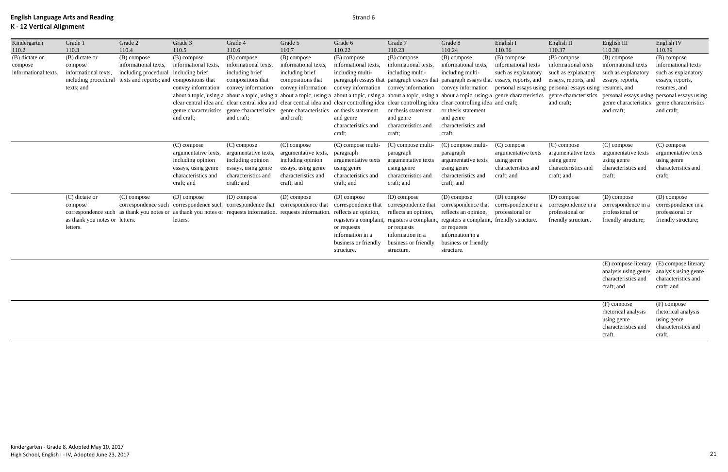| Kindergarten         | Grade 1                        | Grade 2                                  | Grade 3              | Grade 4                                                                         | Grade 5                                                                                                                                              | Grade 6              | Grade 7              | Grade 8                                                                                                           | English I           | English II           | English III         | English IV                                                                                                                                                                                                                     |
|----------------------|--------------------------------|------------------------------------------|----------------------|---------------------------------------------------------------------------------|------------------------------------------------------------------------------------------------------------------------------------------------------|----------------------|----------------------|-------------------------------------------------------------------------------------------------------------------|---------------------|----------------------|---------------------|--------------------------------------------------------------------------------------------------------------------------------------------------------------------------------------------------------------------------------|
| 110.2                | 110.3                          | 110.4                                    | 110.5                | 110.6                                                                           | 110.7                                                                                                                                                | 110.22               | 110.23               | 110.24                                                                                                            | 110.36              | 110.37               | 110.38              | 110.39                                                                                                                                                                                                                         |
| (B) dictate or       | (B) dictate or                 | (B) compose                              | (B) compose          | (B) compose                                                                     | (B) compose                                                                                                                                          | (B) compose          | (B) compose          | (B) compose                                                                                                       | (B) compose         | (B) compose          | (B) compose         | (B) compose                                                                                                                                                                                                                    |
| compose              | compose                        | informational texts,                     | informational texts. | informational texts.                                                            | informational texts,                                                                                                                                 | informational texts. | informational texts. | informational texts.                                                                                              | informational texts | informational texts  | informational texts | informational texts                                                                                                                                                                                                            |
| informational texts. | informational texts,           | including procedural including brief     |                      | including brief                                                                 | including brief                                                                                                                                      | including multi-     | including multi-     | including multi-                                                                                                  | such as explanatory | such as explanatory  | such as explanatory | such as explanatory                                                                                                                                                                                                            |
|                      | including procedural           | texts and reports; and compositions that |                      | compositions that                                                               | compositions that                                                                                                                                    |                      |                      | paragraph essays that paragraph essays that paragraph essays that essays, reports, and                            |                     | essays, reports, and | essays, reports,    | essays, reports,                                                                                                                                                                                                               |
|                      | texts; and                     |                                          | convey information   | convey information                                                              | convey information                                                                                                                                   |                      |                      | convey information convey information convey information personal essays using personal essays using resumes, and |                     |                      |                     | resumes, and                                                                                                                                                                                                                   |
|                      |                                |                                          |                      |                                                                                 |                                                                                                                                                      |                      |                      |                                                                                                                   |                     |                      |                     | about a topic, using a about a topic, using a about a topic, using a about a topic, using a about a topic, using a about a topic, using a genre characteristics genre characteristics genre characteristics personal essays us |
|                      |                                |                                          |                      |                                                                                 | clear central idea and clear central idea and clear central idea and clear controlling idea clear controlling idea clear controlling idea and craft; |                      |                      |                                                                                                                   |                     | and craft;           |                     | genre characteristics genre characteristics                                                                                                                                                                                    |
|                      |                                |                                          |                      |                                                                                 | genre characteristics genre characteristics genre characteristics or thesis statement                                                                |                      | or thesis statement  | or thesis statement                                                                                               |                     |                      | and craft;          | and craft;                                                                                                                                                                                                                     |
|                      |                                |                                          | and craft;           | and craft;                                                                      | and craft;                                                                                                                                           | and genre            | and genre            | and genre                                                                                                         |                     |                      |                     |                                                                                                                                                                                                                                |
|                      |                                |                                          |                      |                                                                                 |                                                                                                                                                      | characteristics and  | characteristics and  | characteristics and                                                                                               |                     |                      |                     |                                                                                                                                                                                                                                |
|                      |                                |                                          |                      |                                                                                 |                                                                                                                                                      | craft:               | craft;               | craft;                                                                                                            |                     |                      |                     |                                                                                                                                                                                                                                |
|                      |                                |                                          | (C) compose          | (C) compose                                                                     | (C) compose                                                                                                                                          | (C) compose multi-   | (C) compose multi-   | (C) compose multi-                                                                                                | $(C)$ compose       | (C) compose          | (C) compose         | (C) compose                                                                                                                                                                                                                    |
|                      |                                |                                          | argumentative texts, | argumentative texts,                                                            | argumentative texts,                                                                                                                                 | paragraph            | paragraph            | paragraph                                                                                                         | argumentative texts | argumentative texts  | argumentative texts | argumentative texts                                                                                                                                                                                                            |
|                      |                                |                                          | including opinion    | including opinion                                                               | including opinion                                                                                                                                    | argumentative texts  | argumentative texts  | argumentative texts                                                                                               | using genre         | using genre          | using genre         | using genre                                                                                                                                                                                                                    |
|                      |                                |                                          | essays, using genre  | essays, using genre                                                             | essays, using genre                                                                                                                                  | using genre          | using genre          | using genre                                                                                                       | characteristics and | characteristics and  | characteristics and | characteristics and                                                                                                                                                                                                            |
|                      |                                |                                          | characteristics and  | characteristics and                                                             | characteristics and                                                                                                                                  | characteristics and  | characteristics and  | characteristics and                                                                                               | craft; and          | craft; and           | craft;              | craft;                                                                                                                                                                                                                         |
|                      |                                |                                          | craft; and           | craft; and                                                                      | craft; and                                                                                                                                           | craft; and           | craft; and           | craft; and                                                                                                        |                     |                      |                     |                                                                                                                                                                                                                                |
|                      |                                |                                          |                      |                                                                                 |                                                                                                                                                      |                      |                      |                                                                                                                   |                     |                      |                     |                                                                                                                                                                                                                                |
|                      | (C) dictate or                 | $(C)$ compose                            | (D) compose          | (D) compose                                                                     | (D) compose                                                                                                                                          | (D) compose          | (D) compose          | (D) compose                                                                                                       | (D) compose         | (D) compose          | (D) compose         | (D) compose                                                                                                                                                                                                                    |
|                      | compose                        |                                          |                      | correspondence such correspondence such correspondence that correspondence that |                                                                                                                                                      | correspondence that  | correspondence that  | correspondence that                                                                                               | correspondence in a | correspondence in a  | correspondence in a | correspondence in a                                                                                                                                                                                                            |
|                      |                                |                                          |                      |                                                                                 | correspondence such as thank you notes or as thank you notes or requests information. requests information.                                          | reflects an opinion, | reflects an opinion, | reflects an opinion,                                                                                              | professional or     | professional or      | professional or     | professional or                                                                                                                                                                                                                |
|                      | as thank you notes or letters. |                                          | letters.             |                                                                                 |                                                                                                                                                      |                      |                      | registers a complaint, registers a complaint, registers a complaint, friendly structure.                          |                     | friendly structure.  | friendly structure; | friendly structure;                                                                                                                                                                                                            |
|                      | letters.                       |                                          |                      |                                                                                 |                                                                                                                                                      | or requests          | or requests          | or requests                                                                                                       |                     |                      |                     |                                                                                                                                                                                                                                |
|                      |                                |                                          |                      |                                                                                 |                                                                                                                                                      | information in a     | information in a     | information in a                                                                                                  |                     |                      |                     |                                                                                                                                                                                                                                |
|                      |                                |                                          |                      |                                                                                 |                                                                                                                                                      | business or friendly | business or friendly | business or friendly                                                                                              |                     |                      |                     |                                                                                                                                                                                                                                |
|                      |                                |                                          |                      |                                                                                 |                                                                                                                                                      | structure.           | structure.           | structure.                                                                                                        |                     |                      |                     |                                                                                                                                                                                                                                |
|                      |                                |                                          |                      |                                                                                 |                                                                                                                                                      |                      |                      |                                                                                                                   |                     |                      |                     | (E) compose literary (E) compose literary                                                                                                                                                                                      |
|                      |                                |                                          |                      |                                                                                 |                                                                                                                                                      |                      |                      |                                                                                                                   |                     |                      |                     | analysis using genre analysis using genre                                                                                                                                                                                      |
|                      |                                |                                          |                      |                                                                                 |                                                                                                                                                      |                      |                      |                                                                                                                   |                     |                      | characteristics and | characteristics and                                                                                                                                                                                                            |
|                      |                                |                                          |                      |                                                                                 |                                                                                                                                                      |                      |                      |                                                                                                                   |                     |                      | craft; and          | craft; and                                                                                                                                                                                                                     |

| (F) compose<br>(F) compose<br>rhetorical analysis<br>rhetorical analysis<br>using genre<br>using genre<br>characteristics and<br>characteristics and |  |  |
|------------------------------------------------------------------------------------------------------------------------------------------------------|--|--|
|                                                                                                                                                      |  |  |
| craft.<br>craft.                                                                                                                                     |  |  |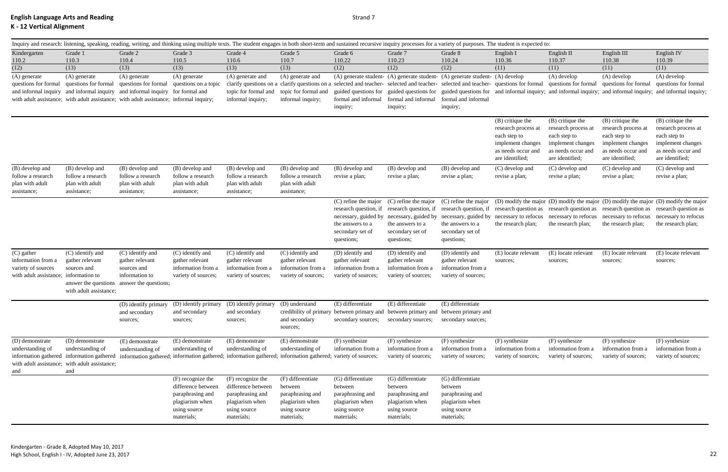|                                                                                  |                                                                                                                                          |                                                                                                                                                                               |                                                                                                              |                                                                                                              | Inquiry and research: listening, speaking, reading, writing, and thinking using multiple texts. The student engages in both short-term and sustained recursive inquiry processes for a variety of purposes. The student is exp |                                                                                                                               |                                                                                                       |                                                                                                                                                                                                                                                                                                                                                        |                                                                                                                         |                                                                                                                         |                                                                                                                                   |                                                                                                                                   |
|----------------------------------------------------------------------------------|------------------------------------------------------------------------------------------------------------------------------------------|-------------------------------------------------------------------------------------------------------------------------------------------------------------------------------|--------------------------------------------------------------------------------------------------------------|--------------------------------------------------------------------------------------------------------------|--------------------------------------------------------------------------------------------------------------------------------------------------------------------------------------------------------------------------------|-------------------------------------------------------------------------------------------------------------------------------|-------------------------------------------------------------------------------------------------------|--------------------------------------------------------------------------------------------------------------------------------------------------------------------------------------------------------------------------------------------------------------------------------------------------------------------------------------------------------|-------------------------------------------------------------------------------------------------------------------------|-------------------------------------------------------------------------------------------------------------------------|-----------------------------------------------------------------------------------------------------------------------------------|-----------------------------------------------------------------------------------------------------------------------------------|
| Kindergarten<br>110.2                                                            | Grade 1<br>110.3                                                                                                                         | Grade 2<br>110.4                                                                                                                                                              | Grade 3<br>110.5                                                                                             | Grade 4<br>110.6                                                                                             | Grade 5<br>110.7                                                                                                                                                                                                               | Grade 6<br>110.22                                                                                                             | Grade 7<br>110.23                                                                                     | Grade 8<br>110.24                                                                                                                                                                                                                                                                                                                                      | English I<br>110.36                                                                                                     | English II<br>110.37                                                                                                    | English III<br>110.38                                                                                                             | English IV<br>110.39                                                                                                              |
| (12)<br>(A) generate<br>questions for formal<br>and informal inquiry             | (13)<br>(A) generate<br>questions for formal<br>and informal inquiry                                                                     | (13)<br>(A) generate<br>questions for formal<br>and informal inquiry for formal and<br>with adult assistance; with adult assistance; with adult assistance; informal inquiry; | (13)<br>(A) generate<br>questions on a topic                                                                 | (13)<br>(A) generate and<br>clarify questions on<br>topic for formal and<br>informal inquiry;                | (13)<br>(A) generate and<br>clarify questions on a<br>topic for formal and<br>informal inquiry;                                                                                                                                | (12)<br>selected and teacher-<br>guided questions for<br>formal and informal<br>inquiry;                                      | (12)<br>formal and informal<br>inquiry;                                                               | (12)<br>(A) generate student- (A) generate student- (A) generate student- (A) develop<br>selected and teacher- selected and teacher- questions for formal questions for formal<br>guided questions for guided questions for and informal inquiry; and informal inquiry; and informal inquiry; and informal inquiry;<br>formal and informal<br>inquiry; | (11)                                                                                                                    | (11)<br>(A) develop                                                                                                     | (11)<br>(A) develop<br>questions for formal                                                                                       | (11)<br>(A) develop<br>questions for formal                                                                                       |
|                                                                                  |                                                                                                                                          |                                                                                                                                                                               |                                                                                                              |                                                                                                              |                                                                                                                                                                                                                                |                                                                                                                               |                                                                                                       |                                                                                                                                                                                                                                                                                                                                                        | $(B)$ critique the<br>research process at<br>each step to<br>implement changes<br>as needs occur and<br>are identified; | $(B)$ critique the<br>research process at<br>each step to<br>implement changes<br>as needs occur and<br>are identified; | $(B)$ critique the<br>research process a<br>each step to<br>implement changes<br>as needs occur and<br>are identified;            | $(B)$ critique the<br>research process at<br>each step to<br>implement changes<br>as needs occur and<br>are identified;           |
| (B) develop and<br>follow a research<br>plan with adult<br>assistance;           | (B) develop and<br>follow a research<br>plan with adult<br>assistance;                                                                   | (B) develop and<br>follow a research<br>plan with adult<br>assistance;                                                                                                        | (B) develop and<br>follow a research<br>plan with adult<br>assistance;                                       | (B) develop and<br>follow a research<br>plan with adult<br>assistance;                                       | (B) develop and<br>follow a research<br>plan with adult<br>assistance;                                                                                                                                                         | (B) develop and<br>revise a plan;                                                                                             | (B) develop and<br>revise a plan;                                                                     | (B) develop and<br>revise a plan;                                                                                                                                                                                                                                                                                                                      | (C) develop and<br>revise a plan;                                                                                       | (C) develop and<br>revise a plan;                                                                                       | (C) develop and<br>revise a plan;                                                                                                 | (C) develop and<br>revise a plan;                                                                                                 |
|                                                                                  |                                                                                                                                          |                                                                                                                                                                               |                                                                                                              |                                                                                                              |                                                                                                                                                                                                                                | (C) refine the major<br>research question, if<br>necessary, guided by<br>the answers to a<br>secondary set of<br>questions;   | $(C)$ refine the major<br>research question, if<br>the answers to a<br>secondary set of<br>questions; | (C) refine the major<br>research question, if<br>necessary, guided by necessary, guided by necessary to refocus<br>the answers to a<br>secondary set of<br>questions;                                                                                                                                                                                  | the research plan;                                                                                                      | necessary to refocus<br>the research plan;                                                                              | research question as research question as research question as research question as<br>necessary to refocus<br>the research plan; | (D) modify the major (D) modify the major (D) modify the major (D) modify the major<br>necessary to refocus<br>the research plan; |
| (C) gather<br>information from a<br>variety of sources<br>with adult assistance; | (C) identify and<br>gather relevant<br>sources and<br>information to<br>answer the questions<br>with adult assistance;                   | (C) identify and<br>gather relevant<br>sources and<br>information to<br>answer the questions;                                                                                 | (C) identify and<br>gather relevant<br>information from a<br>variety of sources;                             | (C) identify and<br>gather relevant<br>information from a<br>variety of sources;                             | (C) identify and<br>gather relevant<br>information from a<br>variety of sources;                                                                                                                                               | (D) identify and<br>gather relevant<br>information from a<br>variety of sources;                                              | (D) identify and<br>gather relevant<br>information from a<br>variety of sources;                      | (D) identify and<br>gather relevant<br>information from a<br>variety of sources;                                                                                                                                                                                                                                                                       | (E) locate relevant<br>sources;                                                                                         | (E) locate relevant<br>sources;                                                                                         | (E) locate relevant<br>sources;                                                                                                   | (E) locate relevant<br>sources;                                                                                                   |
|                                                                                  |                                                                                                                                          | and secondary<br>sources;                                                                                                                                                     | and secondary<br>sources;                                                                                    | (D) identify primary (D) identify primary (D) identify primary (D) understand<br>and secondary<br>sources;   | and secondary<br>sources;                                                                                                                                                                                                      | (E) differentiate<br>credibility of primary between primary and between primary and between primary and<br>secondary sources; | (E) differentiate<br>secondary sources;                                                               | (E) differentiate<br>secondary sources;                                                                                                                                                                                                                                                                                                                |                                                                                                                         |                                                                                                                         |                                                                                                                                   |                                                                                                                                   |
| (D) demonstrate<br>understanding of<br>and                                       | (D) demonstrate<br>understanding of<br>information gathered information gathered<br>with adult assistance; with adult assistance;<br>and | (E) demonstrate<br>understanding of                                                                                                                                           | (E) demonstrate<br>understanding of                                                                          | (E) demonstrate<br>understanding of                                                                          | (E) demonstrate<br>understanding of<br>information gathered; information gathered; information gathered; information gathered; variety of sources;                                                                             | (F) synthesize<br>information from a                                                                                          | (F) synthesize<br>information from a<br>variety of sources;                                           | (F) synthesize<br>information from a<br>variety of sources;                                                                                                                                                                                                                                                                                            | (F) synthesize<br>information from a<br>variety of sources;                                                             | (F) synthesize<br>information from a<br>variety of sources;                                                             | (F) synthesize<br>information from a<br>variety of sources;                                                                       | (F) synthesize<br>information from a<br>variety of sources;                                                                       |
|                                                                                  |                                                                                                                                          |                                                                                                                                                                               | (F) recognize the<br>difference between<br>paraphrasing and<br>plagiarism when<br>using source<br>materials; | (F) recognize the<br>difference between<br>paraphrasing and<br>plagiarism when<br>using source<br>materials; | (F) differentiate<br>between<br>paraphrasing and<br>plagiarism when<br>using source<br>materials;                                                                                                                              | (G) differentiate<br>between<br>paraphrasing and<br>plagiarism when<br>using source<br>materials;                             | (G) differentiate<br>between<br>paraphrasing and<br>plagiarism when<br>using source<br>materials;     | (G) differentiate<br>between<br>paraphrasing and<br>plagiarism when<br>using source<br>materials;                                                                                                                                                                                                                                                      |                                                                                                                         |                                                                                                                         |                                                                                                                                   |                                                                                                                                   |